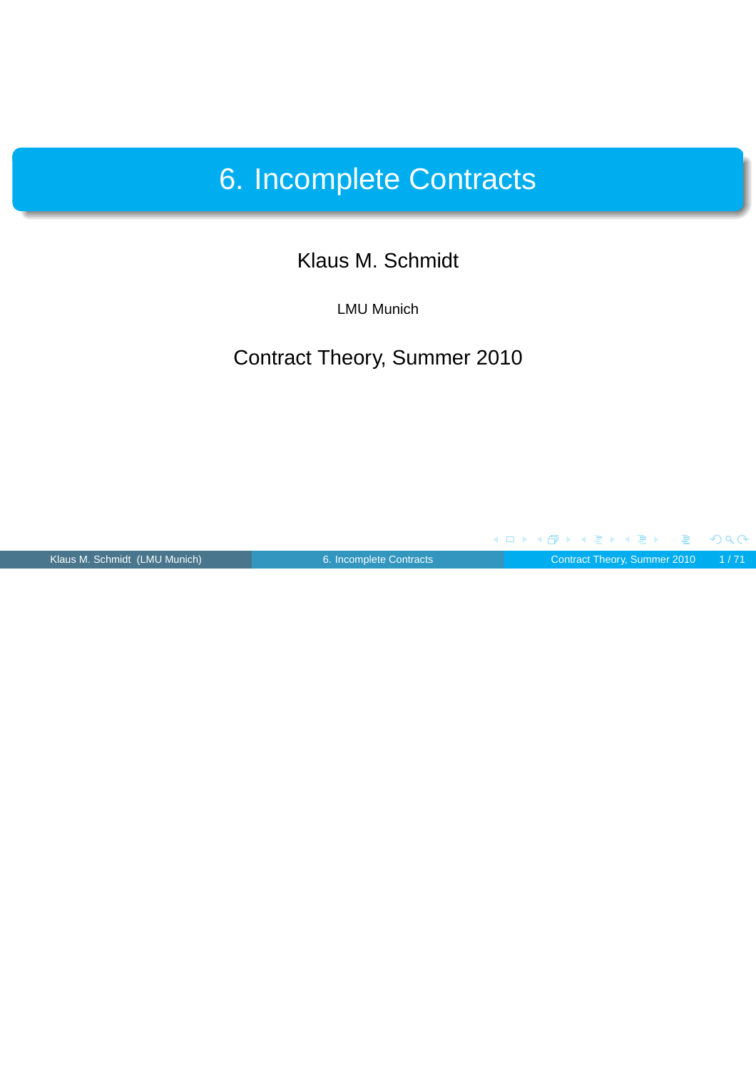## 6. Incomplete Contracts

#### Klaus M. Schmidt

LMU Munich

#### Contract Theory, Summer 2010

<span id="page-0-0"></span>

 $\leftarrow$   $\Box$ 

**K 母 ▶ K ミ ▶** 

Klaus M. Schmidt (LMU Munich) [6. Incomplete Contracts](#page-70-0) Contract Theory, Summer 2010 1/71

重

 $\leftarrow$ 

 $OQC$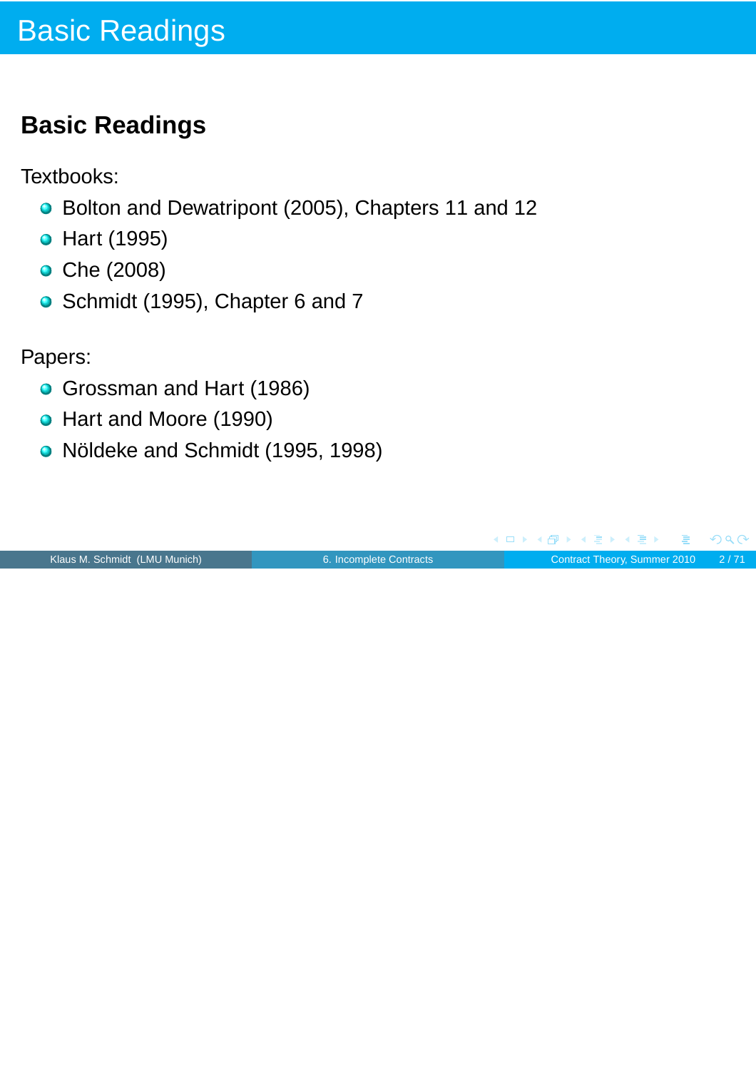## **Basic Readings**

Textbooks:

- Bolton and Dewatripont (2005), Chapters 11 and 12
- **•** Hart (1995)
- **•** Che (2008)
- Schmidt (1995), Chapter 6 and 7

Papers:

- **Grossman and Hart (1986)**
- Hart and Moore (1990)
- Nöldeke and Schmidt (1995, 1998)

| Klaus M. Schmidt (LMU Munich) |  |  |
|-------------------------------|--|--|
|-------------------------------|--|--|

<span id="page-1-0"></span>

[6. Incomplete Contracts](#page-0-0) **Contract Contract Theory, Summer 2010** 2/71

E

 $PQQ$ 

**K 何 ▶ K 君 ▶ K 君 ▶** 

 $\leftarrow$   $\Box$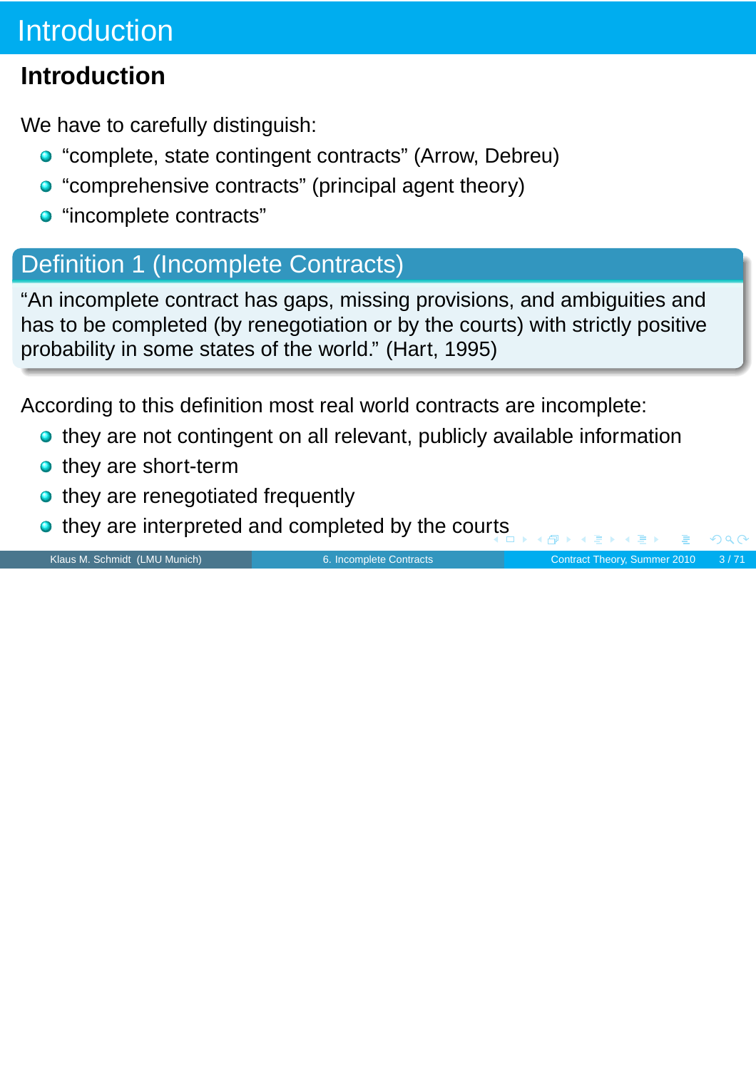# **Introduction**

## **Introduction**

We have to carefully distinguish:

- "complete, state contingent contracts" (Arrow, Debreu)
- "comprehensive contracts" (principal agent theory)
- "incomplete contracts"

## Definition 1 (Incomplete Contracts)

"An incomplete contract has gaps, missing provisions, and ambiguities and has to be completed (by renegotiation or by the courts) with strictly positive probability in some states of the world." (Hart, 1995)

According to this definition most real world contracts are incomplete:

- **o** they are not contingent on all relevant, publicly available information
- they are short-term
- they are renegotiated frequently
- they are interpreted and completed by the cou[rts](#page-1-0)

Klaus M. Schmidt (LMU Munich) **[6. Incomplete Contracts](#page-0-0)** Contract Theory, Summer 2010 3/71

 $PQC$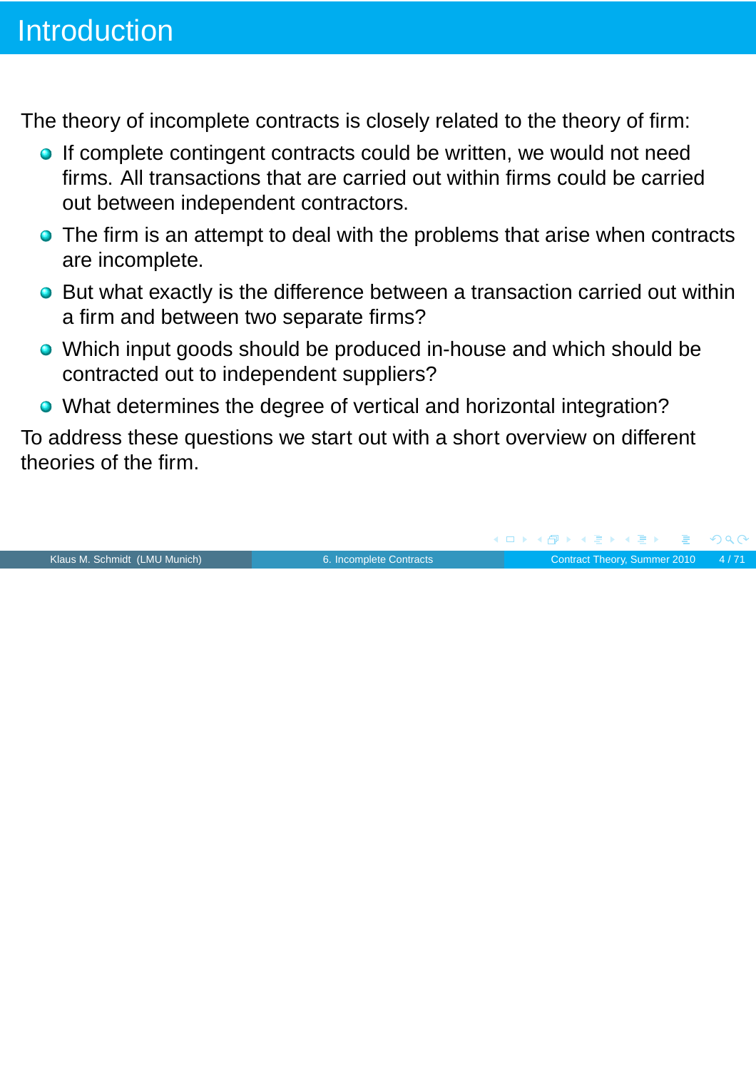The theory of incomplete contracts is closely related to the theory of firm:

- If complete contingent contracts could be written, we would not need firms. All transactions that are carried out within firms could be carried out between independent contractors.
- The firm is an attempt to deal with the problems that arise when contracts are incomplete.
- But what exactly is the difference between a transaction carried out within a firm and between two separate firms?
- Which input goods should be produced in-house and which should be contracted out to independent suppliers?
- What determines the degree of vertical and horizontal integration?

To address these questions we start out with a short overview on different theories of the firm.

Klaus M. Schmidt (LMU Munich) [6. Incomplete Contracts](#page-0-0) Contract Theory, Summer 2010 4/71

Þ

 $PQQ$ 

(ロト (伊) (ミ) (ヨ)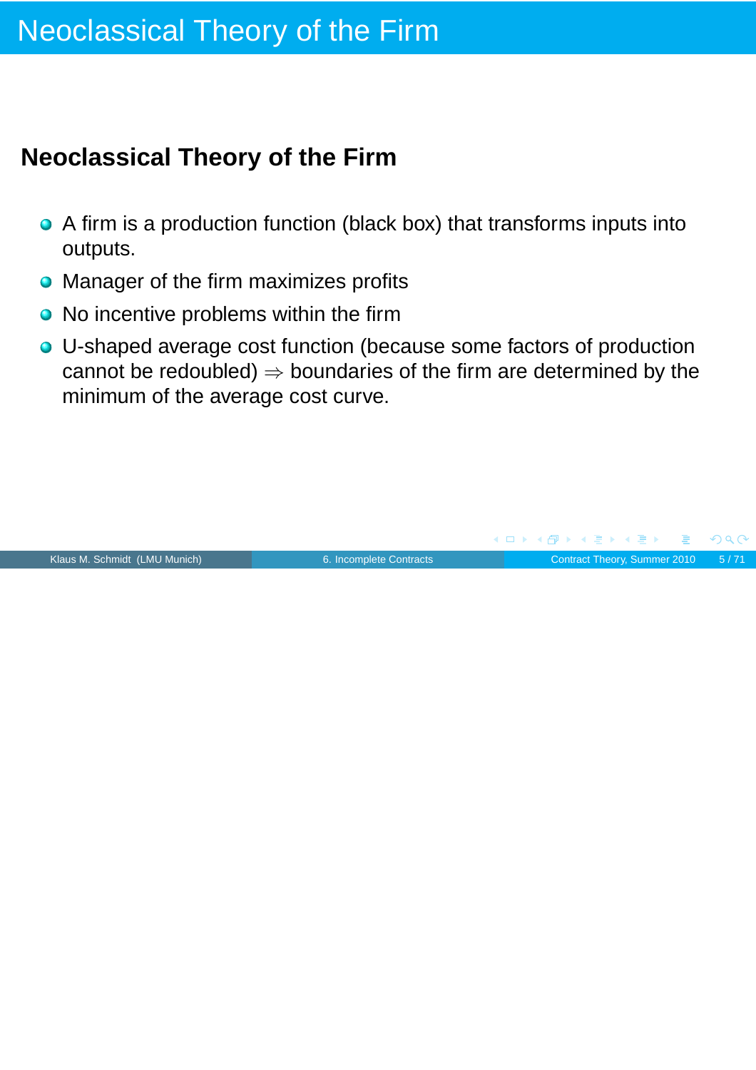## **Neoclassical Theory of the Firm**

- A firm is a production function (black box) that transforms inputs into outputs.
- Manager of the firm maximizes profits
- No incentive problems within the firm
- U-shaped average cost function (because some factors of production cannot be redoubled)  $\Rightarrow$  boundaries of the firm are determined by the minimum of the average cost curve.



E

 $PQC$ 

(ロ) (伊) (ミ) (ヨ)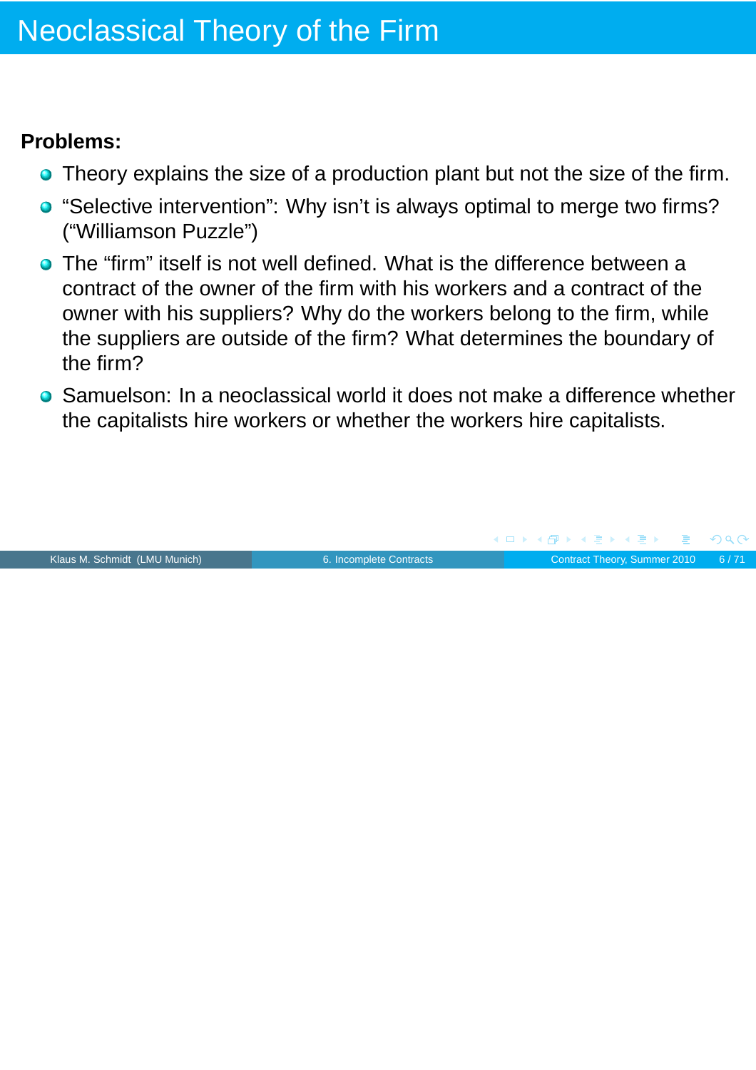#### **Problems:**

- Theory explains the size of a production plant but not the size of the firm.
- "Selective intervention": Why isn't is always optimal to merge two firms? ("Williamson Puzzle")
- The "firm" itself is not well defined. What is the difference between a contract of the owner of the firm with his workers and a contract of the owner with his suppliers? Why do the workers belong to the firm, while the suppliers are outside of the firm? What determines the boundary of the firm?
- Samuelson: In a neoclassical world it does not make a difference whether the capitalists hire workers or whether the workers hire capitalists.

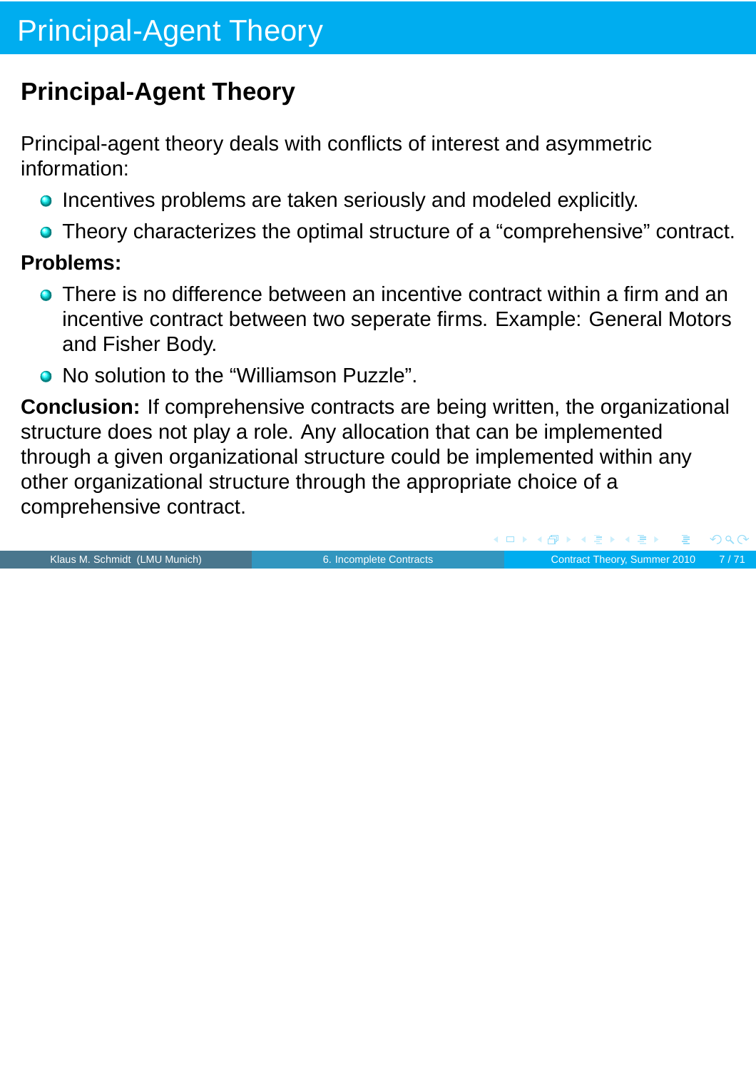## **Principal-Agent Theory**

Principal-agent theory deals with conflicts of interest and asymmetric information:

- Incentives problems are taken seriously and modeled explicitly.
- Theory characterizes the optimal structure of a "comprehensive" contract.

#### **Problems:**

- There is no difference between an incentive contract within a firm and an incentive contract between two seperate firms. Example: General Motors and Fisher Body.
- No solution to the "Williamson Puzzle".

**Conclusion:** If comprehensive contracts are being written, the organizational structure does not play a role. Any allocation that can be implemented through a given organizational structure could be implemented within any other organizational structure through the appropriate choice of a comprehensive contract.

Klaus M. Schmidt (LMU Munich) [6. Incomplete Contracts](#page-0-0) Contract Theory, Summer 2010 7/71

 $\overline{AB}$   $\rightarrow$   $\overline{AB}$   $\rightarrow$   $\overline{AB}$   $\rightarrow$ 

 $PQQ$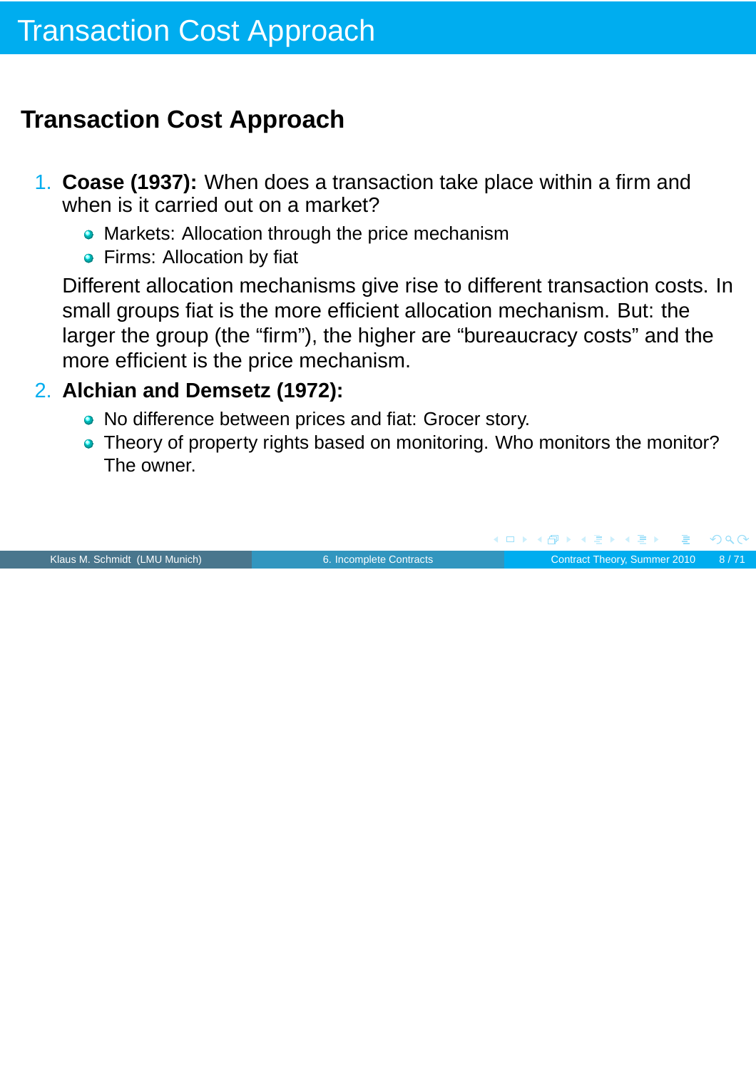## **Transaction Cost Approach**

- 1. **Coase (1937):** When does a transaction take place within a firm and when is it carried out on a market?
	- Markets: Allocation through the price mechanism
	- **•** Firms: Allocation by fiat

Different allocation mechanisms give rise to different transaction costs. In small groups fiat is the more efficient allocation mechanism. But: the larger the group (the "firm"), the higher are "bureaucracy costs" and the more efficient is the price mechanism.

#### 2. **Alchian and Demsetz (1972):**

- No difference between prices and fiat: Grocer story.
- Theory of property rights based on monitoring. Who monitors the monitor? The owner.



 $PQQ$ 

**K 何 ▶ ★ ヨ ▶ ★ ヨ ▶**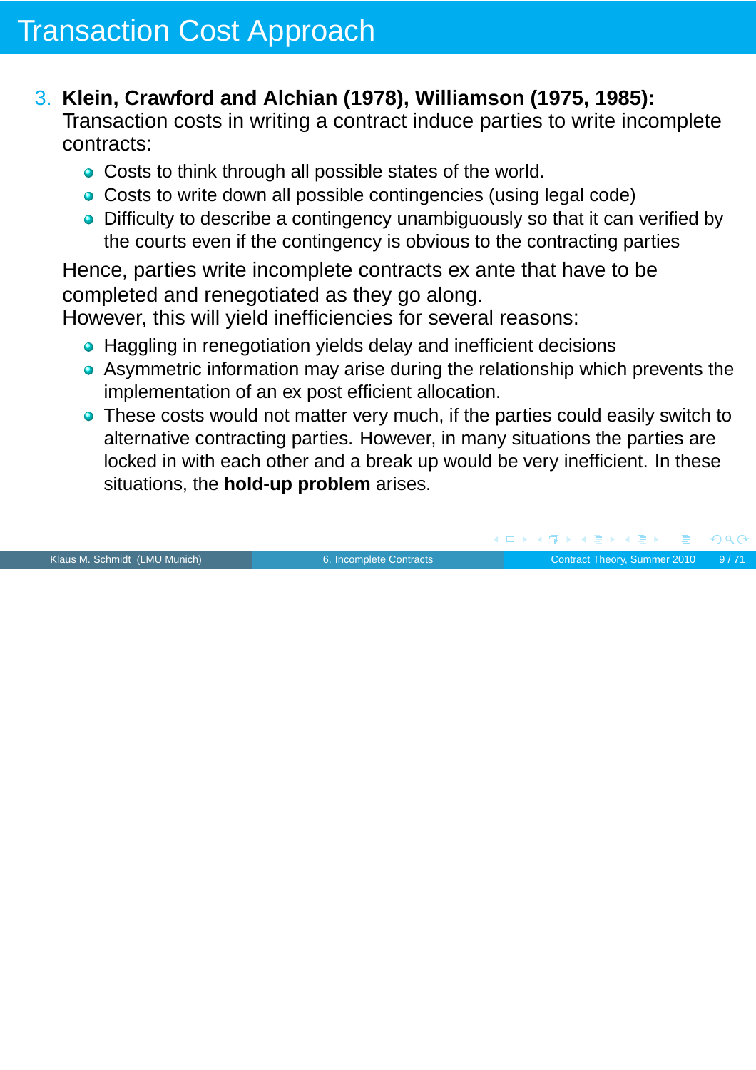### 3. **Klein, Crawford and Alchian (1978), Williamson (1975, 1985):**

Transaction costs in writing a contract induce parties to write incomplete contracts:

- Costs to think through all possible states of the world.
- Costs to write down all possible contingencies (using legal code)
- Difficulty to describe a contingency unambiguously so that it can verified by the courts even if the contingency is obvious to the contracting parties

Hence, parties write incomplete contracts ex ante that have to be completed and renegotiated as they go along.

However, this will yield inefficiencies for several reasons:

- Haggling in renegotiation yields delay and inefficient decisions
- Asymmetric information may arise during the relationship which prevents the implementation of an ex post efficient allocation.
- These costs would not matter very much, if the parties could easily switch to alternative contracting parties. However, in many situations the parties are locked in with each other and a break up would be very inefficient. In these situations, the **hold-up problem** arises.

Klaus M. Schmidt (LMU Munich) [6. Incomplete Contracts](#page-0-0) Contract Theory, Summer 2010 9/71

 $\overline{AB}$   $\rightarrow$   $\overline{AB}$   $\rightarrow$   $\overline{AB}$   $\rightarrow$ 

4 0 K

 $OQ$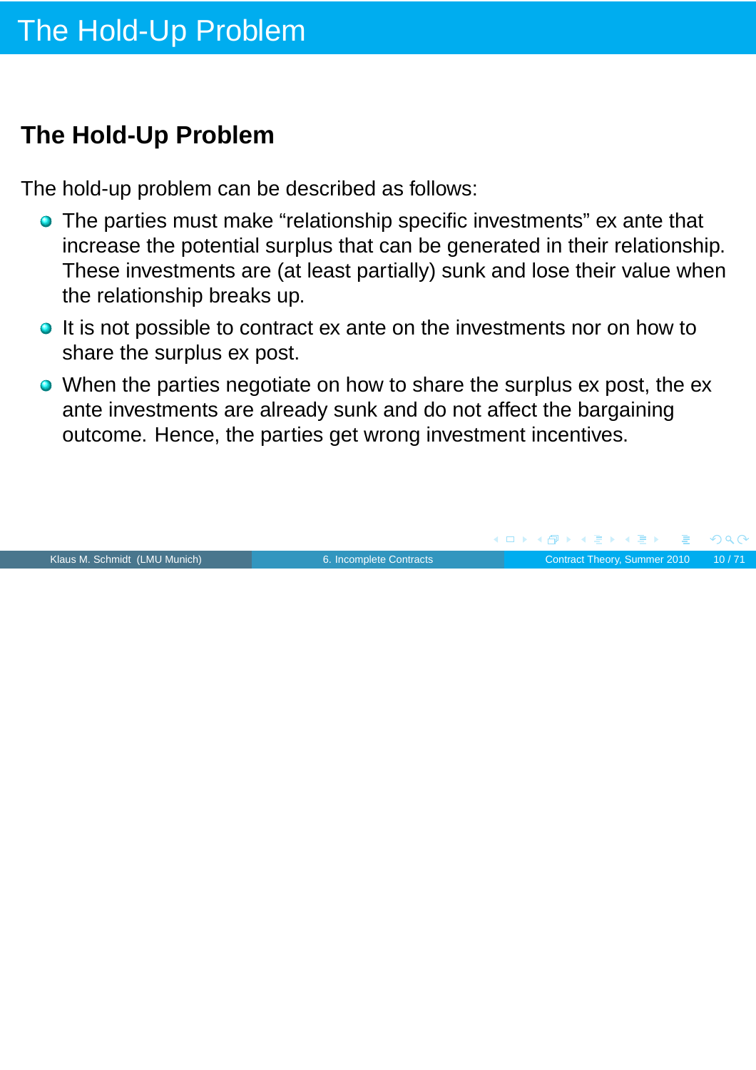## **The Hold-Up Problem**

The hold-up problem can be described as follows:

- The parties must make "relationship specific investments" ex ante that increase the potential surplus that can be generated in their relationship. These investments are (at least partially) sunk and lose their value when the relationship breaks up.
- It is not possible to contract ex ante on the investments nor on how to share the surplus ex post.
- When the parties negotiate on how to share the surplus ex post, the ex ante investments are already sunk and do not affect the bargaining outcome. Hence, the parties get wrong investment incentives.

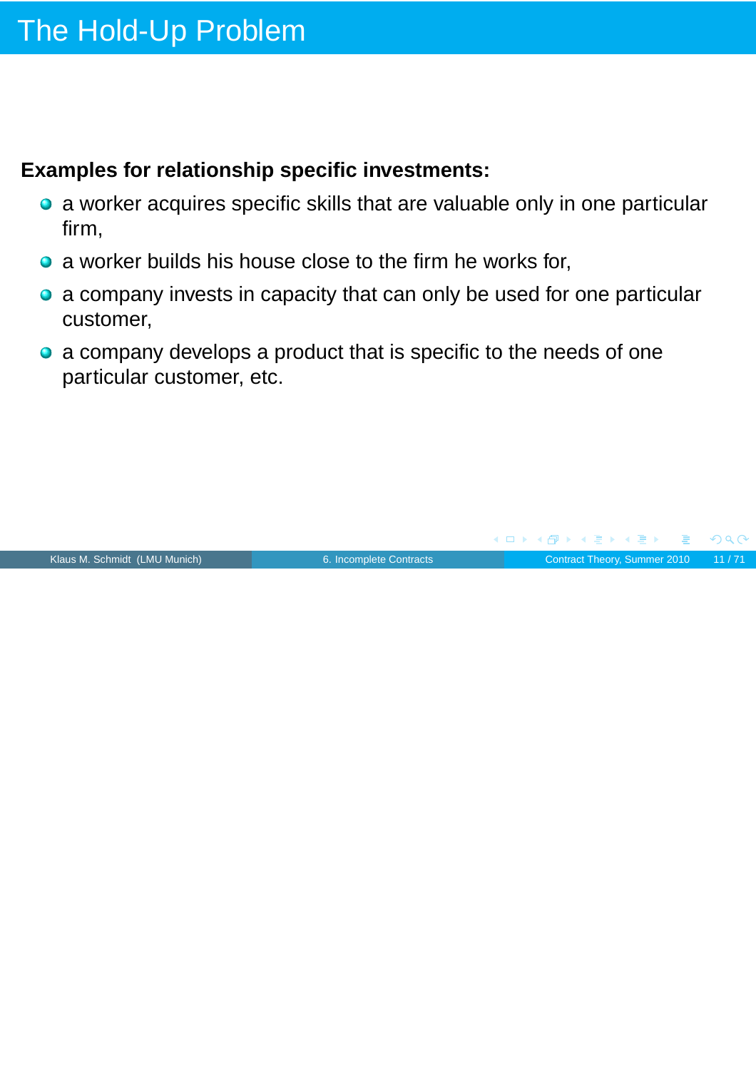#### **Examples for relationship specific investments:**

- a worker acquires specific skills that are valuable only in one particular firm,
- a worker builds his house close to the firm he works for,
- a company invests in capacity that can only be used for one particular customer,
- a company develops a product that is specific to the needs of one particular customer, etc.

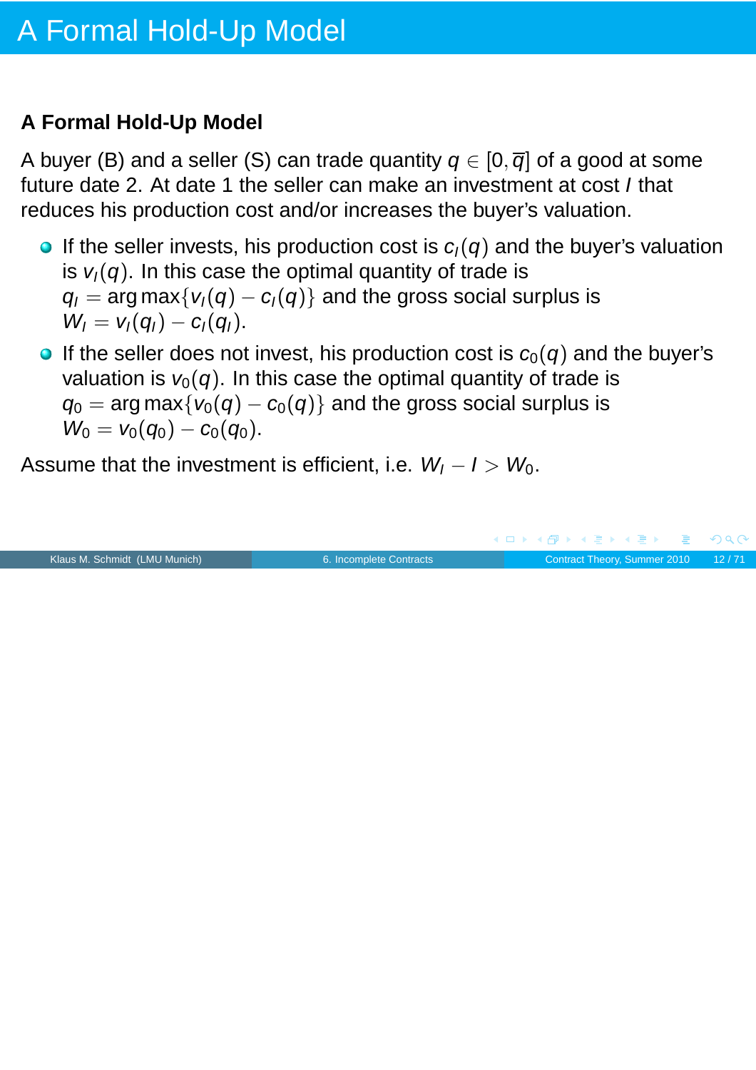### **A Formal Hold-Up Model**

A buyer (B) and a seller (S) can trade quantity  $q \in [0, \overline{q}]$  of a good at some future date 2. At date 1 the seller can make an investment at cost I that reduces his production cost and/or increases the buyer's valuation.

- If the seller invests, his production cost is  $c<sub>1</sub>(q)$  and the buyer's valuation is  $v_1(q)$ . In this case the optimal quantity of trade is  $q_1 = \arg \max \{v_1(q) - c_1(q)\}\$  and the gross social surplus is  $W_1 = v_1(q_1) - c_1(q_1).$
- If the seller does not invest, his production cost is  $c_0(q)$  and the buyer's valuation is  $v_0(q)$ . In this case the optimal quantity of trade is  $q_0 = \arg \max \{ v_0(q) - c_0(q) \}$  and the gross social surplus is  $W_0 = v_0(q_0) - c_0(q_0).$

Assume that the investment is efficient, i.e.  $W_1 - I > W_0$ .

|                               |                         | - ◀ ㅁ ▶ ◀ 何 ▶ ◀ 로 ▶ ◀ 로 ▶ - 로 - ∽ 이 ٩ (∿- |  |
|-------------------------------|-------------------------|-------------------------------------------|--|
| Klaus M. Schmidt (LMU Munich) | 6. Incomplete Contracts | Contract Theory, Summer 2010 12/71        |  |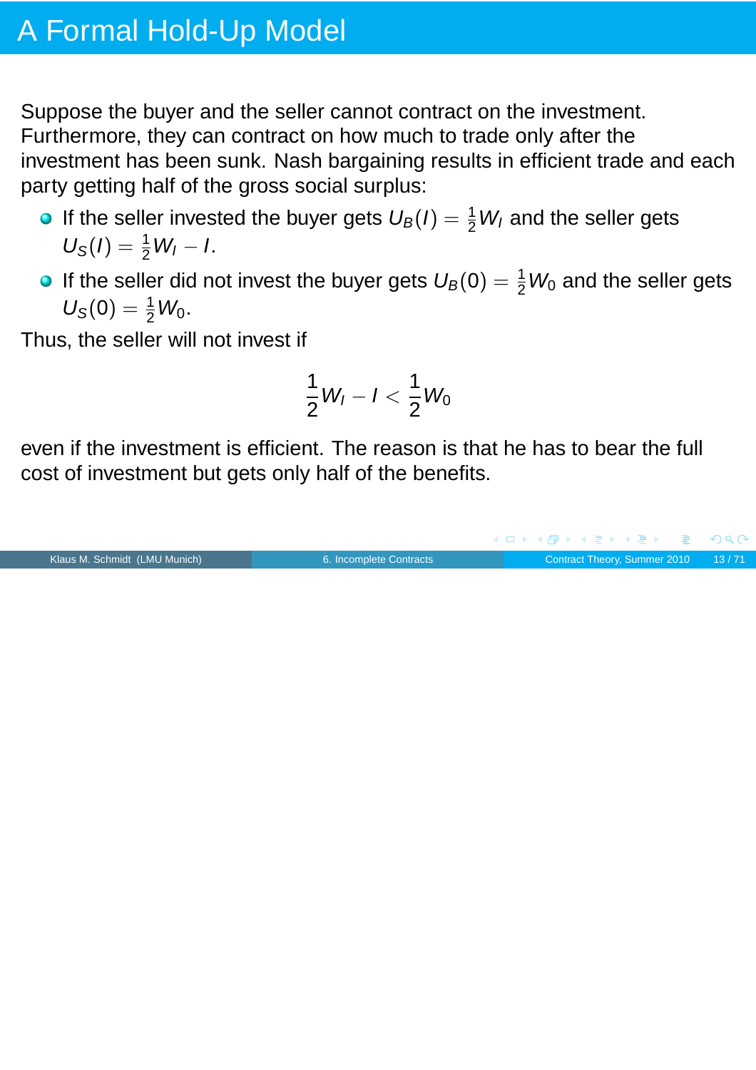# A Formal Hold-Up Model

Suppose the buyer and the seller cannot contract on the investment. Furthermore, they can contract on how much to trade only after the investment has been sunk. Nash bargaining results in efficient trade and each party getting half of the gross social surplus:

- If the seller invested the buyer gets  $U_B(I) = \frac{1}{2}W_I$  and the seller gets  $U_{\rm S}(I) = \frac{1}{2}W_I - I.$
- If the seller did not invest the buyer gets  $U_B(0) = \frac{1}{2}W_0$  and the seller gets  $U_{S}(0) = \frac{1}{2}W_{0}.$

Thus, the seller will not invest if

$$
\frac{1}{2}W_I-I<\frac{1}{2}W_0
$$

even if the investment is efficient. The reason is that he has to bear the full cost of investment but gets only half of the benefits.

Klaus M. Schmidt (LMU Munich) [6. Incomplete Contracts](#page-0-0) Contract Theory, Summer 2010 13 / 71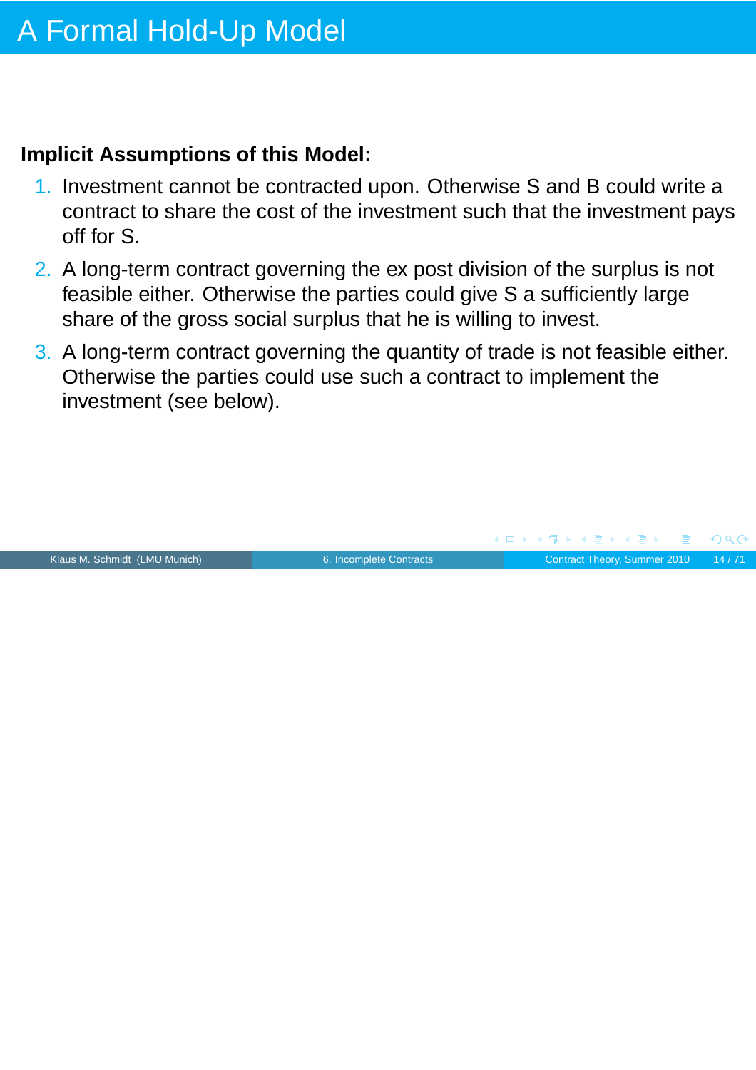#### **Implicit Assumptions of this Model:**

- 1. Investment cannot be contracted upon. Otherwise S and B could write a contract to share the cost of the investment such that the investment pays off for S.
- 2. A long-term contract governing the ex post division of the surplus is not feasible either. Otherwise the parties could give S a sufficiently large share of the gross social surplus that he is willing to invest.
- 3. A long-term contract governing the quantity of trade is not feasible either. Otherwise the parties could use such a contract to implement the investment (see below).

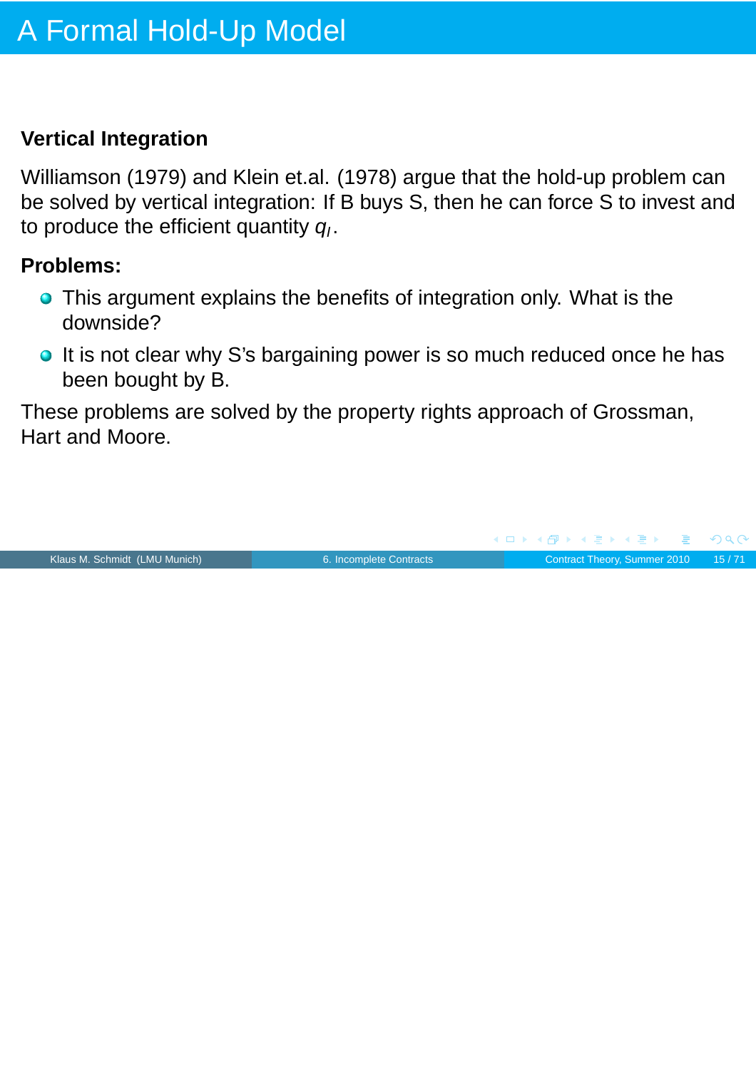#### **Vertical Integration**

Williamson (1979) and Klein et.al. (1978) argue that the hold-up problem can be solved by vertical integration: If B buys S, then he can force S to invest and to produce the efficient quantity  $q_l$ .

#### **Problems:**

- **•** This argument explains the benefits of integration only. What is the downside?
- o It is not clear why S's bargaining power is so much reduced once he has been bought by B.

These problems are solved by the property rights approach of Grossman, Hart and Moore.

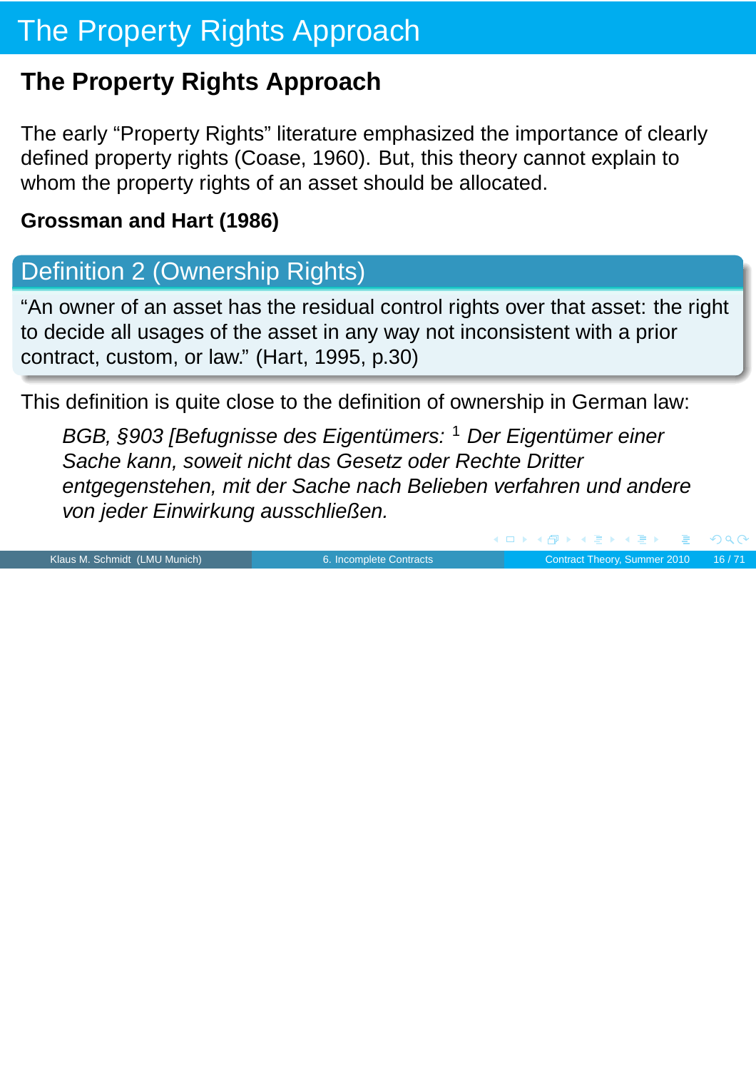# The Property Rights Approach

## **The Property Rights Approach**

The early "Property Rights" literature emphasized the importance of clearly defined property rights (Coase, 1960). But, this theory cannot explain to whom the property rights of an asset should be allocated.

### **Grossman and Hart (1986)**

## Definition 2 (Ownership Rights)

"An owner of an asset has the residual control rights over that asset: the right to decide all usages of the asset in any way not inconsistent with a prior contract, custom, or law." (Hart, 1995, p.30)

This definition is quite close to the definition of ownership in German law:

BGB, §903 [Befugnisse des Eigentümers: <sup>1</sup> Der Eigentümer einer Sache kann, soweit nicht das Gesetz oder Rechte Dritter entgegenstehen, mit der Sache nach Belieben verfahren und andere von jeder Einwirkung ausschließen.

Klaus M. Schmidt (LMU Munich) [6. Incomplete Contracts](#page-0-0) Contract Theory, Summer 2010 16/71

 $PQQ$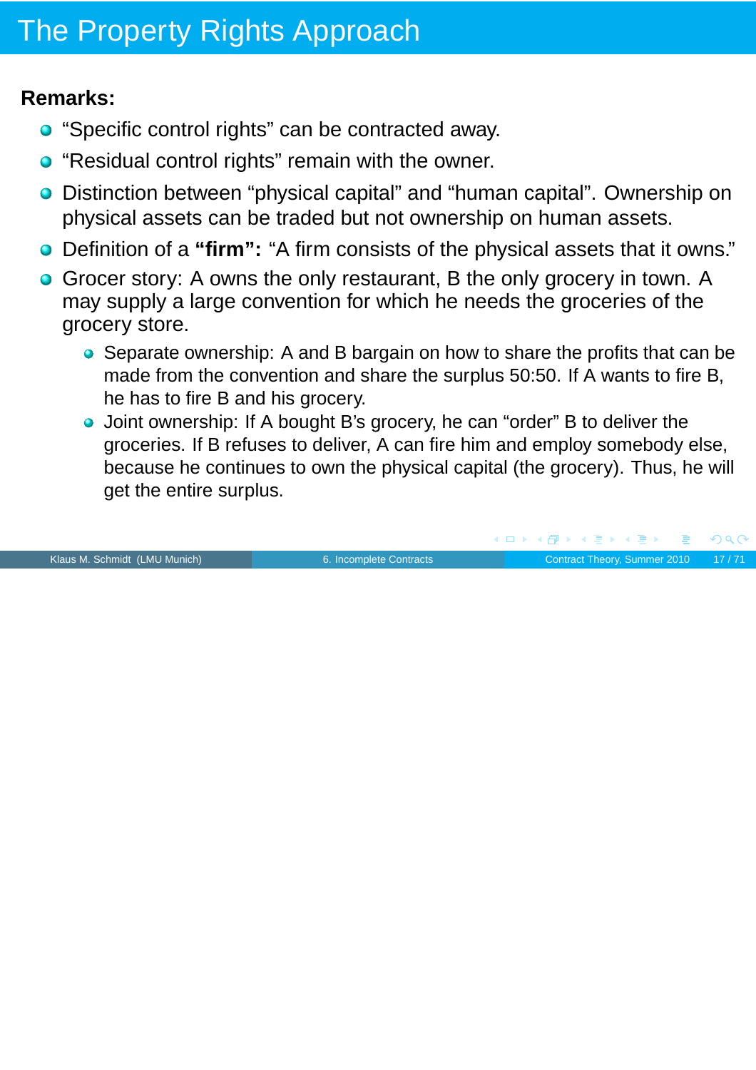# The Property Rights Approach

#### **Remarks:**

- **•** "Specific control rights" can be contracted away.
- "Residual control rights" remain with the owner.
- Distinction between "physical capital" and "human capital". Ownership on physical assets can be traded but not ownership on human assets.
- Definition of a **"firm":** "A firm consists of the physical assets that it owns."
- Grocer story: A owns the only restaurant, B the only grocery in town. A may supply a large convention for which he needs the groceries of the grocery store.
	- Separate ownership: A and B bargain on how to share the profits that can be made from the convention and share the surplus 50:50. If A wants to fire B, he has to fire B and his grocery.
	- Joint ownership: If A bought B's grocery, he can "order" B to deliver the groceries. If B refuses to deliver, A can fire him and employ somebody else, because he continues to own the physical capital (the grocery). Thus, he will get the entire surplus.

Klaus M. Schmidt (LMU Munich) [6. Incomplete Contracts](#page-0-0) Contract Theory, Summer 2010 17/71

 $PQQ$ 

 $\blacktriangleleft \overline{\mathcal{P}}$   $\blacktriangleright$   $\blacktriangleleft \overline{\mathcal{P}}$   $\blacktriangleright$   $\blacktriangleleft \overline{\mathcal{P}}$   $\blacktriangleright$ 

4 0 K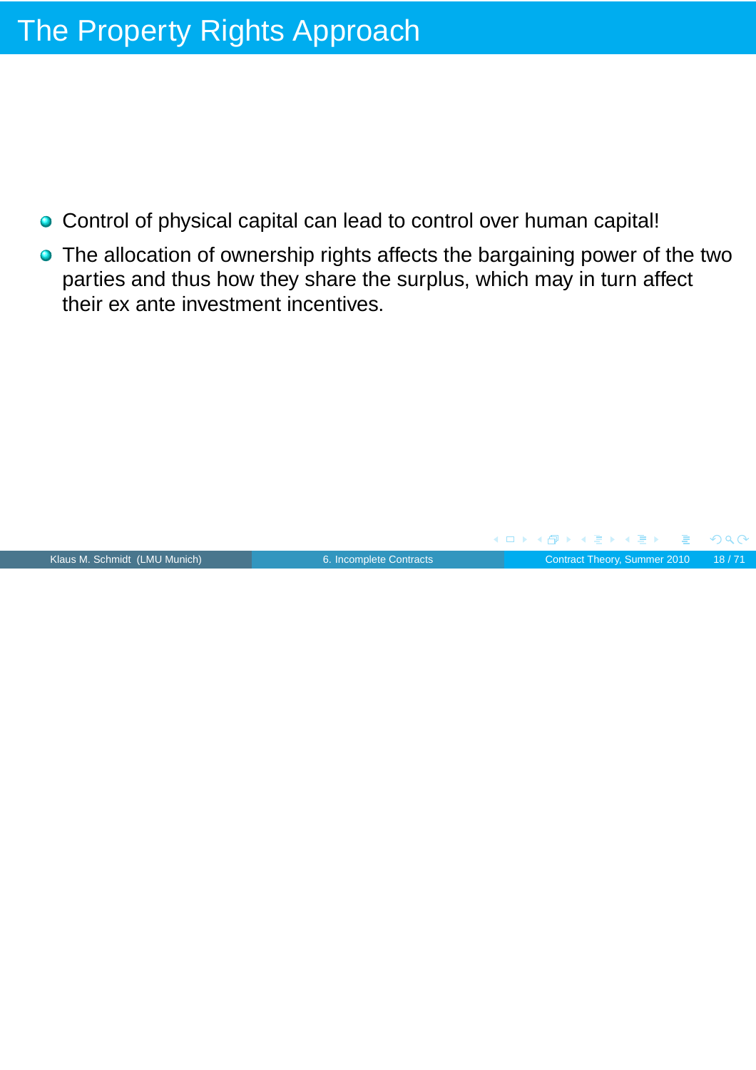# The Property Rights Approach

- Control of physical capital can lead to control over human capital!
- The allocation of ownership rights affects the bargaining power of the two parties and thus how they share the surplus, which may in turn affect their ex ante investment incentives.

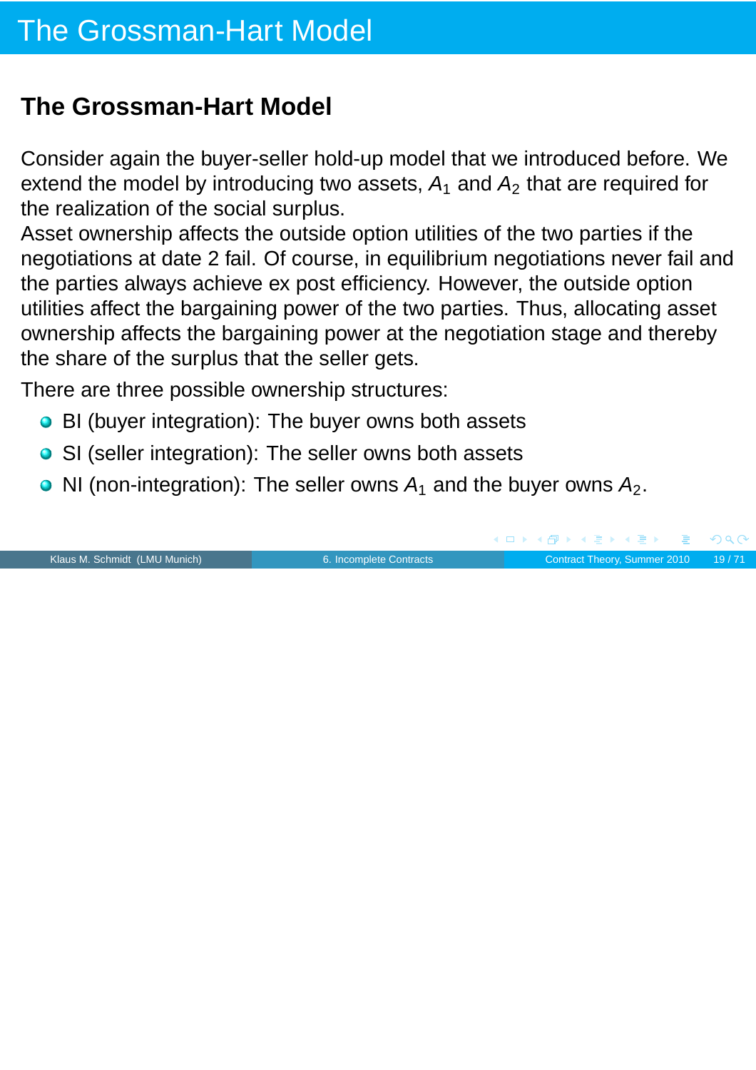Consider again the buyer-seller hold-up model that we introduced before. We extend the model by introducing two assets,  $A_1$  and  $A_2$  that are required for the realization of the social surplus.

Asset ownership affects the outside option utilities of the two parties if the negotiations at date 2 fail. Of course, in equilibrium negotiations never fail and the parties always achieve ex post efficiency. However, the outside option utilities affect the bargaining power of the two parties. Thus, allocating asset ownership affects the bargaining power at the negotiation stage and thereby the share of the surplus that the seller gets.

There are three possible ownership structures:

- BI (buyer integration): The buyer owns both assets
- SI (seller integration): The seller owns both assets
- NI (non-integration): The seller owns  $A_1$  and the buyer owns  $A_2$ .

|                               |                         |  | - ◀ ㅁ ▶ ◀ @P ▶ ◀ 로 ▶ ◀ 로 ▶ │ 로 │ ◆) ٩.0 |  |
|-------------------------------|-------------------------|--|-----------------------------------------|--|
| Klaus M. Schmidt (LMU Munich) | 6. Incomplete Contracts |  | Contract Theory, Summer 2010 19/71      |  |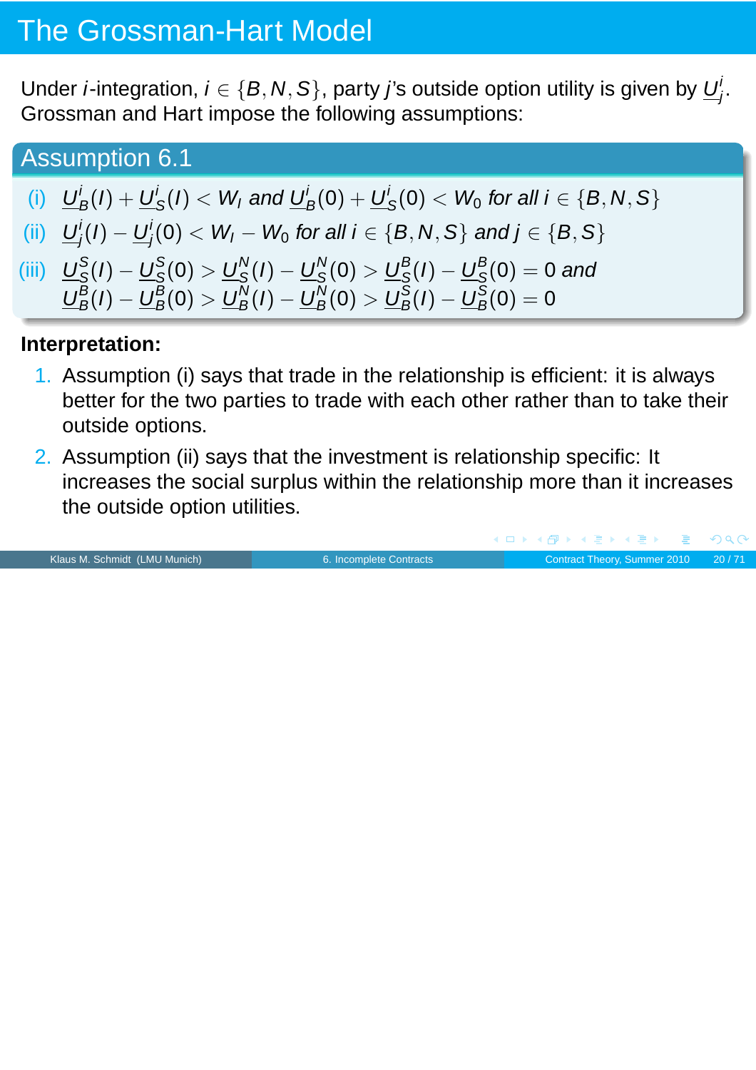Under *i*-integration,  $i \in \{B, N, S\}$ , party j's outside option utility is given by  $U^{\dagger}_{I}$ j . Grossman and Hart impose the following assumptions:

Assumption 6.1

- (i)  $U'$  $\frac{d}{B}(I)+\underline{U}'$  $\frac{d}{dS}(I) < W_I$  and  $\underline{U}_B^i(0) + \underline{U}_S^i$  $S_{\mathcal{S}}'(0) < W_0$  for all  $i \in \{\textit{B}, \textit{N}, \textit{S}\}$
- (ii)  $U'$  $j^i_j(I) - \underline{U}^i_j$  $j'_j(0) < W_I - W_0$  for all  $i \in \{B,N,S\}$  and  $j \in \{B,S\}$
- (iii)  $U_{\rm S}^{\rm S}$  $\frac{{\mathcal S}}{\mathcal S}(I) - \underline{\boldsymbol U}_{{\mathcal S}}^{\mathcal S}$  $\frac{\text{S}}{\text{S}}(0) > \underline{\text{U}}^{\text{N}}_{\text{S}}$  $\frac{N}{\mathcal{S}}(I) - \underline{U}^{\mathcal{N}}_{\mathcal{S}}$  $\frac{N}{\mathcal{S}}(0) > \underline{U}^{\mathcal{B}}_{\mathcal{S}}$  $\frac{B}{S}(I)-\underline{U}_{S}^{B}$  $\mathcal{L}_\mathcal{S}^\mathcal{B}(0)=0$  and  $\underline{U}_{B}^{B}$  $\frac{B}{B}(I)-\underline{U}_B^B$  $\frac{B}{B}(0) > \underline{U}_B^N$  $\frac{N}{B}(I)-\underline{U}^{N}_{B}$  $\frac{N}{B}(0) > \underline{U}_B^{\text{S}}$  $\frac{\mathcal{S}}{B}(I)-\underline{U}^{\mathcal{S}}_B$  $\frac{S}{B}(0) = 0$

#### **Interpretation:**

- 1. Assumption (i) says that trade in the relationship is efficient: it is always better for the two parties to trade with each other rather than to take their outside options.
- 2. Assumption (ii) says that the investment is relationship specific: It increases the social surplus within the relationship more than it increases the outside option utilities.

Klaus M. Schmidt (LMU Munich) **6.** Incomplete Contracts Contract Theory, Summer 2010 20/71

 $PQC$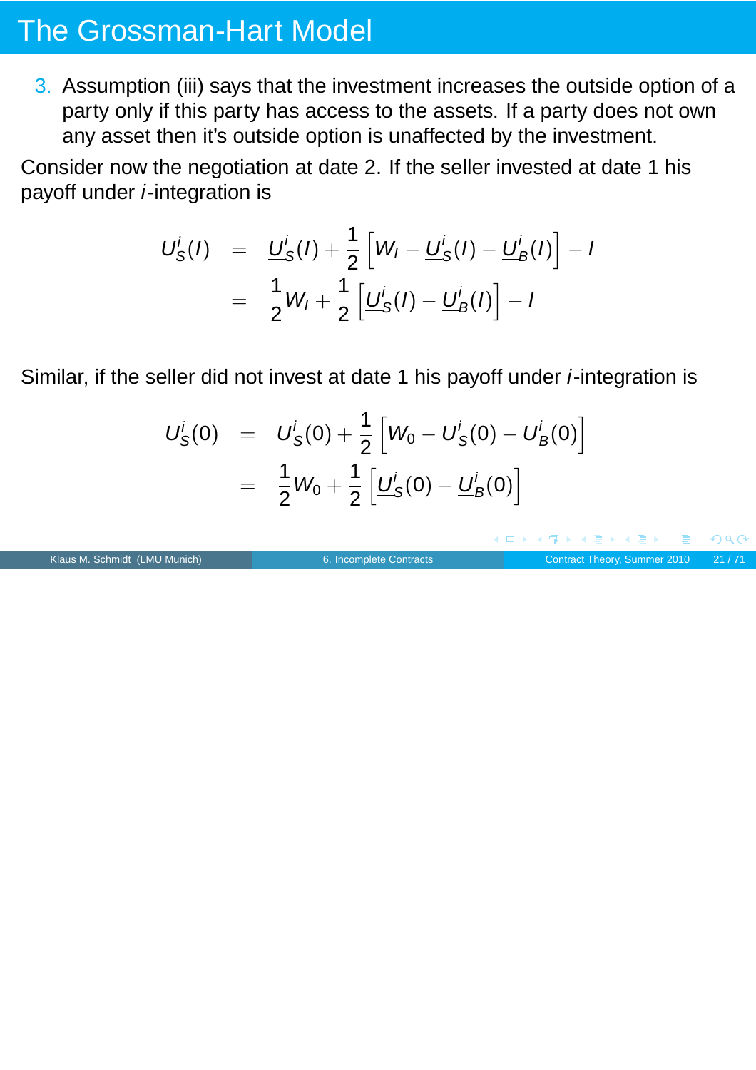3. Assumption (iii) says that the investment increases the outside option of a party only if this party has access to the assets. If a party does not own any asset then it's outside option is unaffected by the investment.

Consider now the negotiation at date 2. If the seller invested at date 1 his payoff under *i*-integration is

$$
U_S^i(I) = \underline{U}_S^i(I) + \frac{1}{2} \left[ W_I - \underline{U}_S^i(I) - \underline{U}_B^i(I) \right] - I
$$
  
=  $\frac{1}{2}W_I + \frac{1}{2} \left[ \underline{U}_S^i(I) - \underline{U}_B^i(I) \right] - I$ 

Similar, if the seller did not invest at date 1 his payoff under i-integration is

$$
U_S^i(0) = \underline{U}_S^i(0) + \frac{1}{2} \left[ W_0 - \underline{U}_S^i(0) - \underline{U}_B^i(0) \right]
$$
  
=  $\frac{1}{2} W_0 + \frac{1}{2} \left[ \underline{U}_S^i(0) - \underline{U}_B^i(0) \right]$ 

Klaus M. Schmidt (LMU Munich) [6. Incomplete Contracts](#page-0-0) Contract Theory, Summer 2010 21/71

 $\Rightarrow$ 

 $PQQ$ 

(ロ ) ( 何 ) ( ミ ) ( ミ )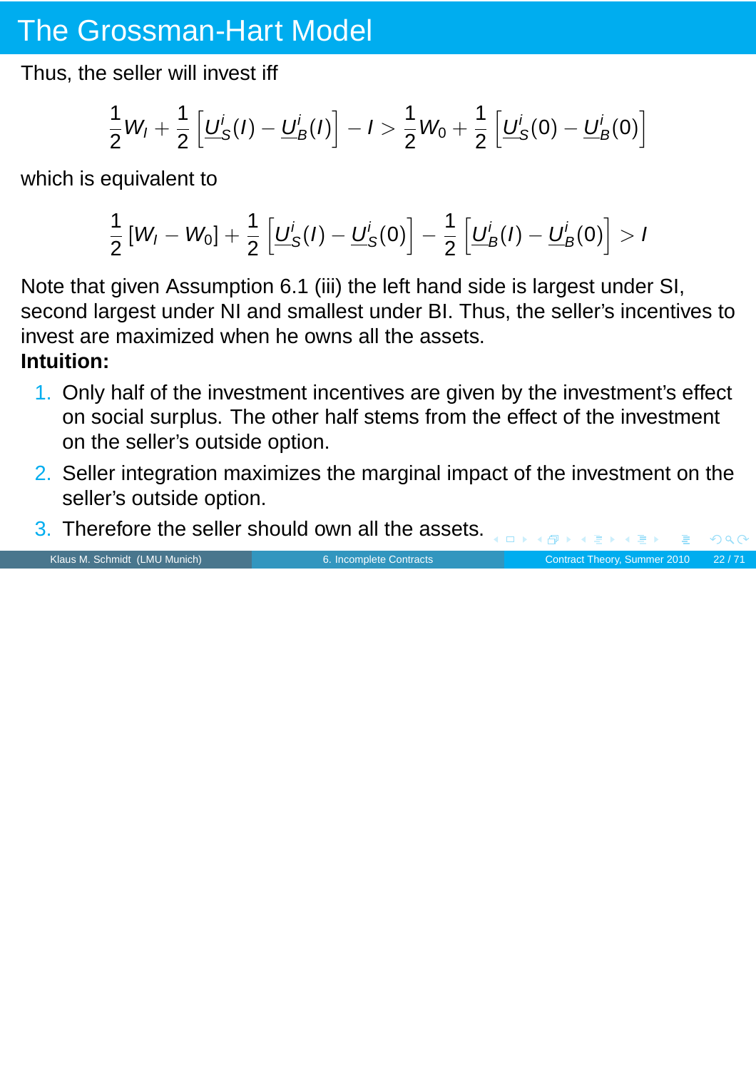Thus, the seller will invest iff

$$
\frac{1}{2}W_I + \frac{1}{2}\left[\underline{U}_S^i(I) - \underline{U}_B^i(I)\right] - I > \frac{1}{2}W_0 + \frac{1}{2}\left[\underline{U}_S^i(0) - \underline{U}_B^i(0)\right]
$$

which is equivalent to

$$
\frac{1}{2}[W_{I}-W_{0}]+\frac{1}{2}\left[\underline{U}_{S}^{i}(I)-\underline{U}_{S}^{i}(0)\right]-\frac{1}{2}\left[\underline{U}_{B}^{i}(I)-\underline{U}_{B}^{i}(0)\right]>I
$$

Note that given Assumption 6.1 (iii) the left hand side is largest under SI, second largest under NI and smallest under BI. Thus, the seller's incentives to invest are maximized when he owns all the assets. **Intuition:**

- 1. Only half of the investment incentives are given by the investment's effect on social surplus. The other half stems from the effect of the investment on the seller's outside option.
- 2. Seller integration maximizes the marginal impact of the investment on the seller's outside option.
- 3. Therefore the seller should own all the assets.

Klaus M. Schmidt (LMU Munich) [6. Incomplete Contracts](#page-0-0) Contract Contract Theory, Summer 2010 22/71

 $PQQ$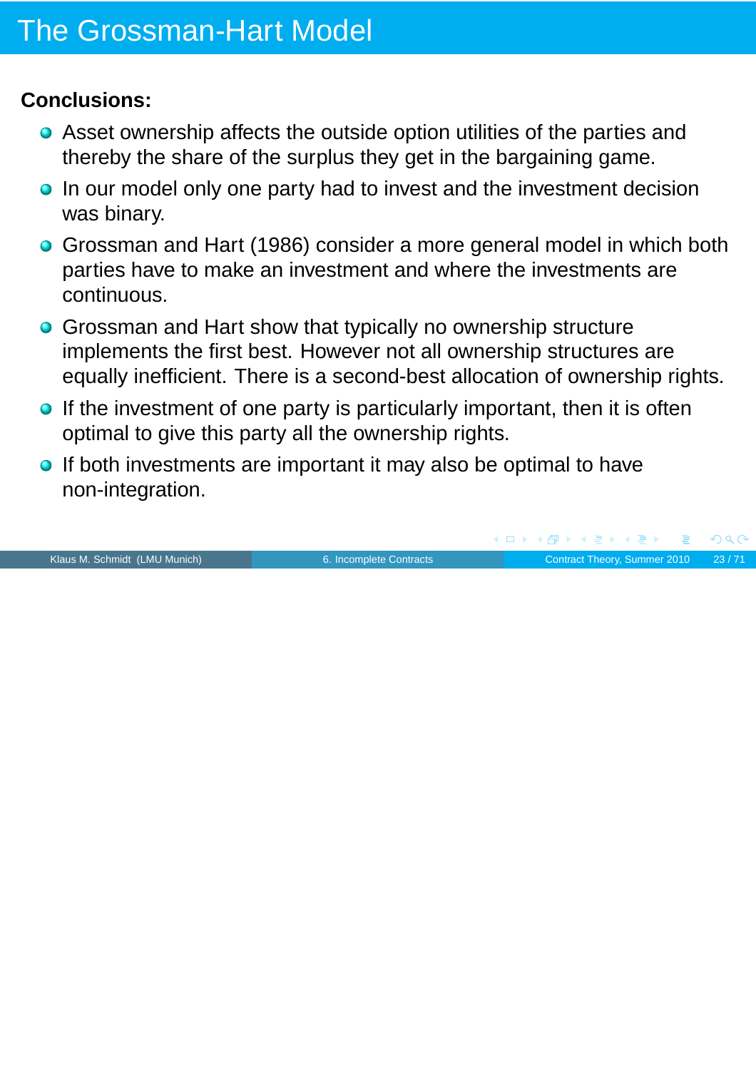### **Conclusions:**

- Asset ownership affects the outside option utilities of the parties and thereby the share of the surplus they get in the bargaining game.
- **In our model only one party had to invest and the investment decision** was binary.
- Grossman and Hart (1986) consider a more general model in which both parties have to make an investment and where the investments are continuous.
- **Grossman and Hart show that typically no ownership structure** implements the first best. However not all ownership structures are equally inefficient. There is a second-best allocation of ownership rights.
- $\bullet$  If the investment of one party is particularly important, then it is often optimal to give this party all the ownership rights.
- **If both investments are important it may also be optimal to have** non-integration.

Klaus M. Schmidt (LMU Munich) [6. Incomplete Contracts](#page-0-0) Contract Theory, Summer 2010 23/71

 $PQC$ 

 $\blacktriangleleft \overline{\mathcal{P}}$   $\blacktriangleright$   $\blacktriangleleft \overline{\mathcal{P}}$   $\blacktriangleright$   $\blacktriangleleft \overline{\mathcal{P}}$   $\blacktriangleright$ 

 $\leftarrow$   $\Box$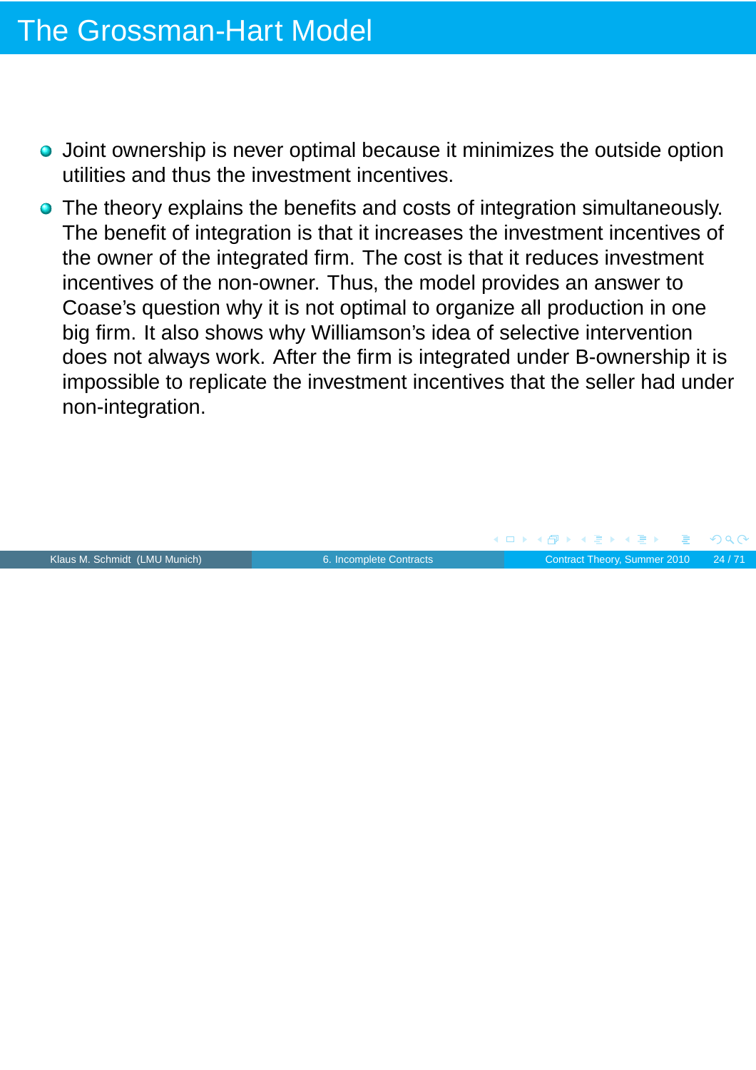- Joint ownership is never optimal because it minimizes the outside option utilities and thus the investment incentives.
- **•** The theory explains the benefits and costs of integration simultaneously. The benefit of integration is that it increases the investment incentives of the owner of the integrated firm. The cost is that it reduces investment incentives of the non-owner. Thus, the model provides an answer to Coase's question why it is not optimal to organize all production in one big firm. It also shows why Williamson's idea of selective intervention does not always work. After the firm is integrated under B-ownership it is impossible to replicate the investment incentives that the seller had under non-integration.

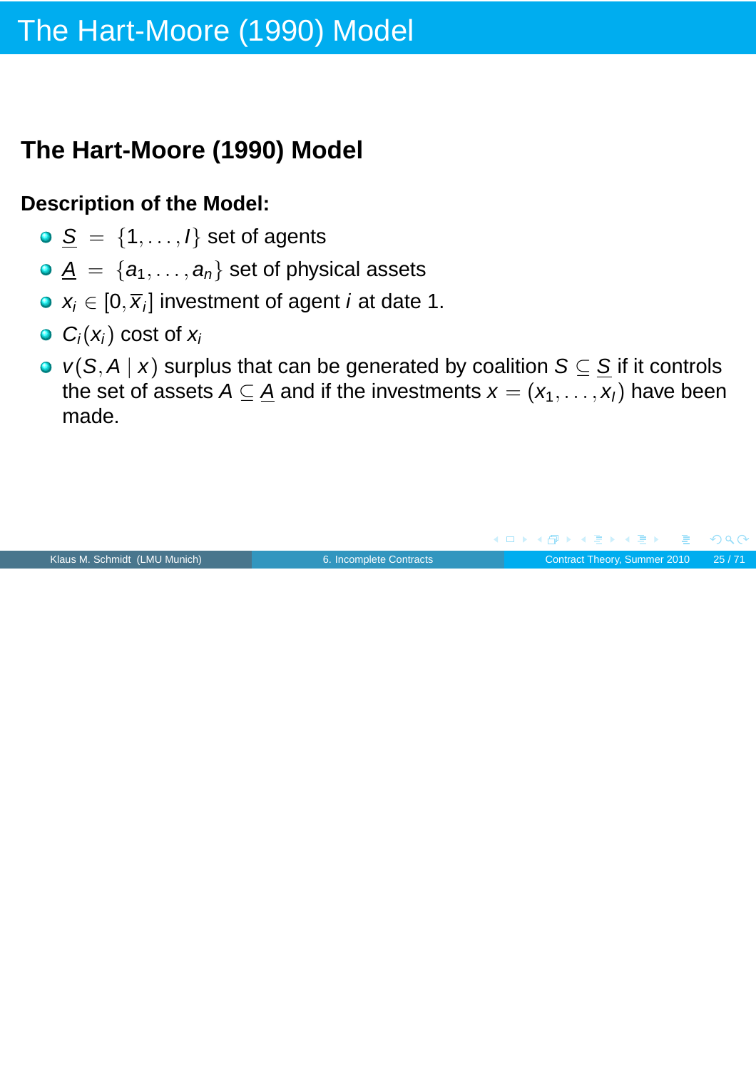## **The Hart-Moore (1990) Model**

### **Description of the Model:**

- $S = \{1, \ldots, l\}$  set of agents
- $\mathbf{A} = \{a_1, \ldots, a_n\}$  set of physical assets
- $x_i \in [0, \overline{x}_i]$  investment of agent *i* at date 1.
- $\bullet$  C<sub>i</sub>(x<sub>i</sub>) cost of x<sub>i</sub>
- $v(S, A | x)$  surplus that can be generated by coalition  $S \subseteq S$  if it controls the set of assets  $A \subseteq \underline{A}$  and if the investments  $x = (x_1, \ldots, x_l)$  have been made.

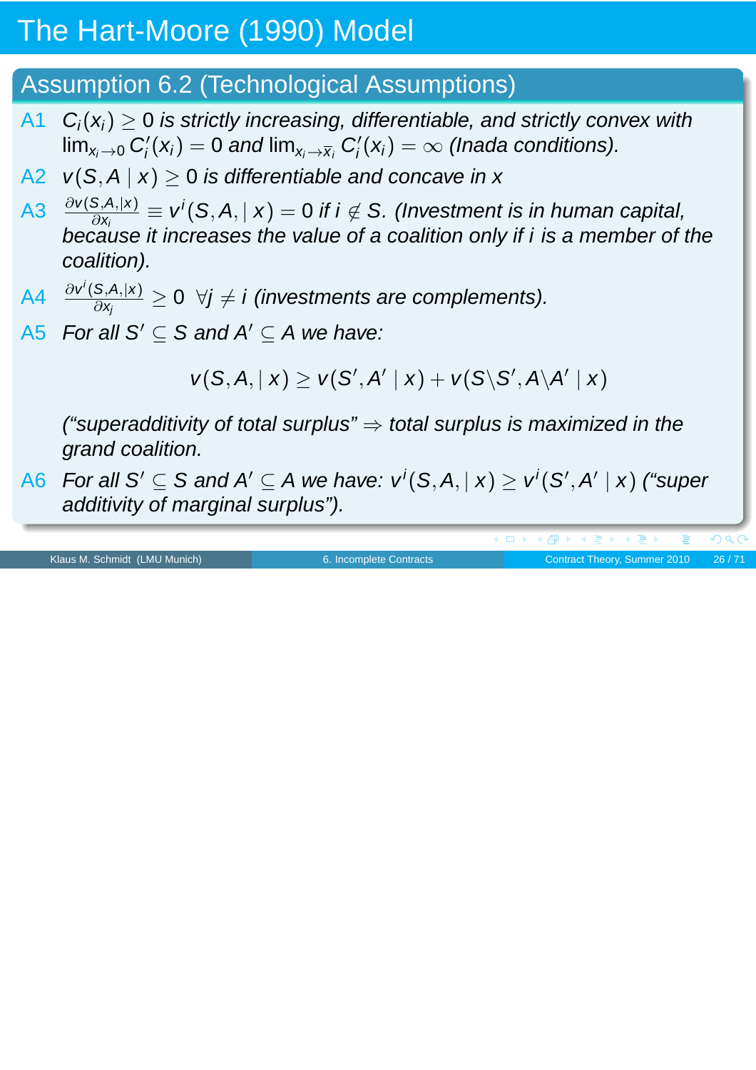### Assumption 6.2 (Technological Assumptions)

- A1  $C_i(x_i) \geq 0$  is strictly increasing, differentiable, and strictly convex with  $\mathsf{lim}_{\mathsf{x}_i\rightarrow 0}$   $C_i'$  $\mathbf{g}_i'(\mathsf{x}_i) = 0$  and  $\mathsf{lim}_{\mathsf{x}_i \rightarrow \overline{\mathsf{x}}_i}$   $\mathsf{C}_i'$  $\beta_i'(x_i) = \infty$  (Inada conditions).
- A2  $v(S, A | x) \ge 0$  is differentiable and concave in x
- A3  $\frac{\partial v(S,A,|x)}{\partial x_i} \equiv v'(S,A,|x) = 0$  if  $i \notin S$ . (Investment is in human capital, because it increases the value of a coalition only if  $i$  is a member of the coalition).
- A4  $\frac{\partial v^i(S,A,|x)}{\partial x}$  $\frac{\mathcal{S},\mathcal{A},|\mathcal{X}|}{\partial x_j} \geq 0 \;\; \forall j \neq i$  (investments are complements).
- A5 For all S'  $\subseteq$  S and A'  $\subseteq$  A we have:

 $v(S, A, | x) \geq v(S', A' | x) + v(S \ S', A \ A' | x)$ 

("superadditivity of total surplus"  $\Rightarrow$  total surplus is maximized in the grand coalition.

A6 For all S'  $\subseteq$  S and A'  $\subseteq$  A we have:  $v^i(S, A, |$   $x)$   $\geq$   $v^i(S', A' |$   $x)$  ("super additivity of marginal surplus").

Klaus M. Schmidt (LMU Munich) **6.** Incomplete Contracts Contract Theory, Summer 2010 26/71

 $\leftarrow$   $\Box$ 

(@) ( ≥ ) ( ≥ )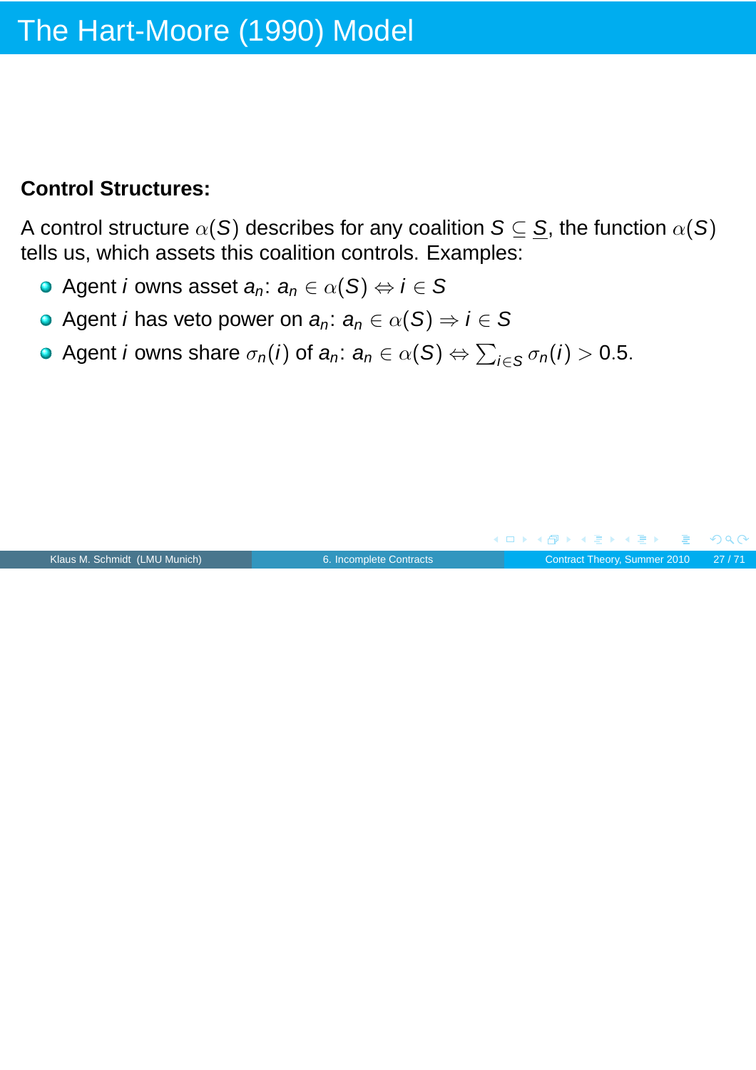### **Control Structures:**

A control structure  $\alpha(S)$  describes for any coalition  $S \subseteq S$ , the function  $\alpha(S)$ tells us, which assets this coalition controls. Examples:

- Agent i owns asset  $a_n: a_n \in \alpha(S) \Leftrightarrow i \in S$
- Agent *i* has veto power on  $a_n: a_n \in \alpha(S) \Rightarrow i \in S$
- Agent *i* owns share  $\sigma_n(i)$  of  $\bm{a}_n: \bm{a}_n \in \alpha(\mathcal{S}) \Leftrightarrow \sum_{i \in \mathcal{S}} \sigma_n(i) > 0.5.$

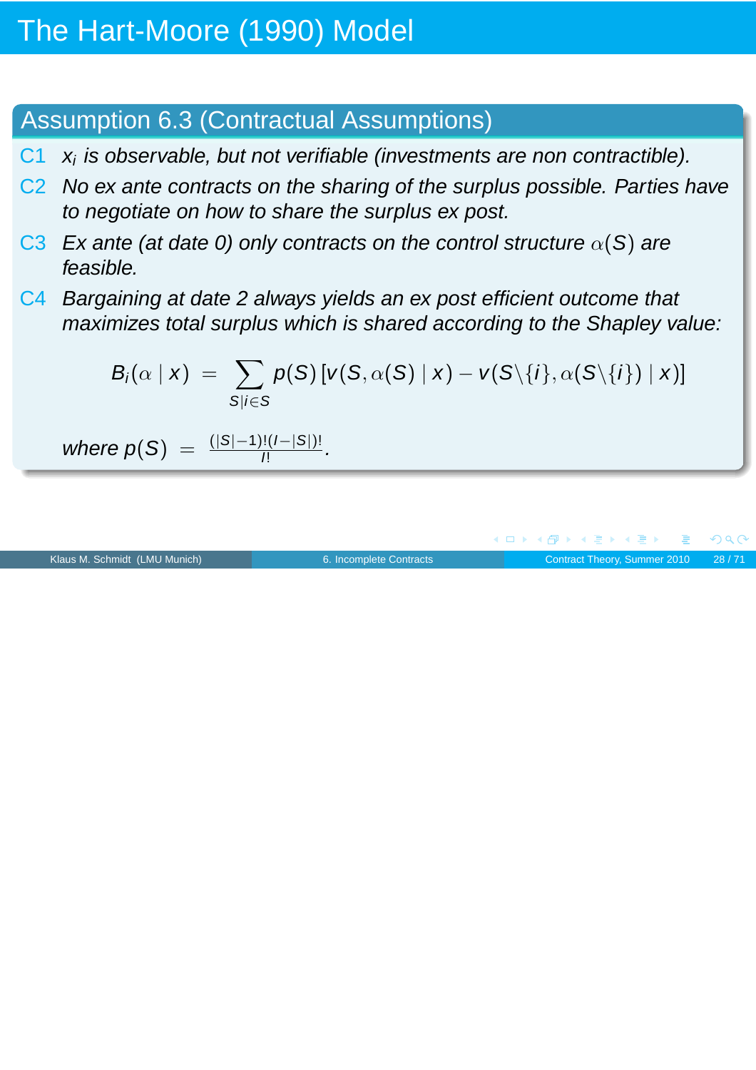### Assumption 6.3 (Contractual Assumptions)

- $C_1$   $x_i$  is observable, but not verifiable (investments are non contractible).
- C2 No ex ante contracts on the sharing of the surplus possible. Parties have to negotiate on how to share the surplus ex post.
- C3 Ex ante (at date 0) only contracts on the control structure  $\alpha(S)$  are feasible.
- C4 Bargaining at date 2 always yields an ex post efficient outcome that maximizes total surplus which is shared according to the Shapley value:

$$
B_i(\alpha \mid x) = \sum_{S \mid i \in S} p(S) \left[ v(S, \alpha(S) \mid x) - v(S \setminus \{i\}, \alpha(S \setminus \{i\}) \mid x) \right]
$$

where  $p(S) = \frac{(|S|-1)!(|I-|S|)!}{|I|}$ .

|                               |                         | - ◀ㅁ▶ ◀ @ ▶ ◀ 로 ▶ ◀ 로 ▶ - 로 - め९♡- |  |
|-------------------------------|-------------------------|------------------------------------|--|
| Klaus M. Schmidt (LMU Munich) | 6. Incomplete Contracts | Contract Theory, Summer 2010 28/71 |  |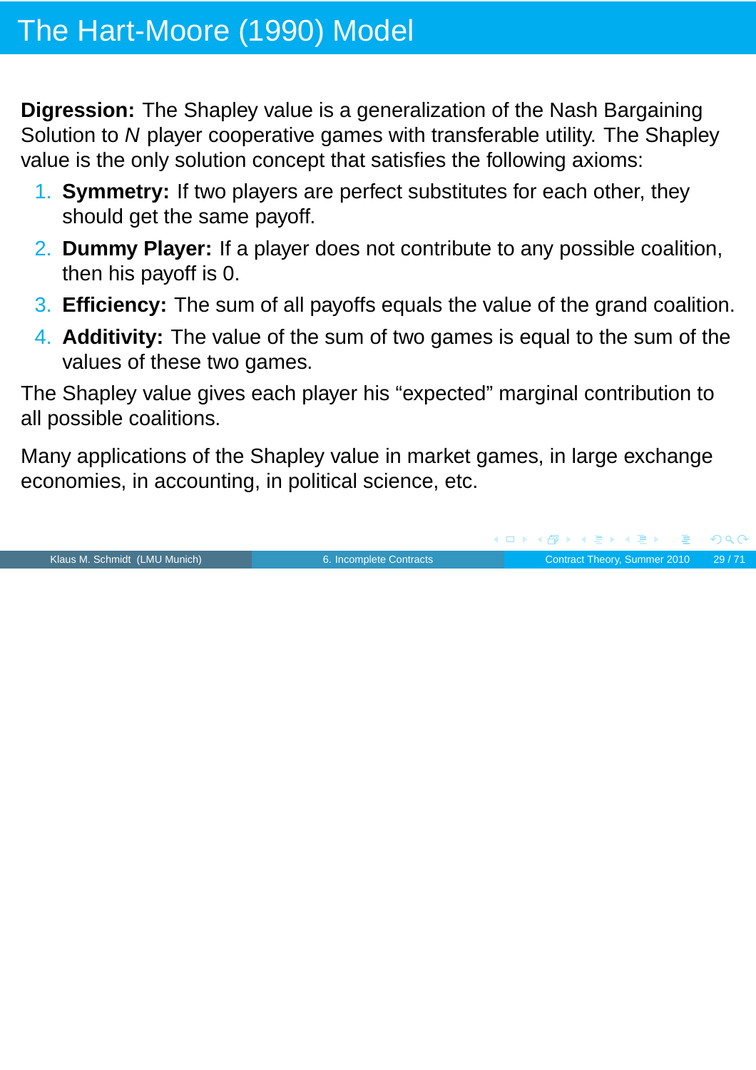**Digression:** The Shapley value is a generalization of the Nash Bargaining Solution to N player cooperative games with transferable utility. The Shapley value is the only solution concept that satisfies the following axioms:

- 1. **Symmetry:** If two players are perfect substitutes for each other, they should get the same payoff.
- 2. **Dummy Player:** If a player does not contribute to any possible coalition, then his payoff is 0.
- 3. **Efficiency:** The sum of all payoffs equals the value of the grand coalition.
- 4. **Additivity:** The value of the sum of two games is equal to the sum of the values of these two games.

The Shapley value gives each player his "expected" marginal contribution to all possible coalitions.

Many applications of the Shapley value in market games, in large exchange economies, in accounting, in political science, etc.

Klaus M. Schmidt (LMU Munich) [6. Incomplete Contracts](#page-0-0) Contract Theory, Summer 2010 29/71

 $OQ$ 

(ロ ) ( 何 ) ( ミ ) ( ミ )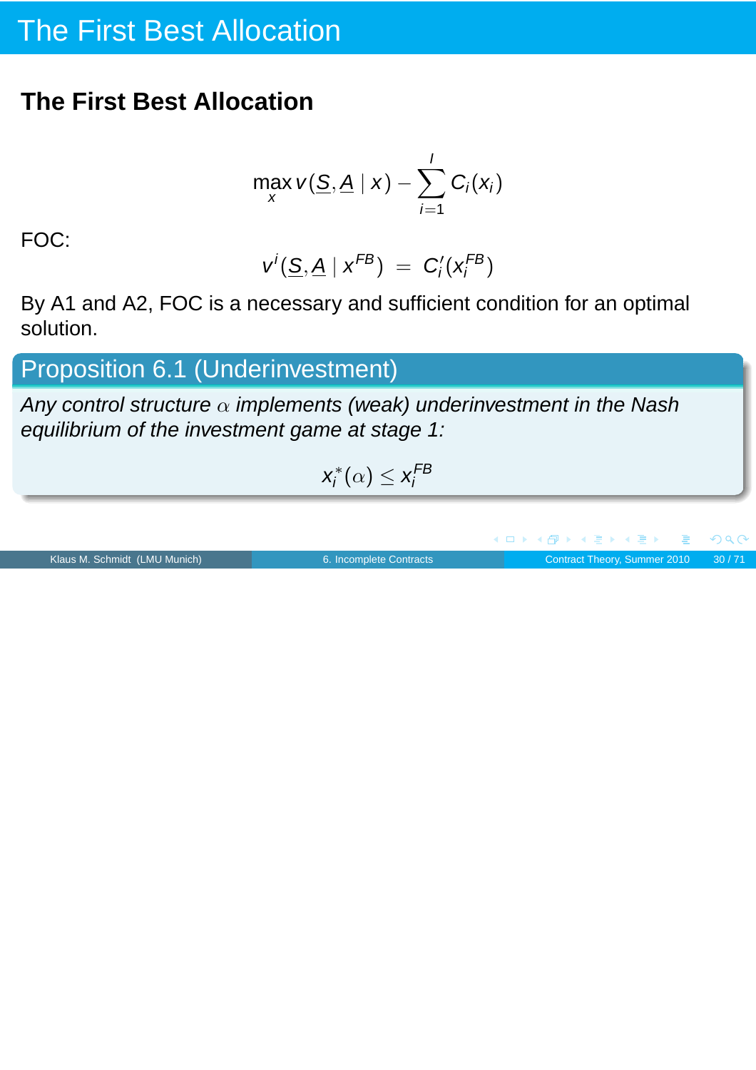## The First Best Allocation

### **The First Best Allocation**

$$
\max_{x} v(\underline{S}, \underline{A} | x) - \sum_{i=1}^{I} C_i(x_i)
$$

FOC:

$$
v^i(\underline{S}, \underline{A} \mid x^{FB}) = C'_i(x_i^{FB})
$$

By A1 and A2, FOC is a necessary and sufficient condition for an optimal solution.

Proposition 6.1 (Underinvestment)

Any control structure  $\alpha$  implements (weak) underinvestment in the Nash equilibrium of the investment game at stage 1:

$$
x_i^*(\alpha) \leq x_i^{FB}
$$

 $\Box$ 

高

Klaus M. Schmidt (LMU Munich) [6. Incomplete Contracts](#page-0-0) Contract Theory, Summer 2010 30/71

 $2Q$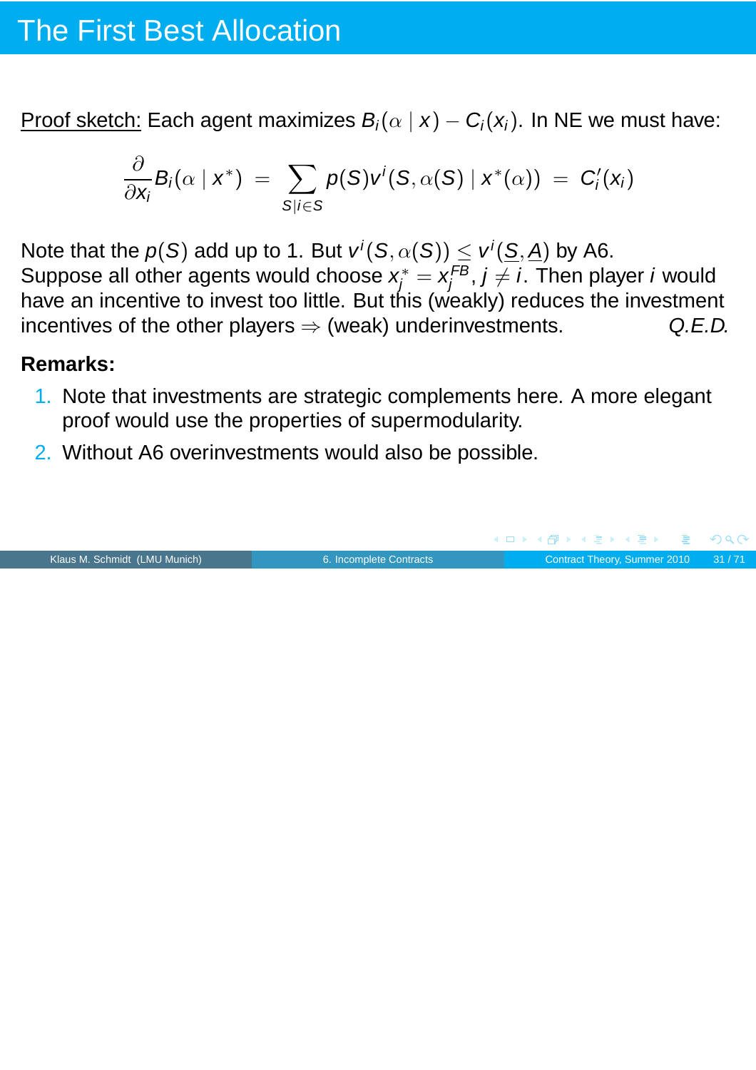## The First Best Allocation

Proof sketch: Each agent maximizes  $B_i(\alpha | x) - C_i(x_i)$ . In NE we must have:

$$
\frac{\partial}{\partial x_i}B_i(\alpha \mid x^*) = \sum_{S|i \in S} p(S)v^i(S, \alpha(S) \mid x^*(\alpha)) = C'_i(x_i)
$$

Note that the  $p(S)$  add up to 1. But  $v^{i}(S, \alpha(S)) \leq v^{i}(\underline{S}, \underline{A})$  by A6. Suppose all other agents would choose  $x_j^*=x_j^{FB}$  $j_f^{\prime\prime B},\,j\neq i.$  Then player  $i$  would have an incentive to invest too little. But this (weakly) reduces the investment incentives of the other players  $\Rightarrow$  (weak) underinvestments. Q.E.D.

#### **Remarks:**

- 1. Note that investments are strategic complements here. A more elegant proof would use the properties of supermodularity.
- 2. Without A6 overinvestments would also be possible.

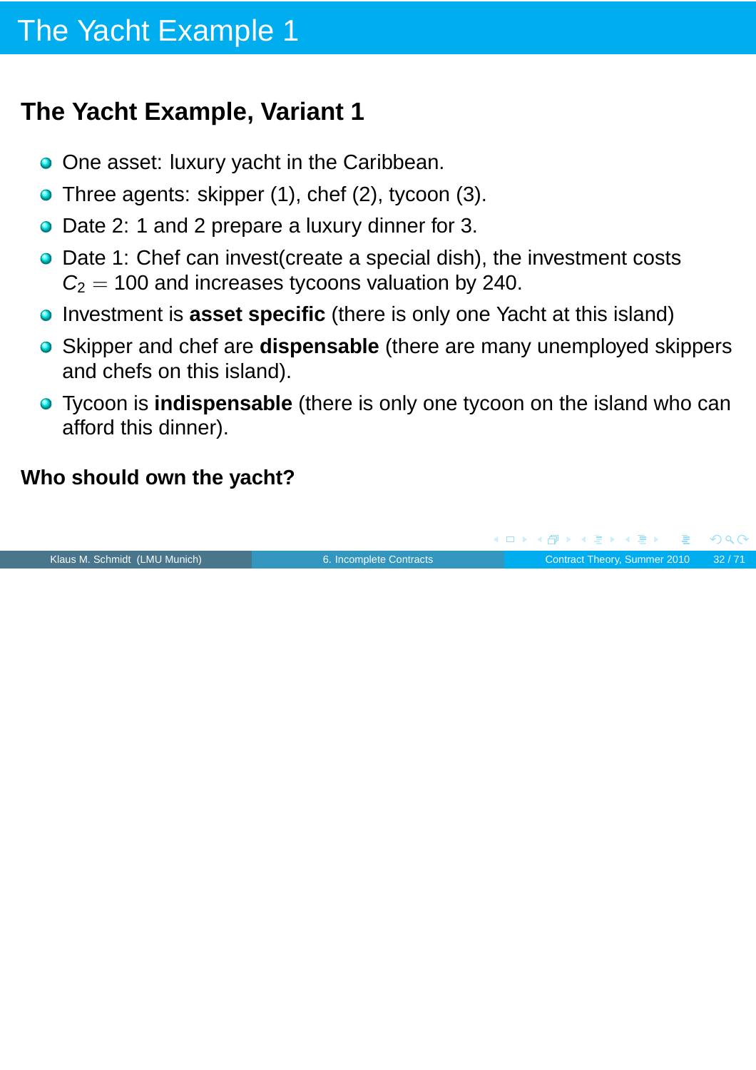## **The Yacht Example, Variant 1**

- O One asset: luxury yacht in the Caribbean.
- Three agents: skipper (1), chef (2), tycoon (3).
- Date 2: 1 and 2 prepare a luxury dinner for 3.
- **•** Date 1: Chef can invest (create a special dish), the investment costs  $C_2 = 100$  and increases tycoons valuation by 240.
- **•** Investment is **asset specific** (there is only one Yacht at this island)
- Skipper and chef are **dispensable** (there are many unemployed skippers and chefs on this island).
- Tycoon is **indispensable** (there is only one tycoon on the island who can afford this dinner).

### **Who should own the yacht?**

(ロ) (個) (目) (手)  $PQC$ Klaus M. Schmidt (LMU Munich) [6. Incomplete Contracts](#page-0-0) Contract Theory, Summer 2010 32/71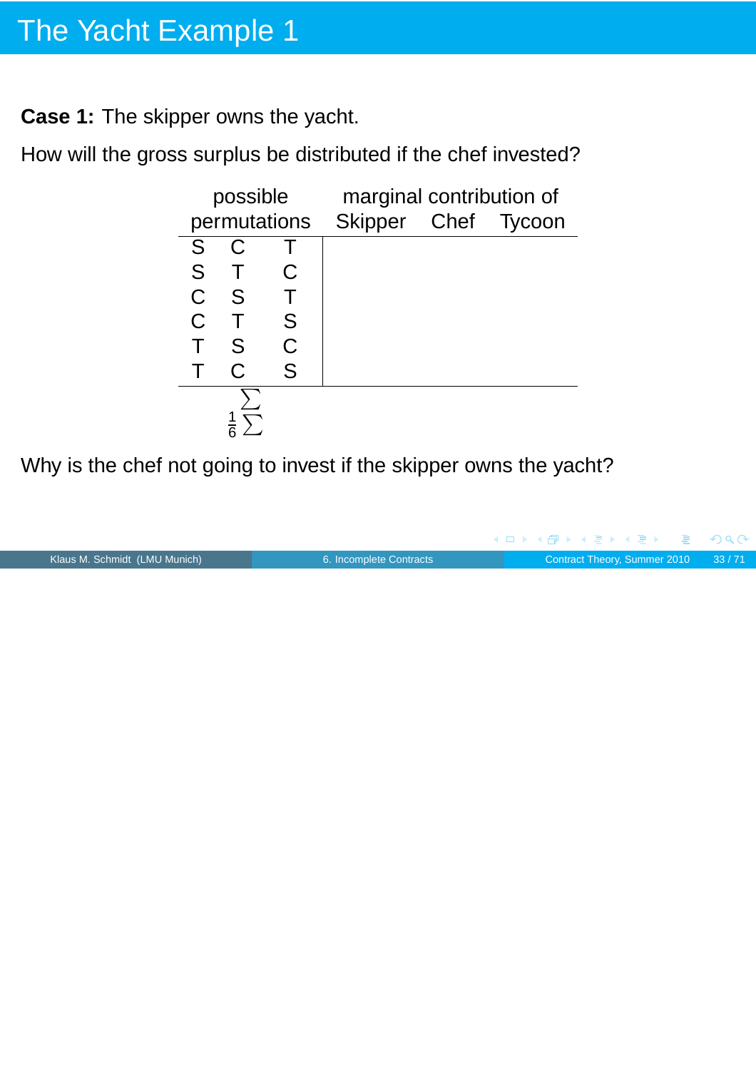**Case 1:** The skipper owns the yacht.

How will the gross surplus be distributed if the chef invested?

|             | possible     |              | marginal contribution of |  |
|-------------|--------------|--------------|--------------------------|--|
|             |              | permutations | Skipper Chef Tycoon      |  |
| S           | C            |              |                          |  |
| S           |              | C            |                          |  |
| $\mathsf C$ | <b>S</b>     |              |                          |  |
| C           |              | S            |                          |  |
|             | S            | C            |                          |  |
|             | $\mathsf{C}$ | S            |                          |  |
|             |              |              |                          |  |
|             |              |              |                          |  |

Why is the chef not going to invest if the skipper owns the yacht?

|                               |                         |  |  |  | - ◀ ㅁ ▶ ◀ 何 ▶ ◀ 로 ▶ ◀ 로 ▶ - 로 - ∽ 이 ٩ (^ |
|-------------------------------|-------------------------|--|--|--|------------------------------------------|
| Klaus M. Schmidt (LMU Munich) | 6. Incomplete Contracts |  |  |  | Contract Theory, Summer 2010 33/71       |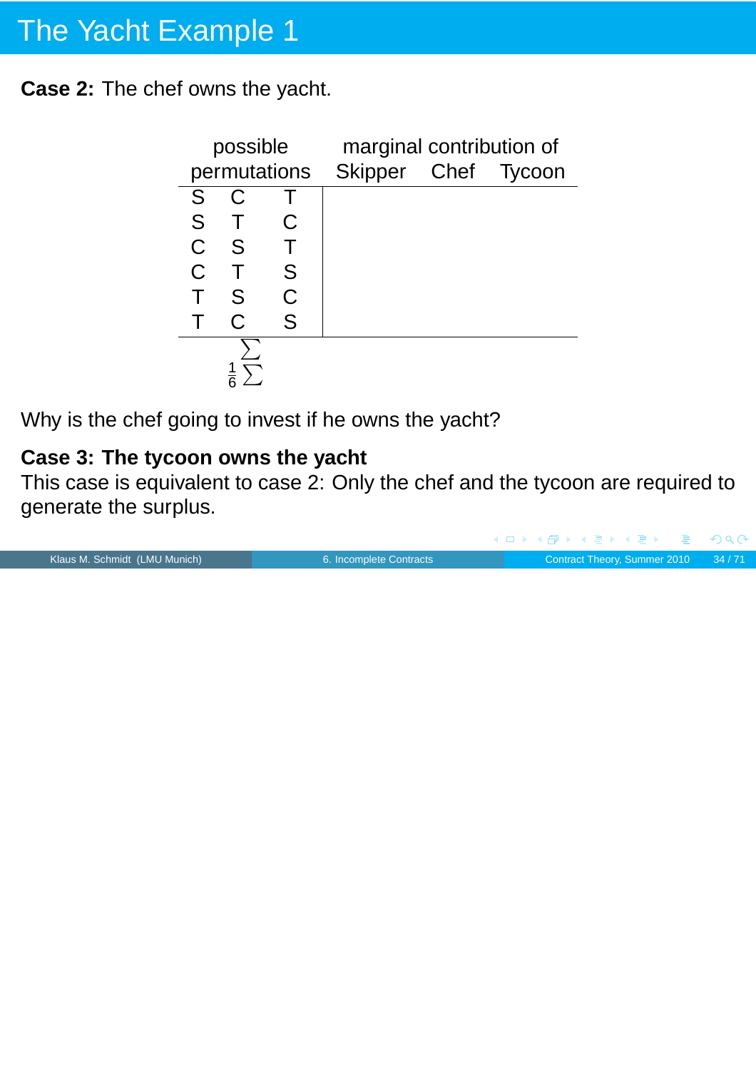**Case 2:** The chef owns the yacht.

|              | possible |   | marginal contribution of         |  |
|--------------|----------|---|----------------------------------|--|
|              |          |   | permutations Skipper Chef Tycoon |  |
| S            | C        |   |                                  |  |
| S.           |          | С |                                  |  |
| $\mathsf{C}$ | - S      |   |                                  |  |
| $\mathsf C$  |          | S |                                  |  |
|              | S        | Ć |                                  |  |
|              | C        | S |                                  |  |
|              |          |   |                                  |  |
|              |          |   |                                  |  |

Why is the chef going to invest if he owns the yacht?

### **Case 3: The tycoon owns the yacht**

This case is equivalent to case 2: Only the chef and the tycoon are required to generate the surplus.

|                               |                         |  |  | - ◀ ㅁ ▶ ◀ @ ▶ ◀ 로 ▶ ◀ 로 ▶ _ 로 _ ⊙ ٩,0^ |
|-------------------------------|-------------------------|--|--|----------------------------------------|
| Klaus M. Schmidt (LMU Munich) | 6. Incomplete Contracts |  |  | Contract Theory, Summer 2010 34/71     |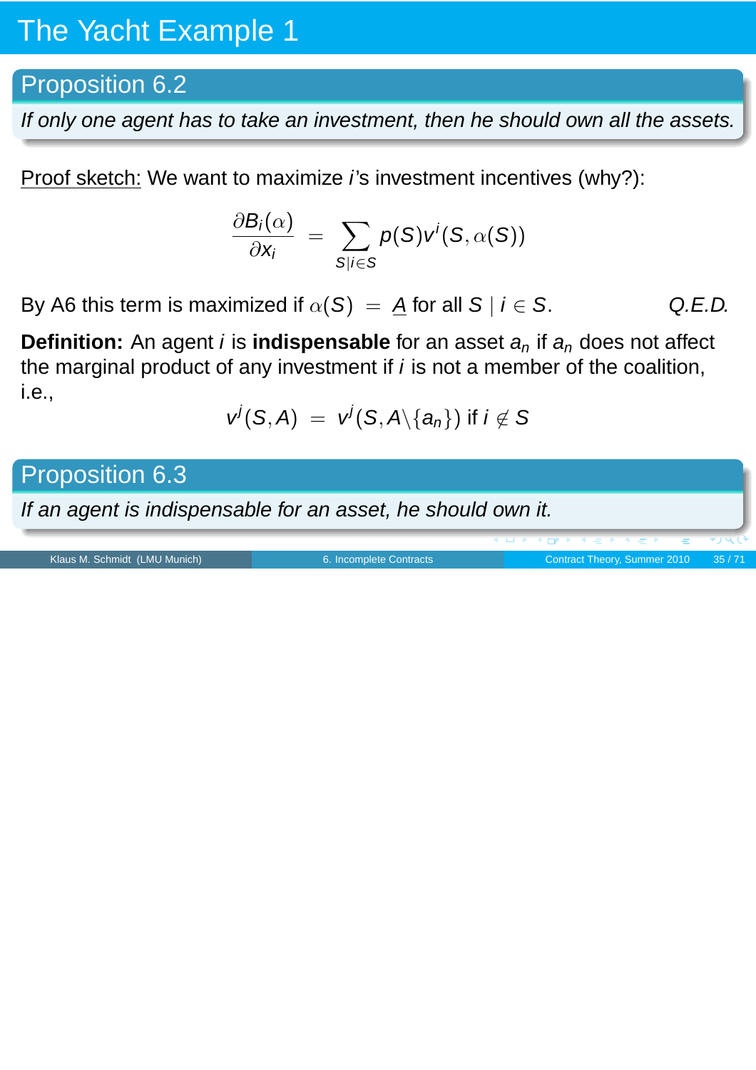### Proposition 6.2

If only one agent has to take an investment, then he should own all the assets.

Proof sketch: We want to maximize *i*'s investment incentives (why?):

$$
\frac{\partial B_i(\alpha)}{\partial x_i} = \sum_{S|i \in S} p(S)v^i(S, \alpha(S))
$$

By A6 this term is maximized if  $\alpha(S) = A$  for all  $S \mid i \in S$ . Q.E.D.

**Definition:** An agent *i* is **indispensable** for an asset  $a_n$  if  $a_n$  does not affect the marginal product of any investment if  $i$  is not a member of the coalition, i.e.,

$$
v^j(S,A) = v^j(S,A \setminus \{a_n\}) \text{ if } i \notin S
$$

Proposition 6.3

If an agent is indispensable for an asset, he should own it.

Klaus M. Schmidt (LMU Munich) [6. Incomplete Contracts](#page-0-0) Contract Contract Theory, Summer 2010 35/71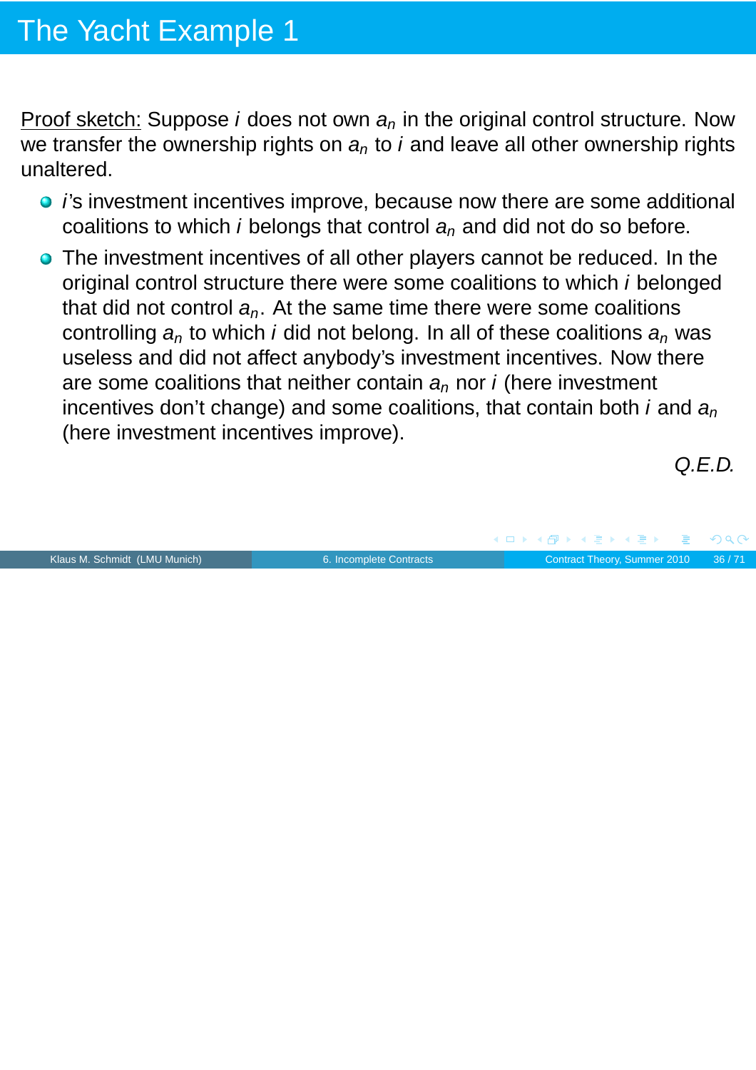Proof sketch: Suppose *i* does not own  $a_n$  in the original control structure. Now we transfer the ownership rights on  $a_n$  to *i* and leave all other ownership rights unaltered.

- *i's* investment incentives improve, because now there are some additional coalitions to which *i* belongs that control  $a_n$  and did not do so before.
- The investment incentives of all other players cannot be reduced. In the original control structure there were some coalitions to which i belonged that did not control  $a_n$ . At the same time there were some coalitions controlling  $a_n$  to which *i* did not belong. In all of these coalitions  $a_n$  was useless and did not affect anybody's investment incentives. Now there are some coalitions that neither contain  $a_n$  nor *i* (here investment incentives don't change) and some coalitions, that contain both i and  $a_n$ (here investment incentives improve).

Klaus M. Schmidt (LMU Munich) [6. Incomplete Contracts](#page-0-0) Contract Theory, Summer 2010 36/71

Q.E.D.

 $\sqrt{m}$   $\rightarrow$   $\sqrt{m}$   $\rightarrow$   $\sqrt{m}$   $\rightarrow$ 

 $\leftarrow$   $\Box$ 

 $PQC$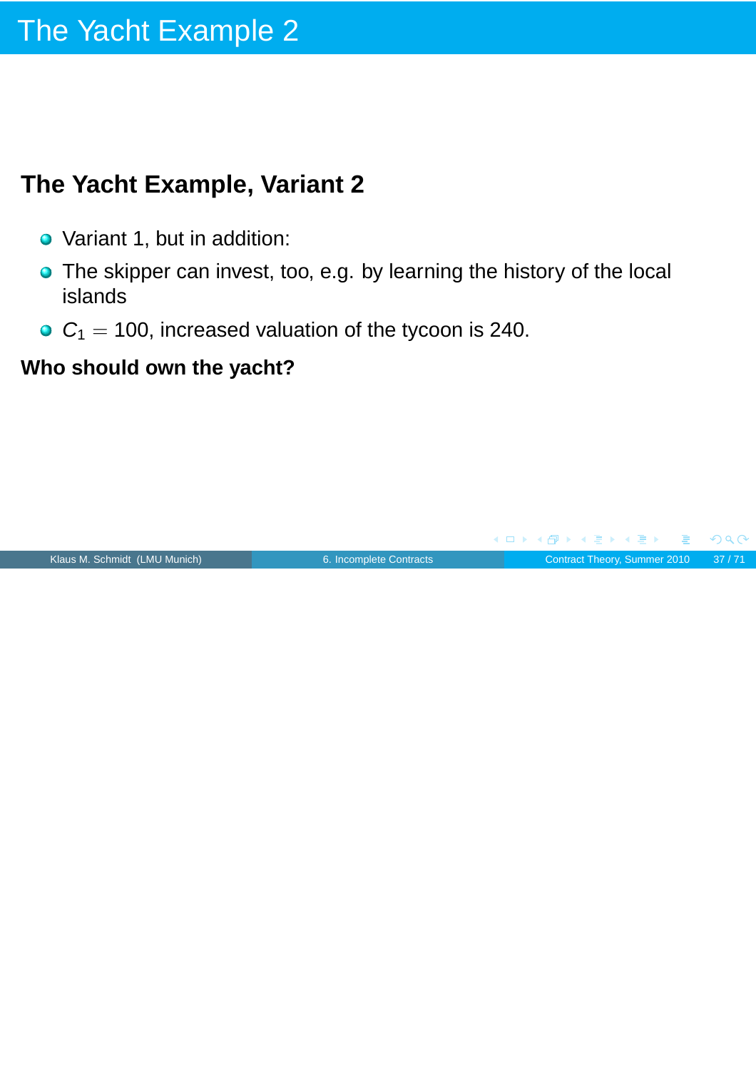## **The Yacht Example, Variant 2**

- Variant 1, but in addition:
- **•** The skipper can invest, too, e.g. by learning the history of the local islands
- $C_1 = 100$ , increased valuation of the tycoon is 240.

### **Who should own the yacht?**

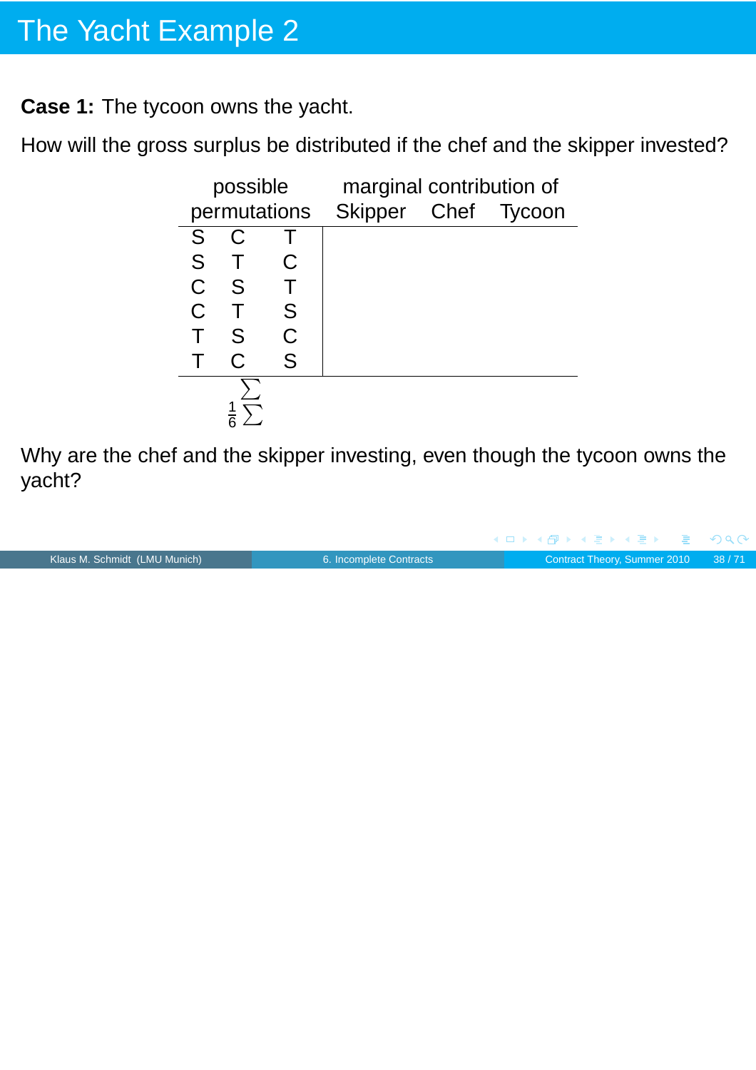**Case 1:** The tycoon owns the yacht.

How will the gross surplus be distributed if the chef and the skipper invested?



Why are the chef and the skipper investing, even though the tycoon owns the yacht?

|                               |                         |  |  | - ◀ㅁ▶ ◀ @ ▶ ◀ 로 ▶ ◀ 로 ▶ - 로 - め९०  |
|-------------------------------|-------------------------|--|--|------------------------------------|
| Klaus M. Schmidt (LMU Munich) | 6. Incomplete Contracts |  |  | Contract Theory, Summer 2010 38/71 |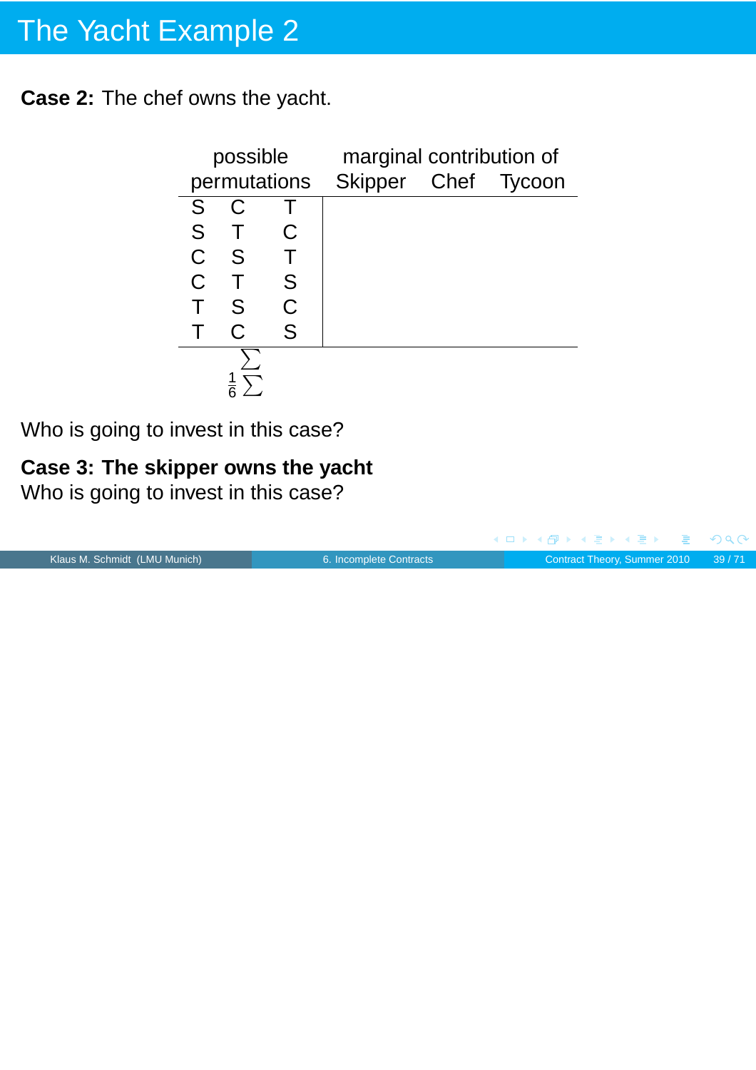**Case 2:** The chef owns the yacht.

|             | possible |              | marginal contribution of |  |  |
|-------------|----------|--------------|--------------------------|--|--|
|             |          | permutations | Skipper Chef Tycoon      |  |  |
| S           |          |              |                          |  |  |
| S           |          |              |                          |  |  |
| $\mathsf C$ | S        |              |                          |  |  |
| C           |          | S            |                          |  |  |
|             | S        | Ć            |                          |  |  |
|             | C.       | S            |                          |  |  |
|             |          |              |                          |  |  |
|             |          |              |                          |  |  |

Who is going to invest in this case?

### **Case 3: The skipper owns the yacht**

Who is going to invest in this case?

|                               |                         | - ◀ ㅁ ▶ ◀ 何 ▶ ◀ 로 ▶ ◀ 로 ▶ - 로 - ∽ 이 ٩ (^ |  |
|-------------------------------|-------------------------|------------------------------------------|--|
| Klaus M. Schmidt (LMU Munich) | 6. Incomplete Contracts | Contract Theory, Summer 2010 39/71       |  |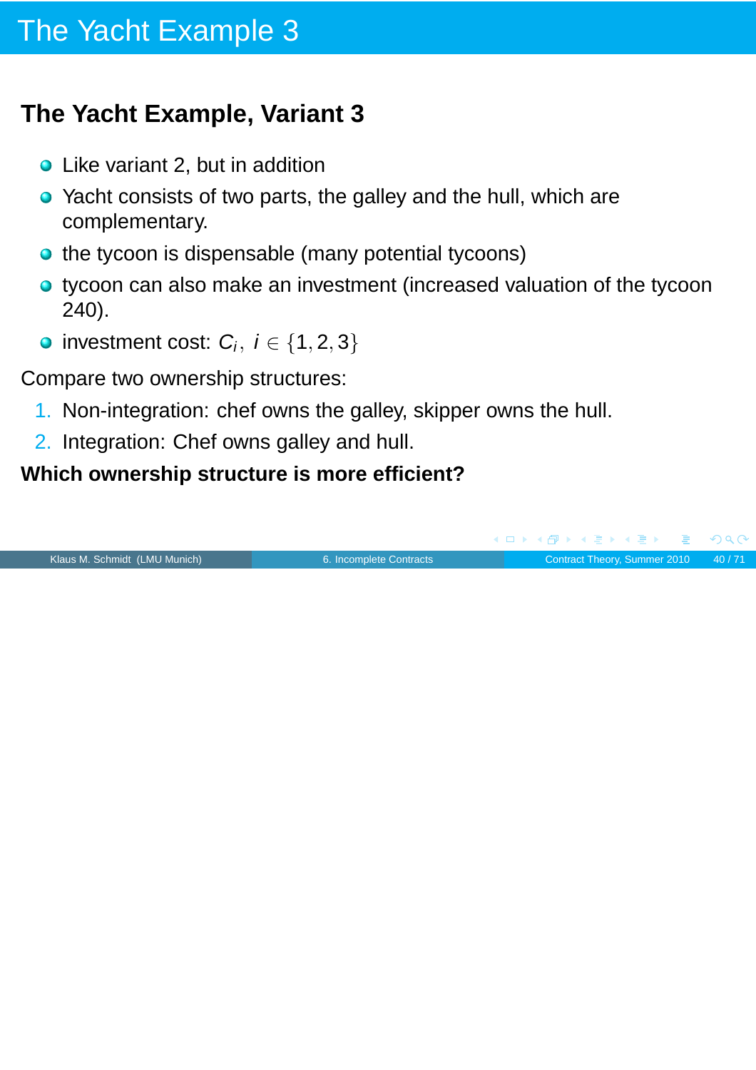## **The Yacht Example, Variant 3**

- Like variant 2, but in addition
- Yacht consists of two parts, the galley and the hull, which are complementary.
- the tycoon is dispensable (many potential tycoons)
- tycoon can also make an investment (increased valuation of the tycoon 240).
- investment cost:  $C_i$ ,  $i \in \{1, 2, 3\}$

Compare two ownership structures:

- 1. Non-integration: chef owns the galley, skipper owns the hull.
- 2. Integration: Chef owns galley and hull.

### **Which ownership structure is more efficient?**

Klaus M. Schmidt (LMU Munich) [6. Incomplete Contracts](#page-0-0) Contract Theory, Summer 2010 40/71

(ロ) (個) (目) (手)

 $PQQ$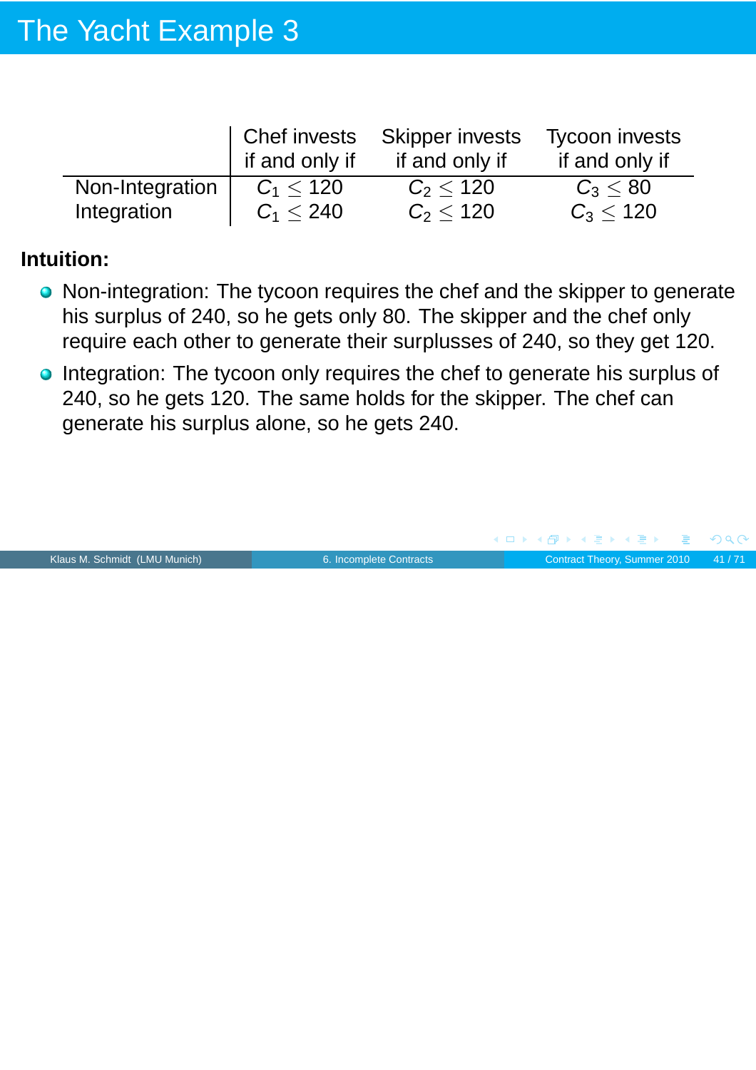|                 | Chef invests   | <b>Skipper invests</b> | <b>Tycoon invests</b> |
|-----------------|----------------|------------------------|-----------------------|
|                 | if and only if | if and only if         | if and only if        |
| Non-Integration | $C_1 < 120$    | $C_2 < 120$            | $C_3 < 80$            |
| Integration     | $C_1 < 240$    | $C_2 < 120$            | $C_3 < 120$           |

#### **Intuition:**

- Non-integration: The tycoon requires the chef and the skipper to generate his surplus of 240, so he gets only 80. The skipper and the chef only require each other to generate their surplusses of 240, so they get 120.
- **Integration: The tycoon only requires the chef to generate his surplus of** 240, so he gets 120. The same holds for the skipper. The chef can generate his surplus alone, so he gets 240.

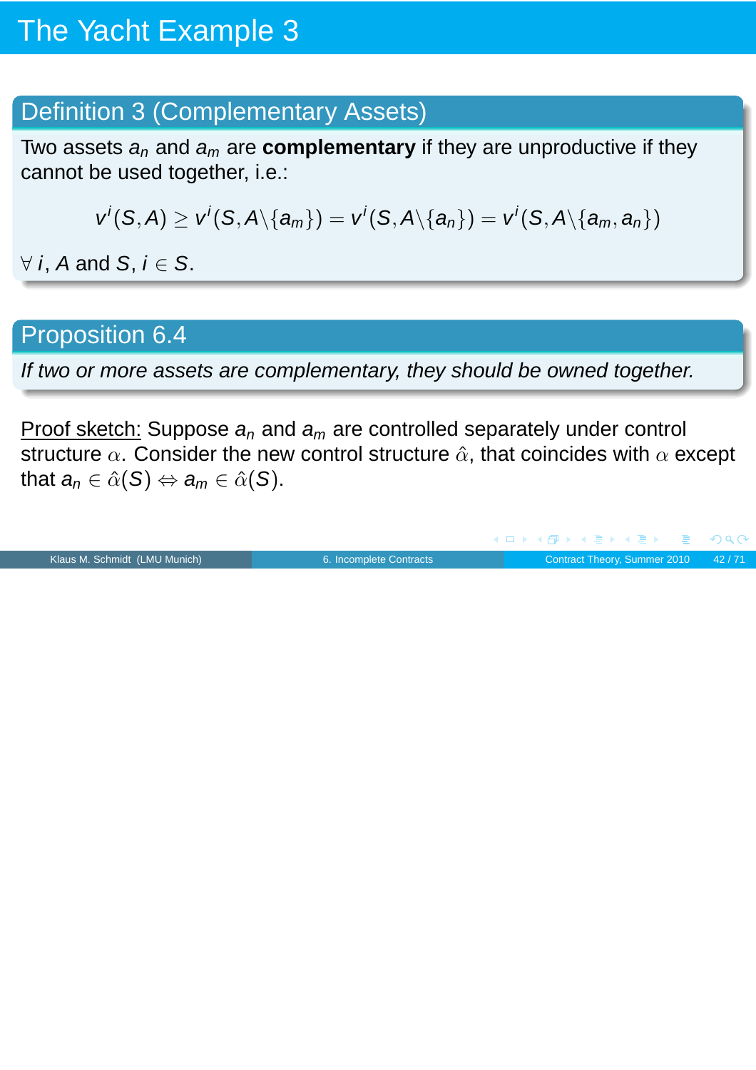### Definition 3 (Complementary Assets)

Two assets  $a_n$  and  $a_m$  are **complementary** if they are unproductive if they cannot be used together, i.e.:

$$
v^i(S, A) \ge v^i(S, A \setminus \{a_m\}) = v^i(S, A \setminus \{a_n\}) = v^i(S, A \setminus \{a_m, a_n\})
$$

 $\forall$  *i*, *A* and *S*, *i*  $\in$  *S*.

### Proposition 6.4

If two or more assets are complementary, they should be owned together.

Proof sketch: Suppose  $a_n$  and  $a_m$  are controlled separately under control structure  $\alpha$ . Consider the new control structure  $\hat{\alpha}$ , that coincides with  $\alpha$  except that  $a_n \in \hat{\alpha}(S) \Leftrightarrow a_m \in \hat{\alpha}(S)$ .

Klaus M. Schmidt (LMU Munich) [6. Incomplete Contracts](#page-0-0) Contract Theory, Summer 2010 42/71

 $PQQ$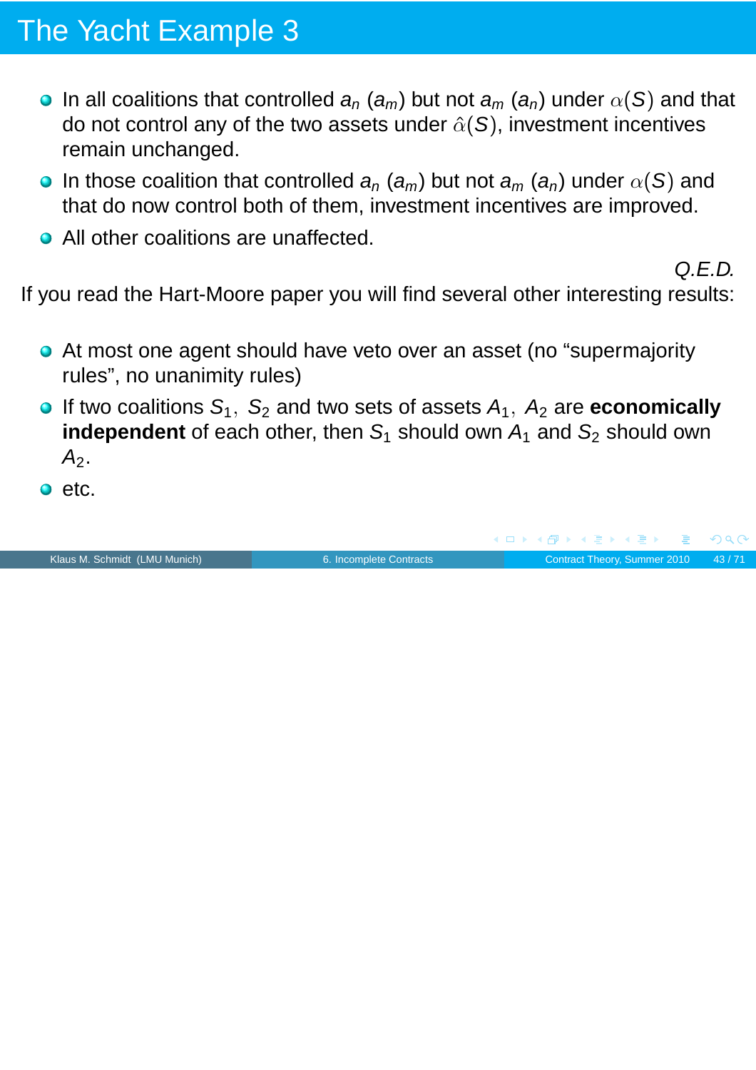- **In all coalitions that controlled**  $a_n$  **(** $a_m$ **) but not**  $a_m$  **(** $a_n$ **) under**  $\alpha(S)$  **and that** do not control any of the two assets under  $\hat{\alpha}(S)$ , investment incentives remain unchanged.
- **In those coalition that controlled**  $a_n$  **(** $a_m$ **) but not**  $a_m$  **(** $a_n$ **) under**  $\alpha(S)$  **and** that do now control both of them, investment incentives are improved.
- All other coalitions are unaffected.

Q.E.D.

If you read the Hart-Moore paper you will find several other interesting results:

- At most one agent should have veto over an asset (no "supermajority rules", no unanimity rules)
- $\bullet$  If two coalitions  $S_1$ ,  $S_2$  and two sets of assets  $A_1$ ,  $A_2$  are **economically independent** of each other, then  $S_1$  should own  $A_1$  and  $S_2$  should own  $A<sub>2</sub>$ .
- $\bullet$  etc.

Klaus M. Schmidt (LMU Munich) **6.** Incomplete Contracts Contract Theory, Summer 2010 43/71

 $\sqrt{m}$   $\rightarrow$   $\sqrt{m}$   $\rightarrow$   $\sqrt{m}$   $\rightarrow$ 

 $PQC$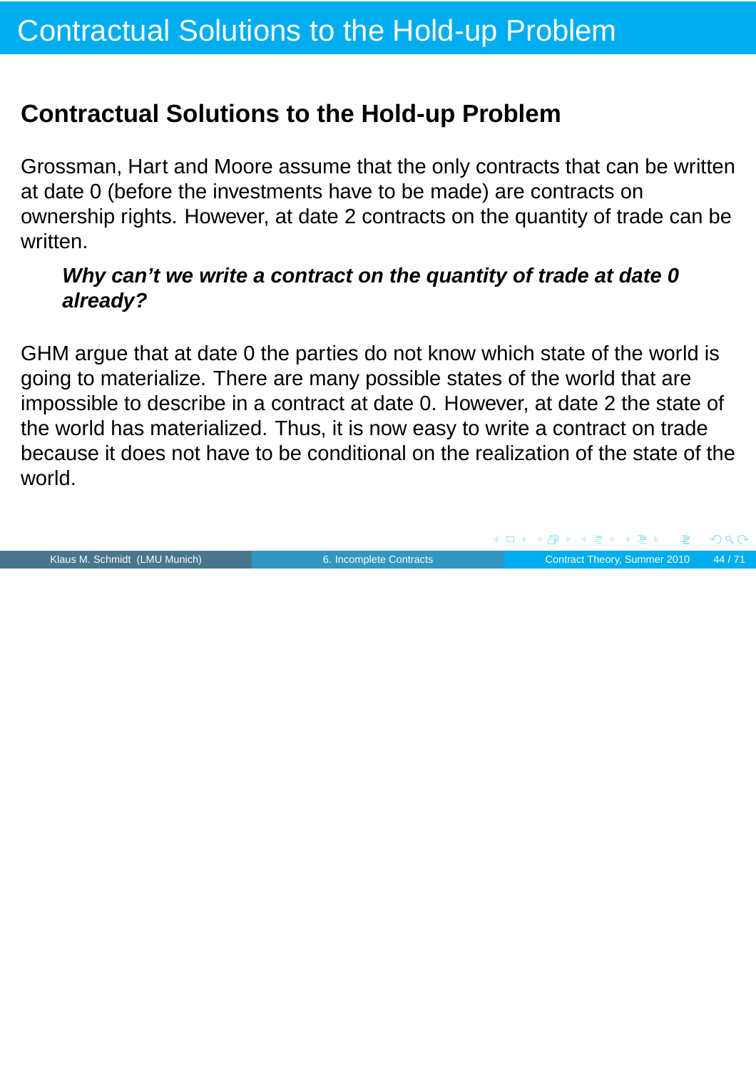### **Contractual Solutions to the Hold-up Problem**

Grossman, Hart and Moore assume that the only contracts that can be written at date 0 (before the investments have to be made) are contracts on ownership rights. However, at date 2 contracts on the quantity of trade can be written.

#### **Why can't we write a contract on the quantity of trade at date 0 already?**

GHM argue that at date 0 the parties do not know which state of the world is going to materialize. There are many possible states of the world that are impossible to describe in a contract at date 0. However, at date 2 the state of the world has materialized. Thus, it is now easy to write a contract on trade because it does not have to be conditional on the realization of the state of the world.

Klaus M. Schmidt (LMU Munich) [6. Incomplete Contracts](#page-0-0) Contract Theory, Summer 2010 44/71

 $\overline{AB}$   $\rightarrow$   $\overline{AB}$   $\rightarrow$   $\overline{AB}$   $\rightarrow$ 

 $PQQ$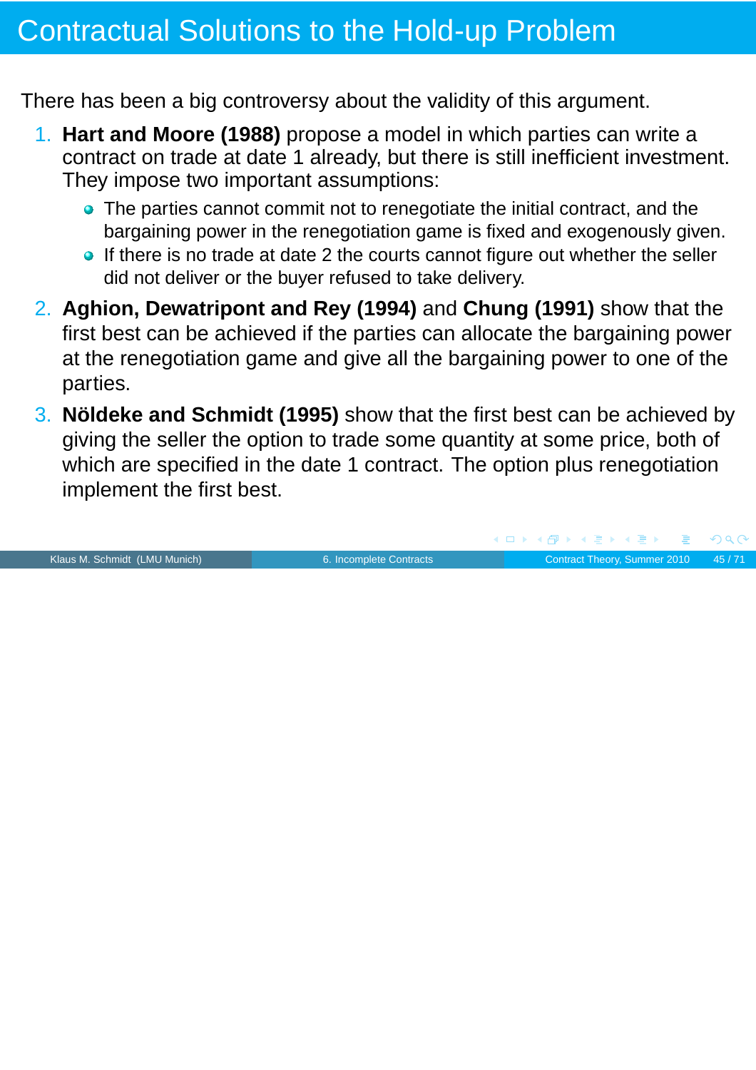## Contractual Solutions to the Hold-up Problem

There has been a big controversy about the validity of this argument.

- 1. **Hart and Moore (1988)** propose a model in which parties can write a contract on trade at date 1 already, but there is still inefficient investment. They impose two important assumptions:
	- The parties cannot commit not to renegotiate the initial contract, and the bargaining power in the renegotiation game is fixed and exogenously given.
	- If there is no trade at date 2 the courts cannot figure out whether the seller did not deliver or the buyer refused to take delivery.
- 2. **Aghion, Dewatripont and Rey (1994)** and **Chung (1991)** show that the first best can be achieved if the parties can allocate the bargaining power at the renegotiation game and give all the bargaining power to one of the parties.
- 3. **Nöldeke and Schmidt (1995)** show that the first best can be achieved by giving the seller the option to trade some quantity at some price, both of which are specified in the date 1 contract. The option plus renegotiation implement the first best.

Klaus M. Schmidt (LMU Munich) [6. Incomplete Contracts](#page-0-0) Contract Theory, Summer 2010 45/71

 $PQQ$ 

 $\blacktriangleleft \overline{\mathcal{P}}$   $\blacktriangleright$   $\blacktriangleleft \overline{\mathcal{P}}$   $\blacktriangleright$   $\blacktriangleleft \overline{\mathcal{P}}$   $\blacktriangleright$ 

 $\blacksquare$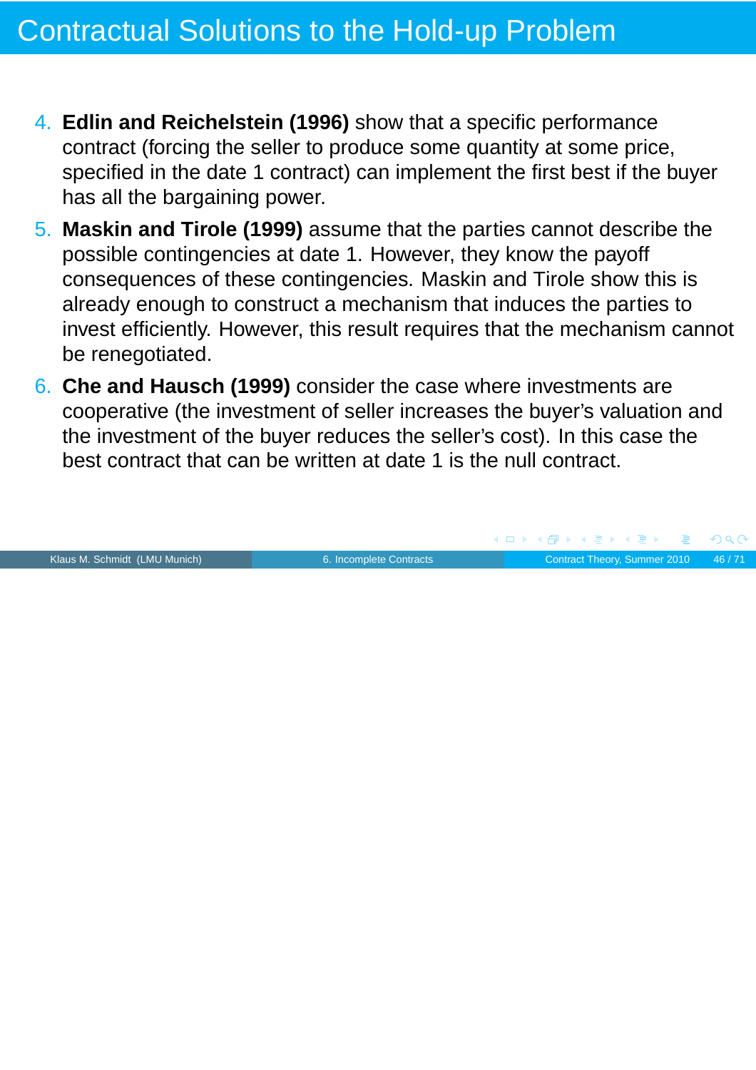- 4. **Edlin and Reichelstein (1996)** show that a specific performance contract (forcing the seller to produce some quantity at some price, specified in the date 1 contract) can implement the first best if the buyer has all the bargaining power.
- 5. **Maskin and Tirole (1999)** assume that the parties cannot describe the possible contingencies at date 1. However, they know the payoff consequences of these contingencies. Maskin and Tirole show this is already enough to construct a mechanism that induces the parties to invest efficiently. However, this result requires that the mechanism cannot be renegotiated.
- 6. **Che and Hausch (1999)** consider the case where investments are cooperative (the investment of seller increases the buyer's valuation and the investment of the buyer reduces the seller's cost). In this case the best contract that can be written at date 1 is the null contract.

![](_page_45_Picture_4.jpeg)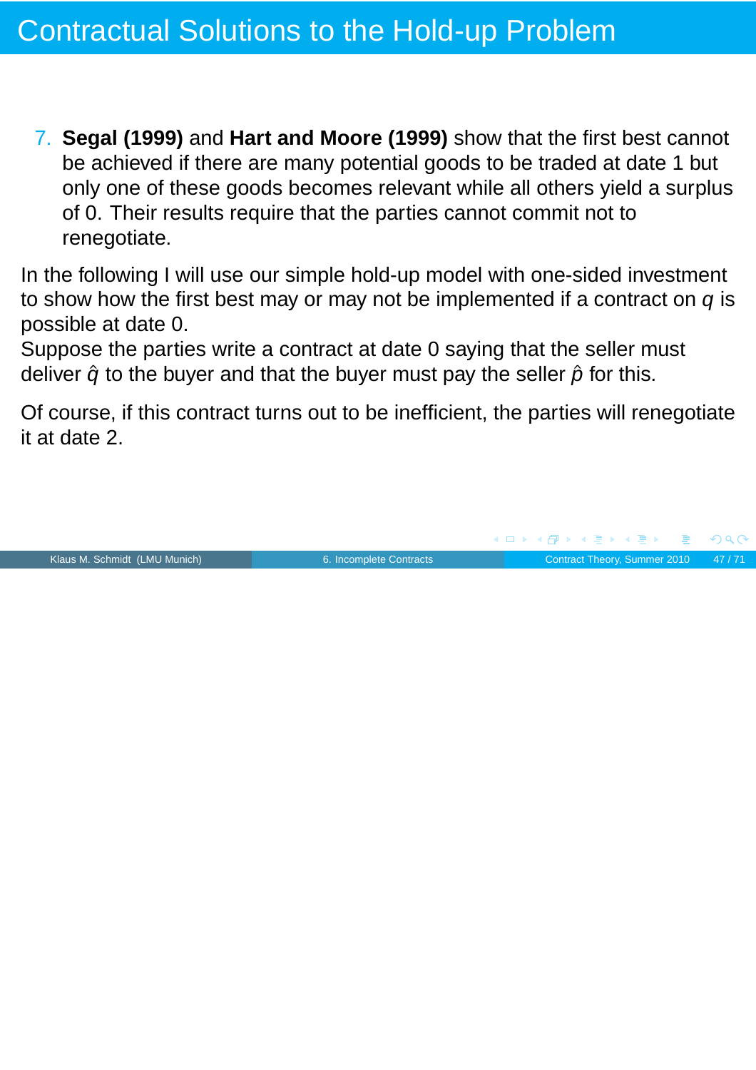7. **Segal (1999)** and **Hart and Moore (1999)** show that the first best cannot be achieved if there are many potential goods to be traded at date 1 but only one of these goods becomes relevant while all others yield a surplus of 0. Their results require that the parties cannot commit not to renegotiate.

In the following I will use our simple hold-up model with one-sided investment to show how the first best may or may not be implemented if a contract on  $q$  is possible at date 0.

Suppose the parties write a contract at date 0 saying that the seller must deliver  $\hat{q}$  to the buyer and that the buyer must pay the seller  $\hat{p}$  for this.

Of course, if this contract turns out to be inefficient, the parties will renegotiate it at date 2.

![](_page_46_Picture_5.jpeg)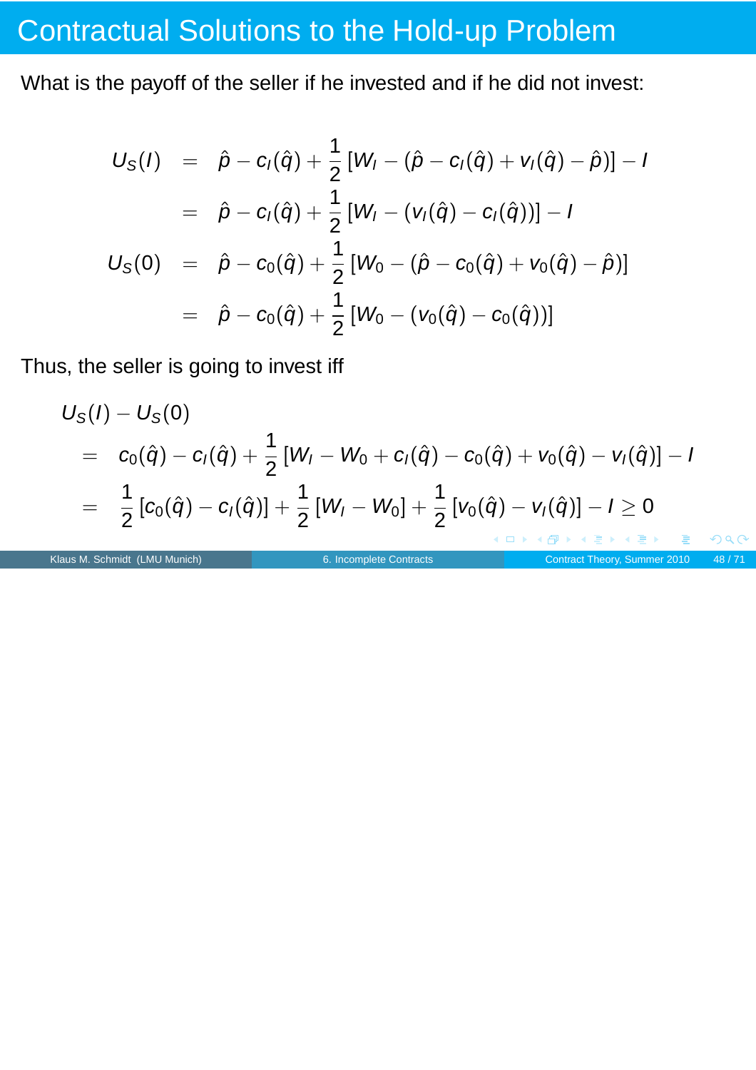# Contractual Solutions to the Hold-up Problem

What is the payoff of the seller if he invested and if he did not invest:

$$
U_{S}(I) = \hat{p} - c_{I}(\hat{q}) + \frac{1}{2}[W_{I} - (\hat{p} - c_{I}(\hat{q}) + v_{I}(\hat{q}) - \hat{p})] - I
$$
  
\n
$$
= \hat{p} - c_{I}(\hat{q}) + \frac{1}{2}[W_{I} - (v_{I}(\hat{q}) - c_{I}(\hat{q}))] - I
$$
  
\n
$$
U_{S}(0) = \hat{p} - c_{0}(\hat{q}) + \frac{1}{2}[W_{0} - (\hat{p} - c_{0}(\hat{q}) + v_{0}(\hat{q}) - \hat{p})]
$$
  
\n
$$
= \hat{p} - c_{0}(\hat{q}) + \frac{1}{2}[W_{0} - (v_{0}(\hat{q}) - c_{0}(\hat{q}))]
$$

Thus, the seller is going to invest iff

$$
U_S(I) - U_S(0)
$$
  
=  $c_0(\hat{q}) - c_I(\hat{q}) + \frac{1}{2}[W_I - W_0 + c_I(\hat{q}) - c_0(\hat{q}) + V_0(\hat{q}) - V_I(\hat{q})] - I$   
=  $\frac{1}{2}[c_0(\hat{q}) - c_I(\hat{q})] + \frac{1}{2}[W_I - W_0] + \frac{1}{2}[V_0(\hat{q}) - V_I(\hat{q})] - I \ge 0$ 

Klaus M. Schmidt (LMU Munich)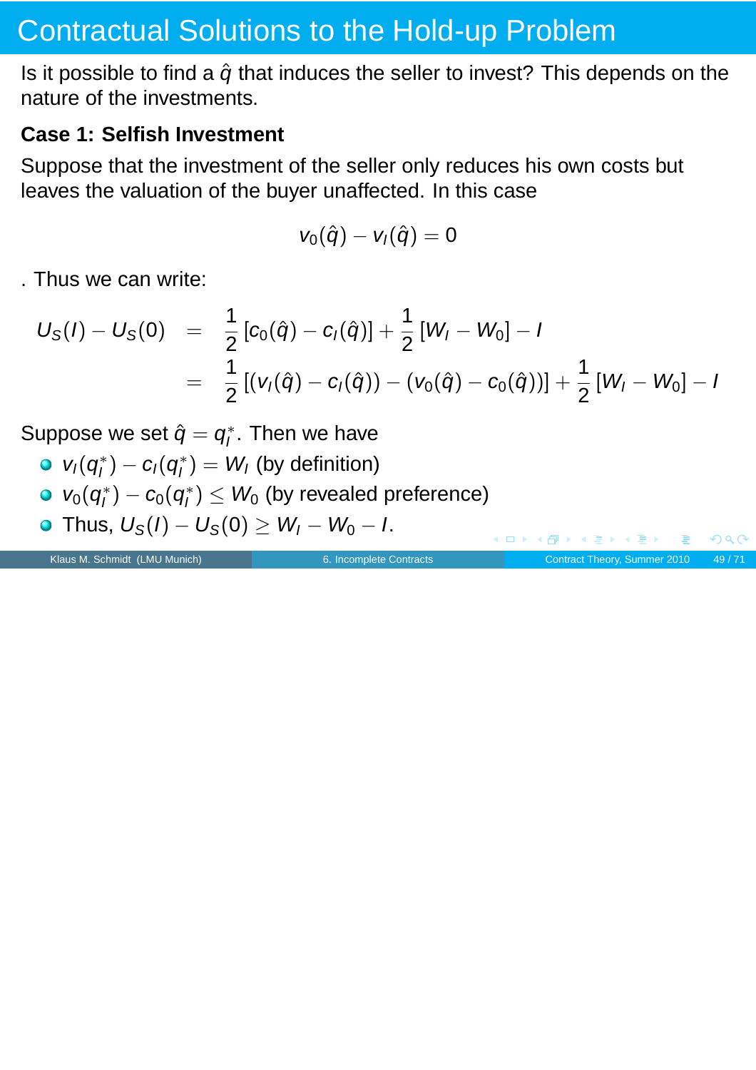## Contractual Solutions to the Hold-up Problem

Is it possible to find a  $\hat{q}$  that induces the seller to invest? This depends on the nature of the investments.

#### **Case 1: Selfish Investment**

Suppose that the investment of the seller only reduces his own costs but leaves the valuation of the buyer unaffected. In this case

$$
v_0(\hat{q}) - v_I(\hat{q}) = 0
$$

. Thus we can write:

$$
U_S(I) - U_S(0) = \frac{1}{2} [c_0(\hat{q}) - c_I(\hat{q})] + \frac{1}{2} [W_I - W_0] - I
$$
  
= 
$$
\frac{1}{2} [ (v_I(\hat{q}) - c_I(\hat{q})) - (v_0(\hat{q}) - c_0(\hat{q}))] + \frac{1}{2} [W_I - W_0] - I
$$

Suppose we set  $\hat{q} = q_l^*$  $i^*$ . Then we have

- $v_I(q_I^*)$  $I_I^*$ ) — C<sub>I</sub>( $q_I^*$  $\binom{1}{I} = W_I$  (by definition)
- $v_0(q_l^*)$  $\left(q_{l}^{*}\right)-c_{0}(q_{l}^{*})$  $\mathcal{U}_I^* ) \leq \mathit{W}_0$  (by revealed preference)
- Thus,  $U_S(I) U_S(0) \geq W_I W_0 I$ .

Klaus M. Schmidt (LMU Munich) [6. Incomplete Contracts](#page-0-0) Contracts Contract Theory, Summer 2010 49/71

 $\leftarrow$   $\Box$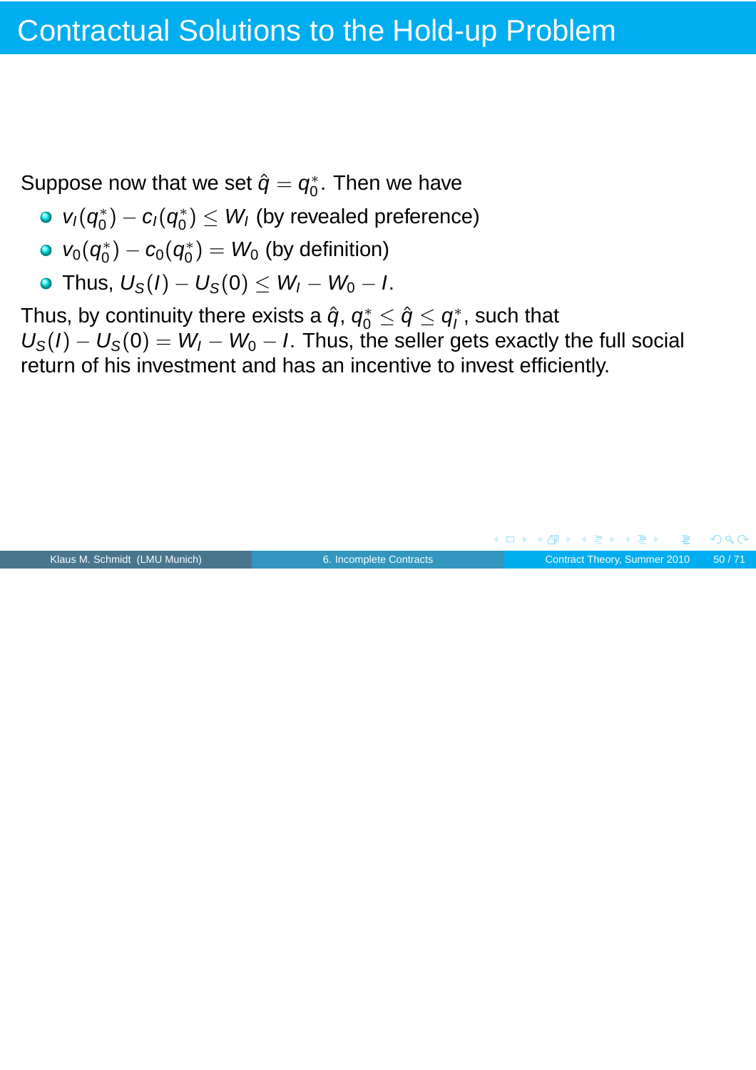Suppose now that we set  $\hat{q} = q_0^*$  $_0^*$ . Then we have

- $v_I(q_0^*)$  $c_0^*$ ) —  $c_1(q_0^*)$  $\binom{*}{0} \leq \textit{W}_{\textit{I}}$  (by revealed preference)
- $v_0(q_0^*)$  $\mathcal{C}_0^* ) - \mathcal{C}_0 ( \mathcal{C}_0^* )$  $\binom{*}{0}$   $=$   $W_0$  (by definition)
- Thus,  $U_S(I) U_S(0) \leq W_I W_0 I$ .

Thus, by continuity there exists a  $\hat{q},\, q_0^* \leq \hat{q} \leq q_l^*$  $\mathcal{I}_I^*$ , such that  $U_{\rm S}(I) - U_{\rm S}(0) = W_I - W_0 - I$ . Thus, the seller gets exactly the full social return of his investment and has an incentive to invest efficiently.

![](_page_49_Figure_6.jpeg)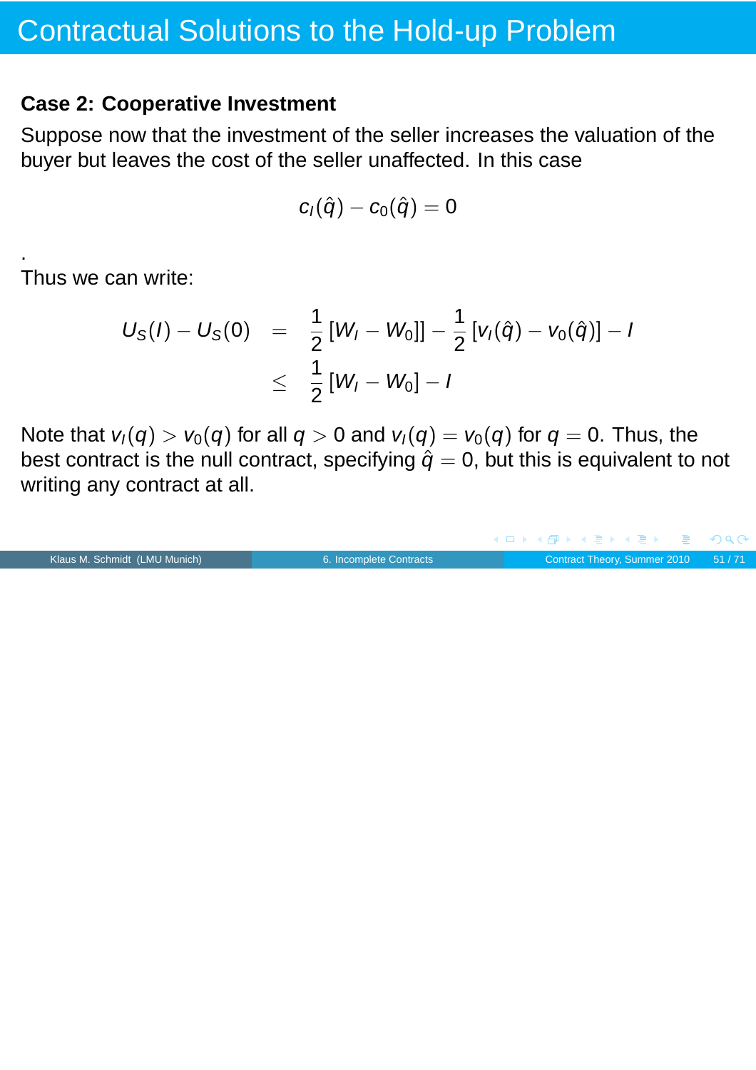#### **Case 2: Cooperative Investment**

Suppose now that the investment of the seller increases the valuation of the buyer but leaves the cost of the seller unaffected. In this case

$$
c_l(\hat{q}) - c_0(\hat{q}) = 0
$$

Thus we can write:

.

$$
U_{S}(I) - U_{S}(0) = \frac{1}{2} [W_{I} - W_{0}]] - \frac{1}{2} [v_{I}(\hat{q}) - v_{0}(\hat{q})] - I
$$
  

$$
\leq \frac{1}{2} [W_{I} - W_{0}] - I
$$

Note that  $v_1(q) > v_0(q)$  for all  $q > 0$  and  $v_1(q) = v_0(q)$  for  $q = 0$ . Thus, the best contract is the null contract, specifying  $\hat{q} = 0$ , but this is equivalent to not writing any contract at all.

|                               |                         | - ◀ ㅁ ▶ ◀ 何 ▶ ◀ 로 ▶ ◀ 로 ▶ - 로 - ∽ 이 ٩ (∿- |  |  |                                    |
|-------------------------------|-------------------------|-------------------------------------------|--|--|------------------------------------|
| Klaus M. Schmidt (LMU Munich) | 6. Incomplete Contracts |                                           |  |  | Contract Theory, Summer 2010 51/71 |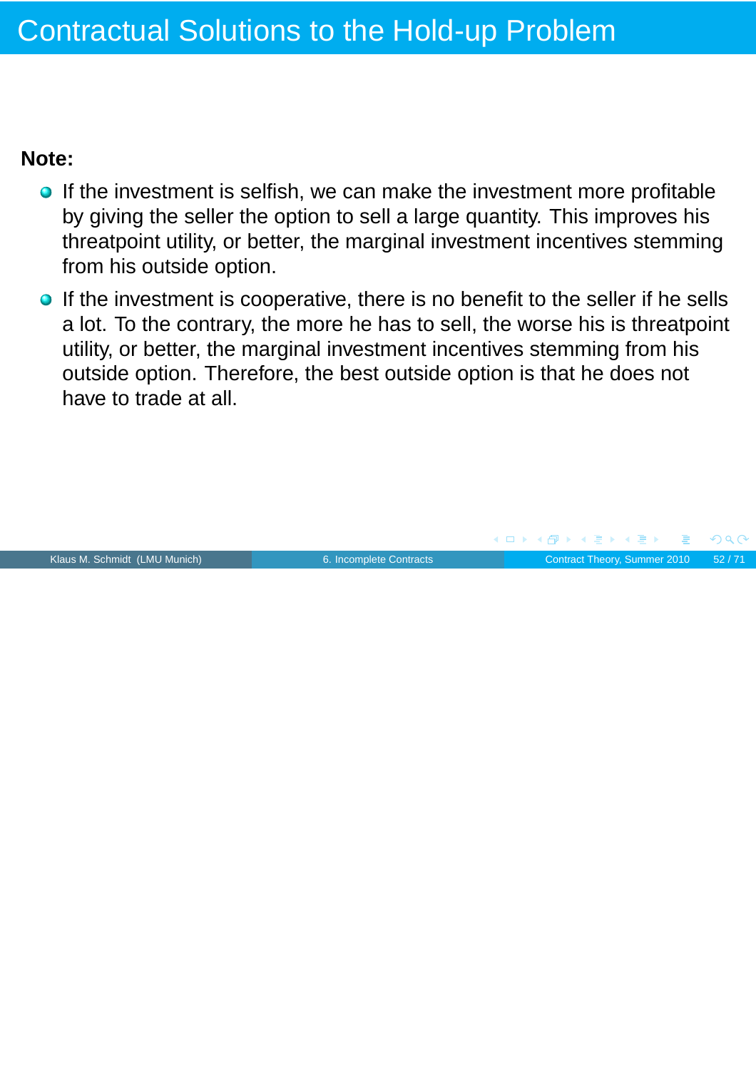#### **Note:**

- **If the investment is selfish, we can make the investment more profitable** by giving the seller the option to sell a large quantity. This improves his threatpoint utility, or better, the marginal investment incentives stemming from his outside option.
- **If the investment is cooperative, there is no benefit to the seller if he sells** a lot. To the contrary, the more he has to sell, the worse his is threatpoint utility, or better, the marginal investment incentives stemming from his outside option. Therefore, the best outside option is that he does not have to trade at all.

![](_page_51_Figure_4.jpeg)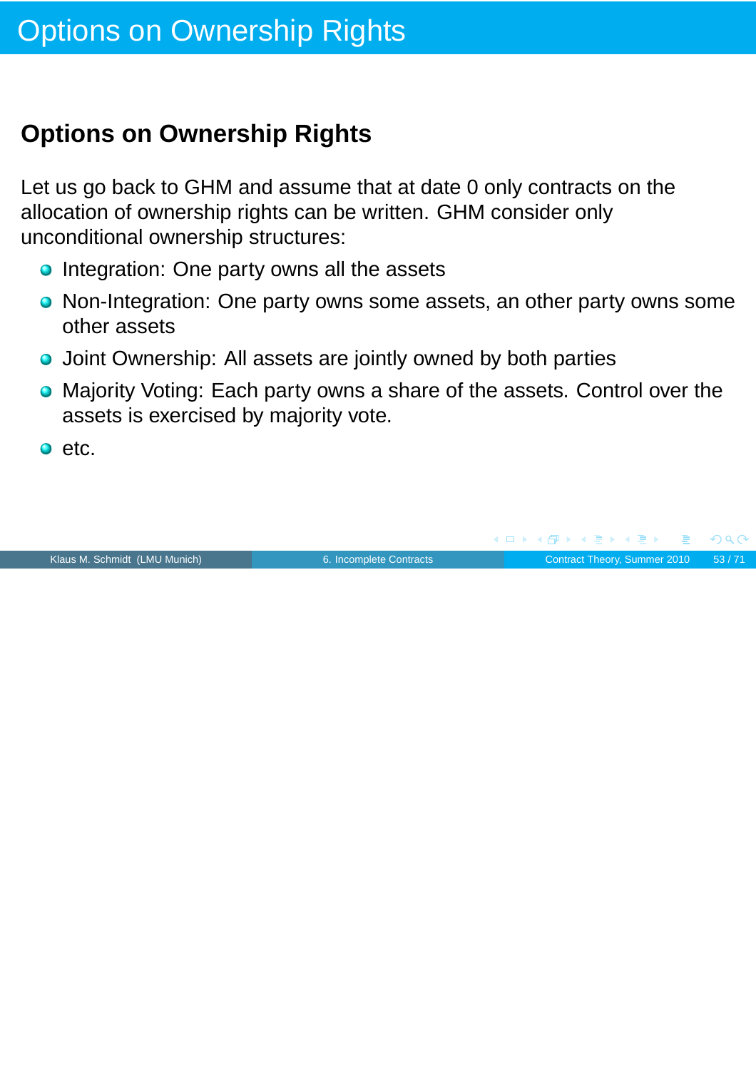## **Options on Ownership Rights**

Let us go back to GHM and assume that at date 0 only contracts on the allocation of ownership rights can be written. GHM consider only unconditional ownership structures:

- Integration: One party owns all the assets
- Non-Integration: One party owns some assets, an other party owns some other assets
- **O** Joint Ownership: All assets are jointly owned by both parties
- Majority Voting: Each party owns a share of the assets. Control over the assets is exercised by majority vote.
- $\bullet$  etc.

![](_page_52_Picture_8.jpeg)

 $OQC$ 

**◆ロト ◆伊ト ◆ミト → ミト**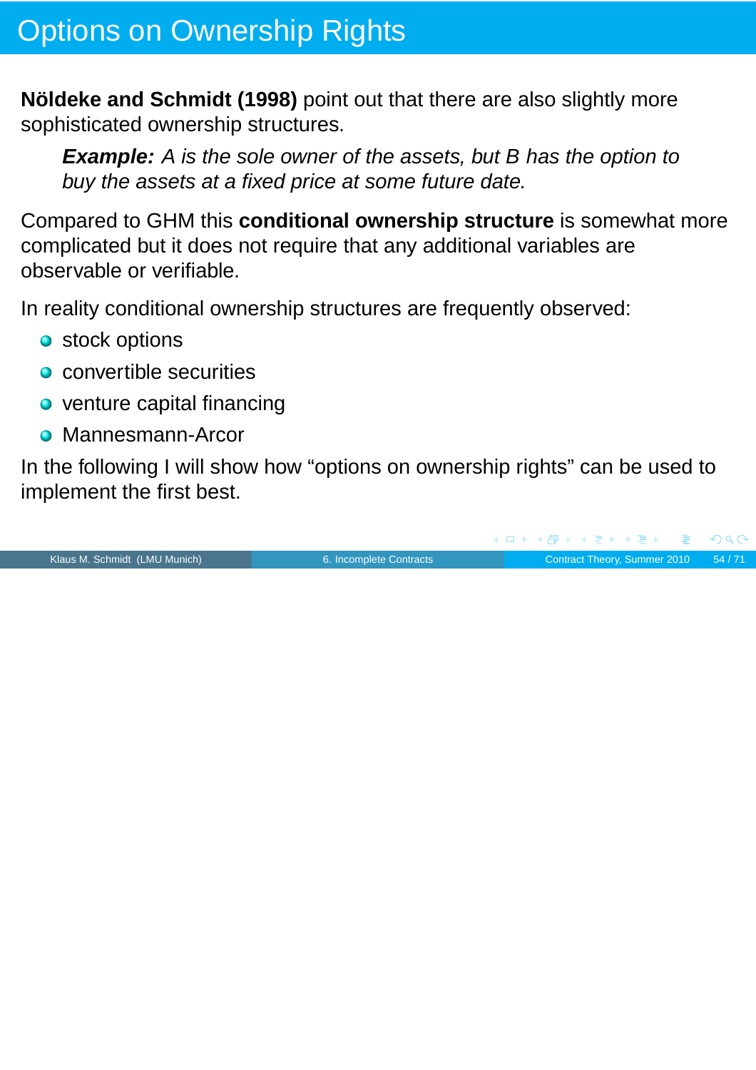## Options on Ownership Rights

**Nöldeke and Schmidt (1998)** point out that there are also slightly more sophisticated ownership structures.

**Example:** A is the sole owner of the assets, but B has the option to buy the assets at a fixed price at some future date.

Compared to GHM this **conditional ownership structure** is somewhat more complicated but it does not require that any additional variables are observable or verifiable.

In reality conditional ownership structures are frequently observed:

- **o** stock options
- **o** convertible securities
- o venture capital financing
- **Mannesmann-Arcor**

In the following I will show how "options on ownership rights" can be used to implement the first best.

Klaus M. Schmidt (LMU Munich) [6. Incomplete Contracts](#page-0-0) Contract Theory, Summer 2010 54/71

 $QQ$ 

(ロ ) ( 何 ) ( 君 ) ( 君 )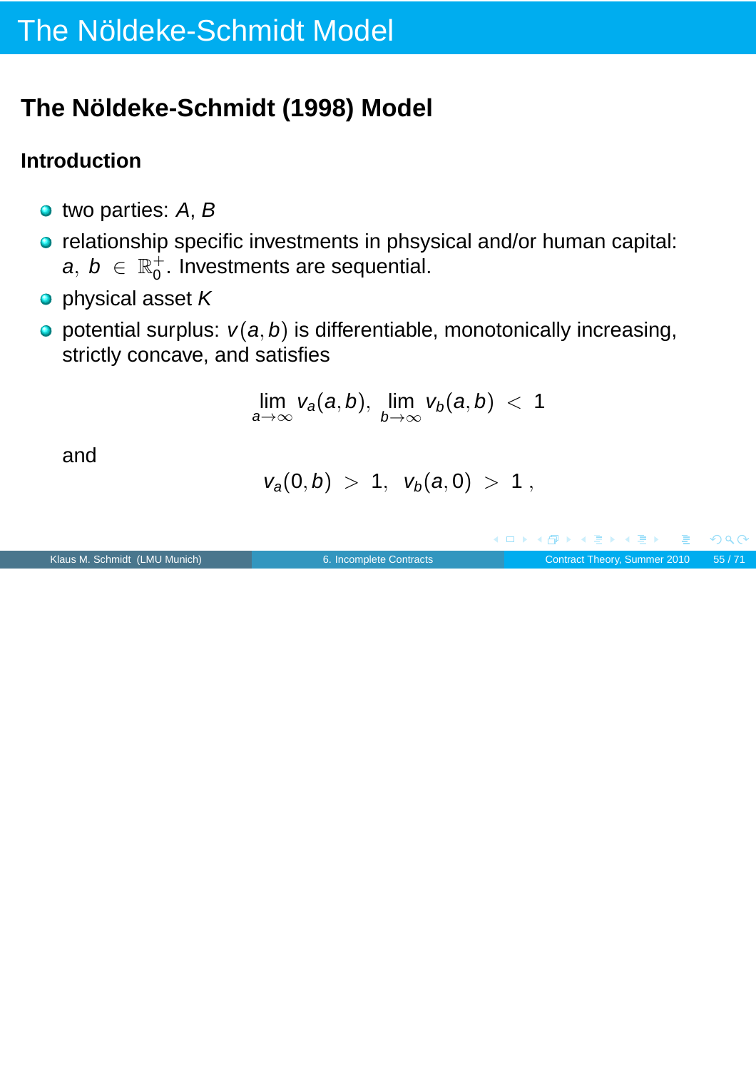# The Nöldeke-Schmidt Model

## **The Nöldeke-Schmidt (1998) Model**

### **Introduction**

- two parties: A, B
- o relationship specific investments in phsysical and/or human capital:  $a, b \in \mathbb{R}^+_0$  $_0^+$ . Investments are sequential.
- o physical asset K
- $\bullet$  potential surplus:  $v(a, b)$  is differentiable, monotonically increasing, strictly concave, and satisfies

lim a→∞  $v_a(a, b)$ , lim  $b \rightarrow \infty$  $v_b(a, b) < 1$ 

and

 $v_a(0, b) > 1$ ,  $v_b(a, 0) > 1$ ,

Klaus M. Schmidt (LMU Munich) [6. Incomplete Contracts](#page-0-0) Contract Theory, Summer 2010 55/71

 $PQC$ 

(ロ) (個) (目) (手)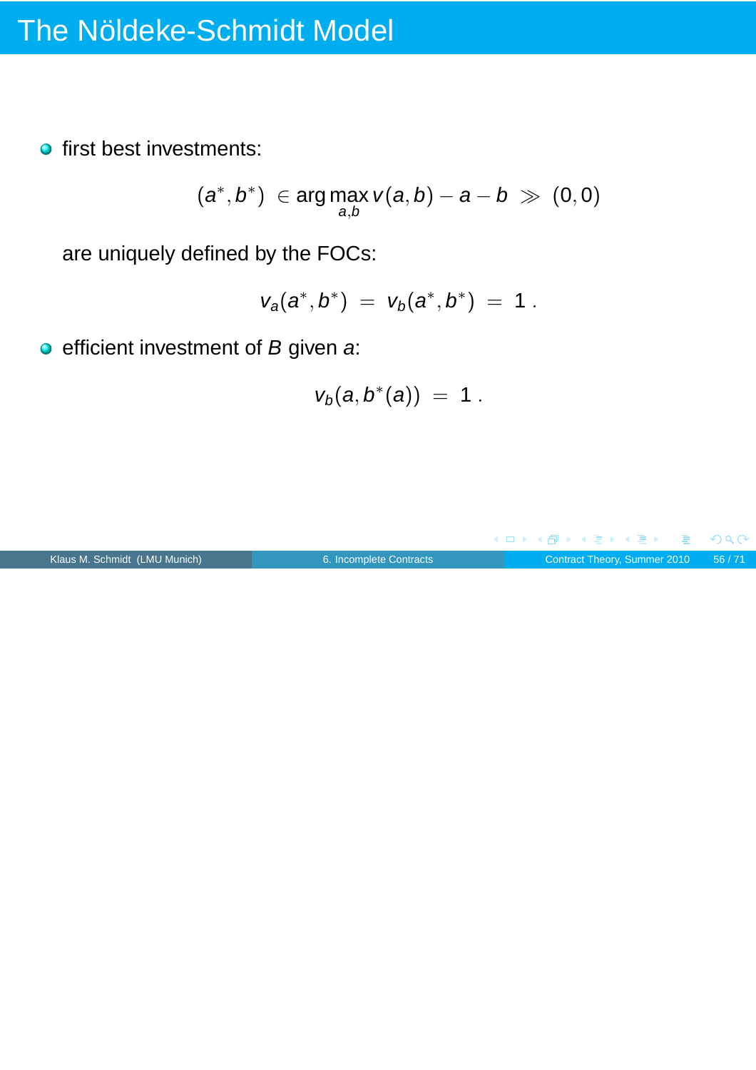**o** first best investments:

$$
(a^*,b^*) \in \arg\max_{a,b} v(a,b) - a - b \gg (0,0)
$$

are uniquely defined by the FOCs:

$$
v_a(a^*,b^*) = v_b(a^*,b^*) = 1.
$$

 $\bullet$  efficient investment of  $B$  given a:

$$
v_b(a,b^*(a)) = 1.
$$

![](_page_55_Figure_7.jpeg)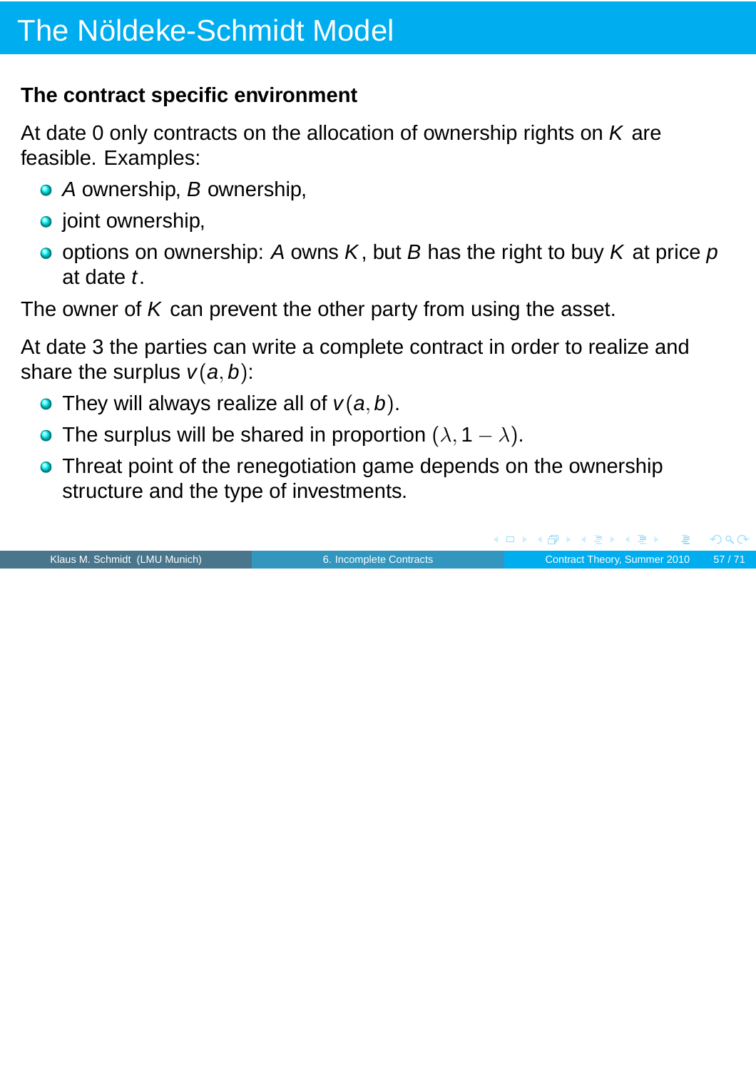### **The contract specific environment**

At date 0 only contracts on the allocation of ownership rights on  $K$  are feasible. Examples:

- A ownership, B ownership,
- $\bullet$  joint ownership,
- $\bullet$  options on ownership: A owns K, but B has the right to buy K at price p at date t.

The owner of  $K$  can prevent the other party from using the asset.

At date 3 the parties can write a complete contract in order to realize and share the surplus  $v(a, b)$ :

- They will always realize all of  $v(a, b)$ .
- The surplus will be shared in proportion  $(\lambda, 1 \lambda)$ .
- **Threat point of the renegotiation game depends on the ownership** structure and the type of investments.

|                               |                         | NUX NUMBER NE KILE 1990            |  |
|-------------------------------|-------------------------|------------------------------------|--|
| Klaus M. Schmidt (LMU Munich) | 6. Incomplete Contracts | Contract Theory, Summer 2010 57/71 |  |

 $OQ$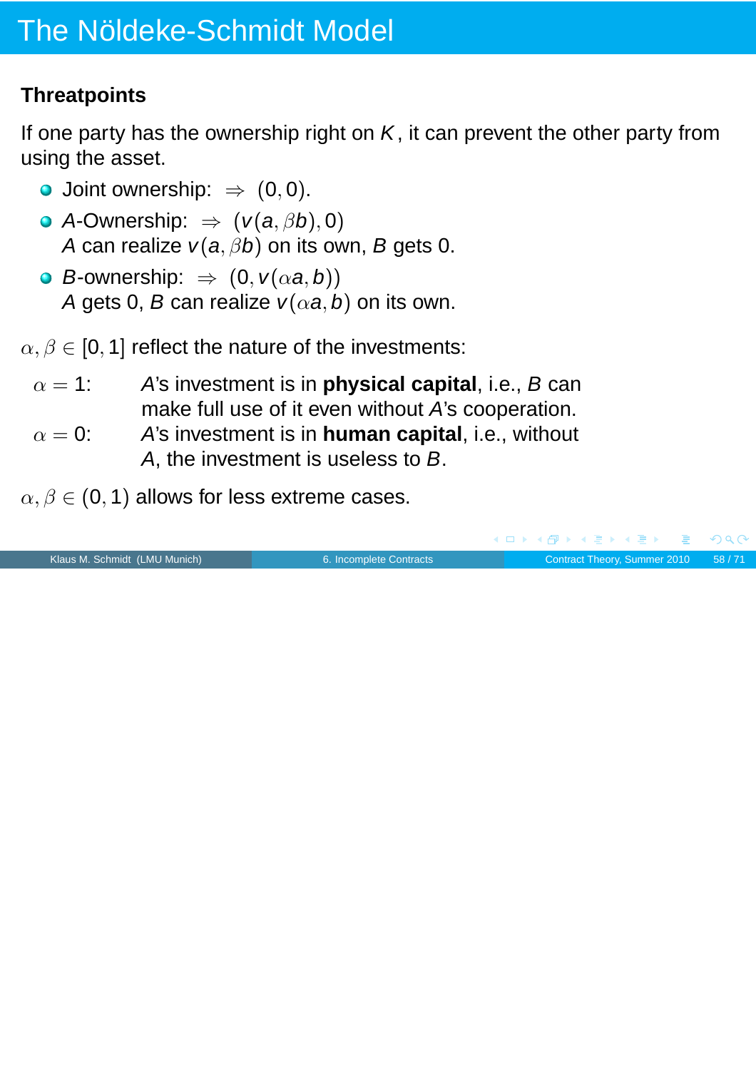### **Threatpoints**

If one party has the ownership right on  $K$ , it can prevent the other party from using the asset.

- O Joint ownership:  $\Rightarrow$  (0,0).
- A-Ownership:  $\Rightarrow$   $(v(a, \beta b), 0)$ A can realize  $v(a, \beta b)$  on its own, B gets 0.
- **•** B-ownership:  $\Rightarrow$   $(0, v(\alpha a, b))$ A gets 0, B can realize  $v(\alpha a, b)$  on its own.

 $\alpha, \beta \in [0, 1]$  reflect the nature of the investments:

- $\alpha = 1$ : A's investment is in **physical capital**, i.e., B can make full use of it even without A's cooperation.
- $\alpha = 0$ : A's investment is in **human capital**, i.e., without A, the investment is useless to B.
- $\alpha, \beta \in (0, 1)$  allows for less extreme cases.

|                               |                         |  |  |  | - ◀ ロ ▶ ◀ ⋳️P ▶ ◀ 로 ▶ ◀ 로 ▶ │ 로 │ ◆) Q (◆ |
|-------------------------------|-------------------------|--|--|--|-------------------------------------------|
| Klaus M. Schmidt (LMU Munich) | 6. Incomplete Contracts |  |  |  | Contract Theory, Summer 2010 58/71        |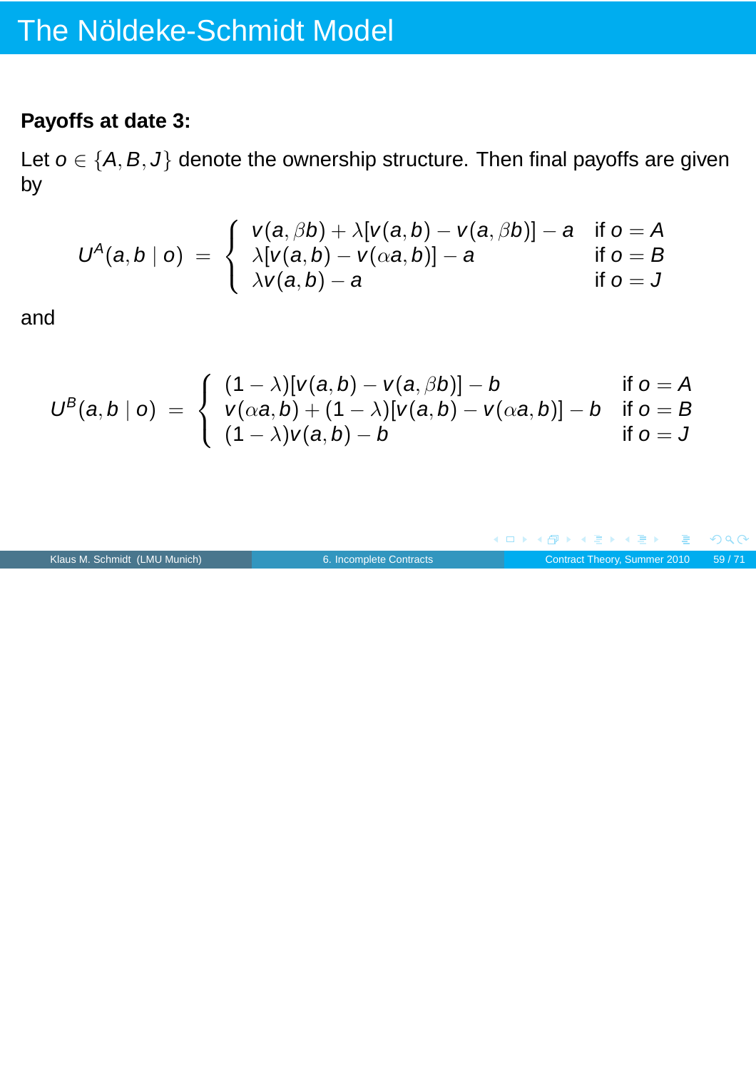### **Payoffs at date 3:**

Let  $o \in \{A, B, J\}$  denote the ownership structure. Then final payoffs are given by

$$
U^A(a,b | o) = \begin{cases} v(a,\beta b) + \lambda [v(a,b) - v(a,\beta b)] - a & \text{if } o = A \\ \lambda [v(a,b) - v(\alpha a,b)] - a & \text{if } o = B \\ \lambda v(a,b) - a & \text{if } o = J \end{cases}
$$

and

$$
U^B(a,b | o) = \begin{cases} (1 - \lambda)[v(a,b) - v(a,\beta b)] - b & \text{if } o = A \\ v(\alpha a,b) + (1 - \lambda)[v(a,b) - v(\alpha a,b)] - b & \text{if } o = B \\ (1 - \lambda)v(a,b) - b & \text{if } o = J \end{cases}
$$

![](_page_58_Figure_6.jpeg)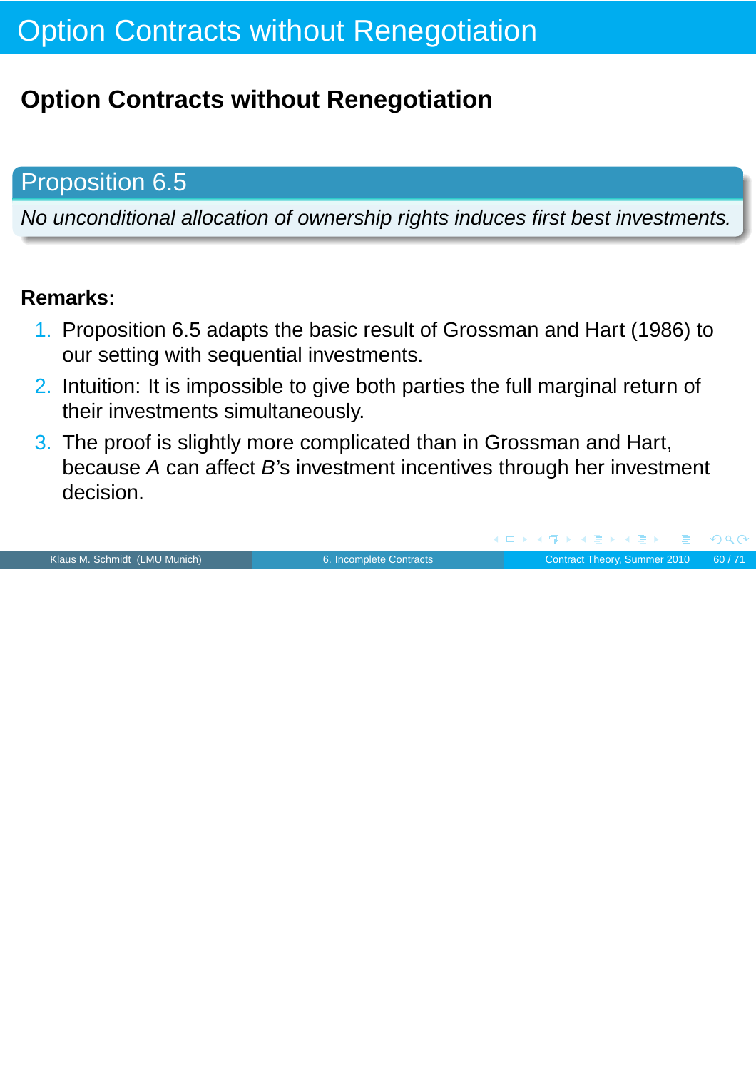## **Option Contracts without Renegotiation**

## Proposition 6.5

No unconditional allocation of ownership rights induces first best investments.

#### **Remarks:**

- 1. Proposition 6.5 adapts the basic result of Grossman and Hart (1986) to our setting with sequential investments.
- 2. Intuition: It is impossible to give both parties the full marginal return of their investments simultaneously.
- 3. The proof is slightly more complicated than in Grossman and Hart, because A can affect B's investment incentives through her investment decision.

Klaus M. Schmidt (LMU Munich) **[6. Incomplete Contracts](#page-0-0)** Contract Theory, Summer 2010 60/71

∢@ ▶ ∢ ∃ ▶ ∢ ∃ ▶

 $\left( \begin{array}{ccc} 1 & 1 \end{array} \right)$ 

 $\Omega$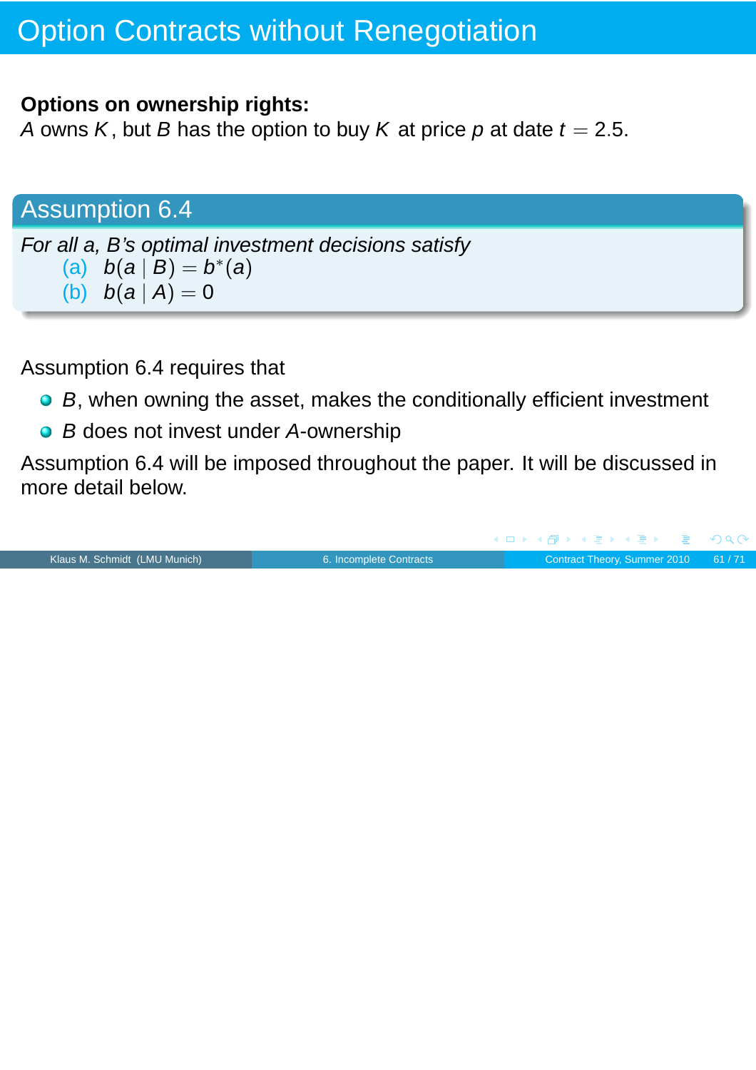#### **Options on ownership rights:**

A owns K, but B has the option to buy K at price p at date  $t = 2.5$ .

### Assumption 6.4

For all a, B's optimal investment decisions satisfy (a)  $b(a | B) = b^{*}(a)$ (b)  $b(a | A) = 0$ 

Assumption 6.4 requires that

- B, when owning the asset, makes the conditionally efficient investment
- B does not invest under A-ownership

Assumption 6.4 will be imposed throughout the paper. It will be discussed in more detail below.

Klaus M. Schmidt (LMU Munich) **[6. Incomplete Contracts](#page-0-0)** Contract Theory, Summer 2010 61/71

 $PQC$ 

(ロ) (伊) (唐) (唐)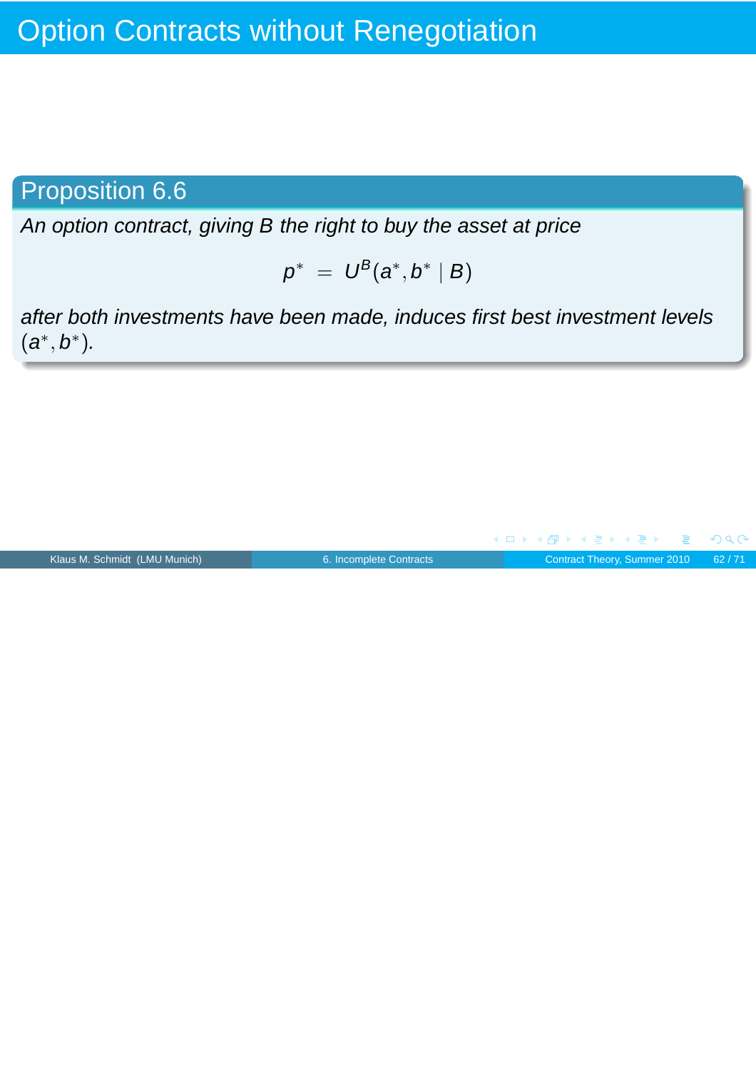## Proposition 6.6

An option contract, giving B the right to buy the asset at price

$$
p^* = U^B(a^*,b^* | B)
$$

after both investments have been made, induces first best investment levels  $(a^*, b^*)$ .

|                               |                         | - ◀ ㅁ ▶ ◀ @ ▶ ◀ 로 ▶ ◀ 로 ▶ _ 로 _ めQ (Ŷ |  |
|-------------------------------|-------------------------|---------------------------------------|--|
| Klaus M. Schmidt (LMU Munich) | 6. Incomplete Contracts | Contract Theory, Summer 2010 62/71    |  |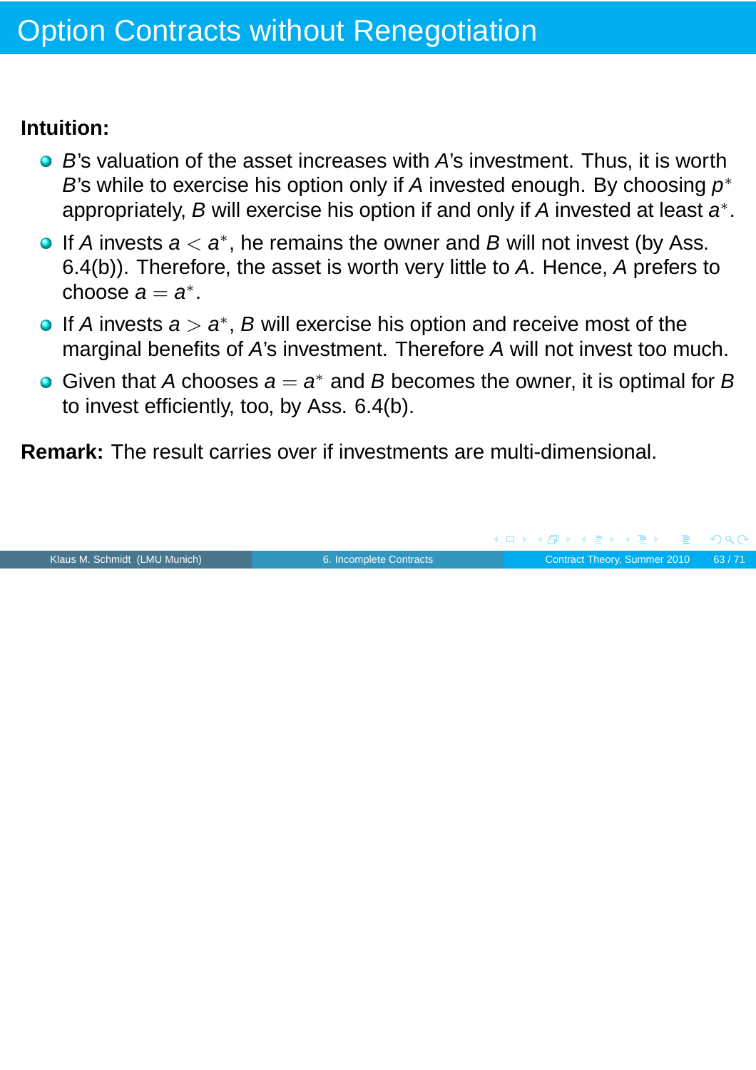#### **Intuition:**

- $\bullet$  B's valuation of the asset increases with A's investment. Thus, it is worth B's while to exercise his option only if A invested enough. By choosing  $p^*$ appropriately, B will exercise his option if and only if A invested at least  $a^*$ .
- If A invests  $a < a^*$ , he remains the owner and B will not invest (by Ass. 6.4(b)). Therefore, the asset is worth very little to A. Hence, A prefers to choose  $a = a^*$ .
- If A invests  $a > a^*$ , B will exercise his option and receive most of the marginal benefits of A's investment. Therefore A will not invest too much.
- Given that A chooses  $a = a^*$  and B becomes the owner, it is optimal for B to invest efficiently, too, by Ass. 6.4(b).

**Remark:** The result carries over if investments are multi-dimensional.

![](_page_62_Picture_7.jpeg)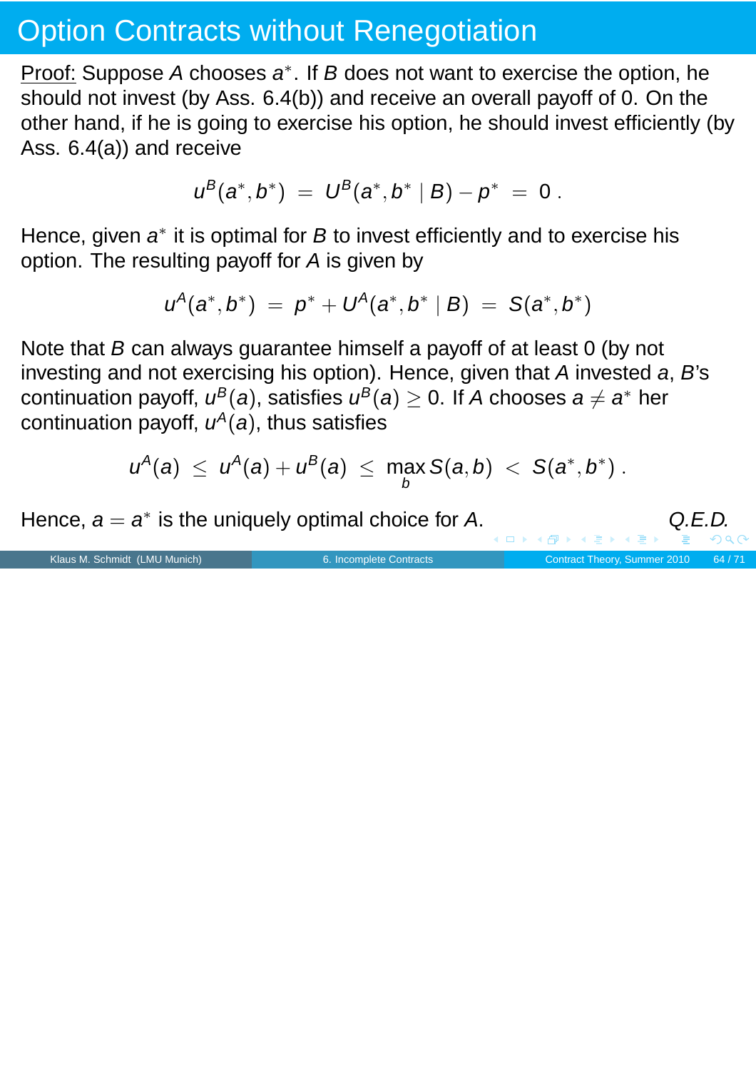Proof: Suppose A chooses a<sup>\*</sup>. If B does not want to exercise the option, he should not invest (by Ass. 6.4(b)) and receive an overall payoff of 0. On the other hand, if he is going to exercise his option, he should invest efficiently (by Ass. 6.4(a)) and receive

$$
u^B(a^*,b^*) = U^B(a^*,b^* | B) - p^* = 0.
$$

Hence, given  $a^*$  it is optimal for  $B$  to invest efficiently and to exercise his option. The resulting payoff for A is given by

$$
u^{A}(a^*,b^*) = p^* + U^{A}(a^*,b^* | B) = S(a^*,b^*)
$$

Note that B can always guarantee himself a payoff of at least 0 (by not investing and not exercising his option). Hence, given that A invested a, B's continuation payoff,  $u^B(a)$ , satisfies  $u^B(a)\geq 0.$  If  $A$  chooses  $a\neq a^*$  her continuation payoff,  $u^A(a)$ , thus satisfies

$$
u^A(a) \ \leq \ u^A(a) + u^B(a) \ \leq \ \max_b S(a,b) \ < \ S(a^*,b^*) \ .
$$

Hence,  $a = a^*$  is the uniquely optimal choice for A.  $Q.E.D.$  $Q.E.D.$  $Q.E.D.$ 

Klaus M. Schmidt (LMU Munich) [6. Incomplete Contracts](#page-0-0) Contract Contract Theory, Summer 2010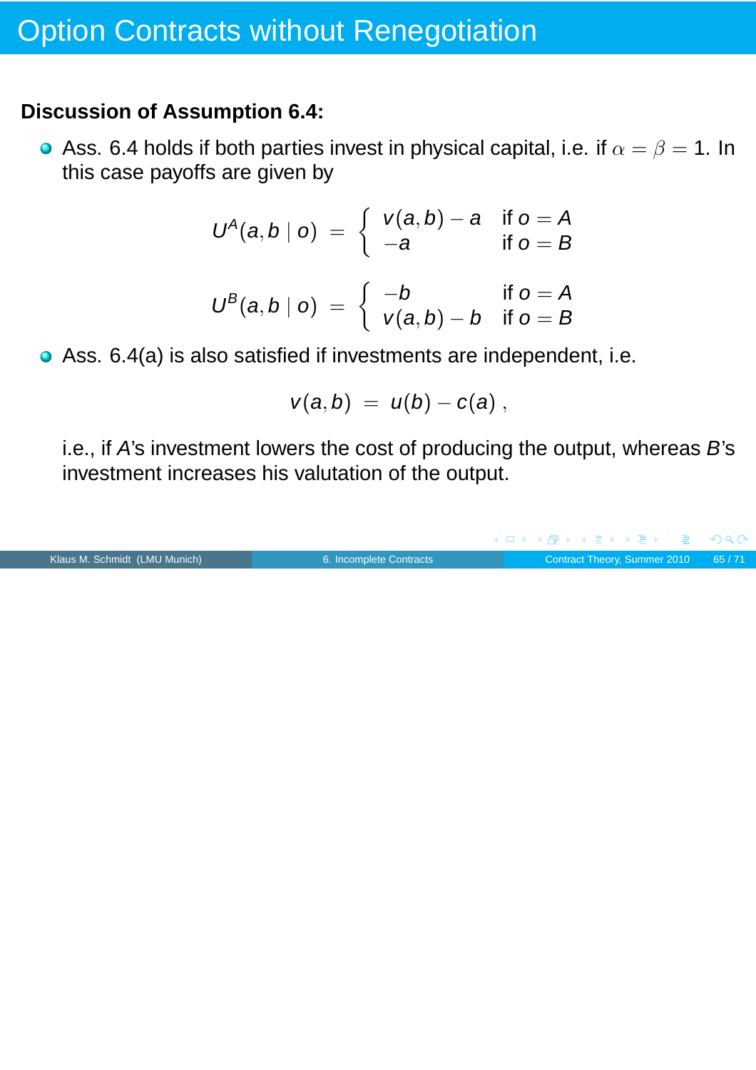#### **Discussion of Assumption 6.4:**

Ass. 6.4 holds if both parties invest in physical capital, i.e. if  $\alpha = \beta = 1$ . In this case payoffs are given by

$$
U^A(a,b | o) = \left\{ \begin{array}{ll} v(a,b) - a & \text{if } o = A \\ -a & \text{if } o = B \end{array} \right.
$$

$$
U^B(a,b | o) = \begin{cases} -b & \text{if } o = A \\ v(a,b) - b & \text{if } o = B \end{cases}
$$

Ass. 6.4(a) is also satisfied if investments are independent, i.e.

$$
v(a,b) = u(b) - c(a) ,
$$

i.e., if A's investment lowers the cost of producing the output, whereas B's investment increases his valutation of the output.

|                               |                         | - ◀ ㅁ ▶ ◀ 何 ▶ ◀ 로 ▶ ◀ 로 ▶ - 로 - ∽ 이 ٩ (^ |  |
|-------------------------------|-------------------------|------------------------------------------|--|
| Klaus M. Schmidt (LMU Munich) | 6. Incomplete Contracts | Contract Theory, Summer 2010 65/71       |  |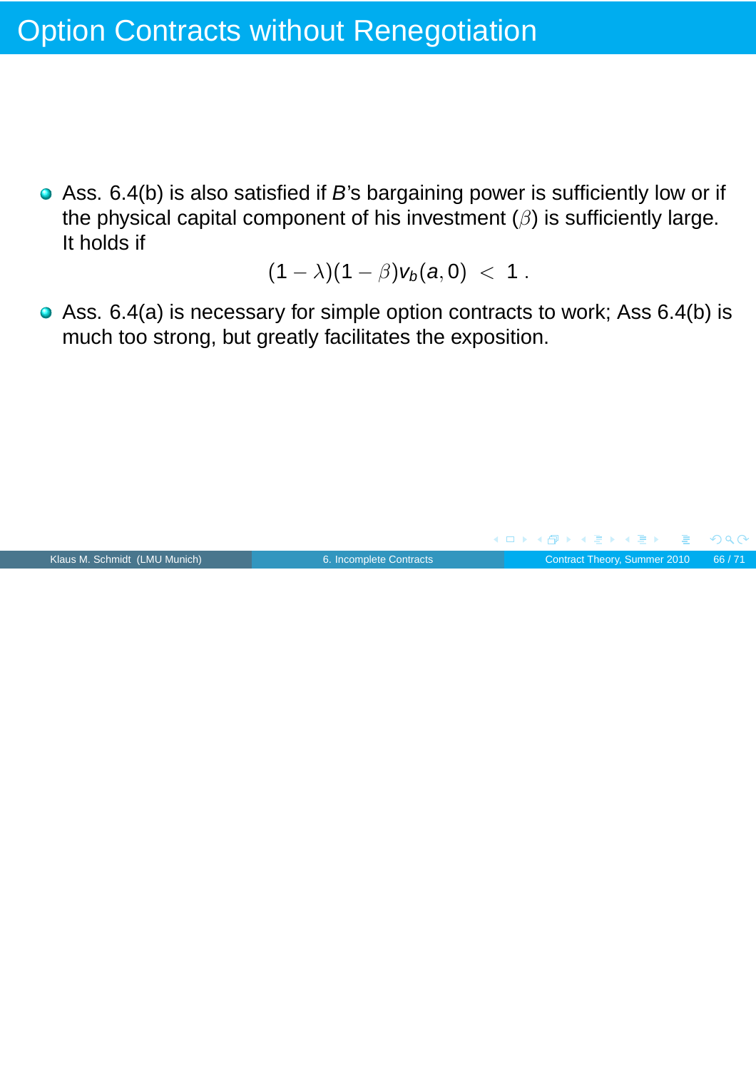Ass. 6.4(b) is also satisfied if B's bargaining power is sufficiently low or if the physical capital component of his investment  $(\beta)$  is sufficiently large. It holds if

 $(1 - \lambda)(1 - \beta)v_b(a, 0) < 1$ .

Ass. 6.4(a) is necessary for simple option contracts to work; Ass 6.4(b) is much too strong, but greatly facilitates the exposition.

![](_page_65_Figure_4.jpeg)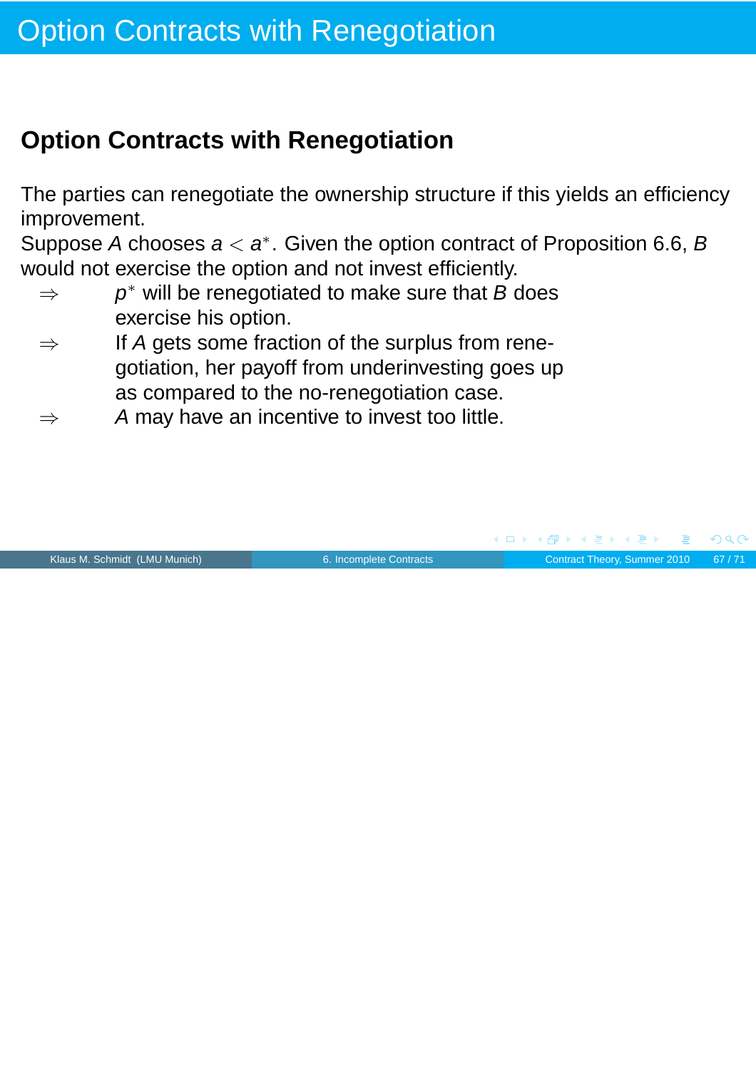The parties can renegotiate the ownership structure if this yields an efficiency improvement.

Suppose A chooses  $a < a^*$ . Given the option contract of Proposition 6.6, B would not exercise the option and not invest efficiently.

- $\Rightarrow$  $p^*$  will be renegotiated to make sure that B does exercise his option.
- $\Rightarrow$  If A gets some fraction of the surplus from renegotiation, her payoff from underinvesting goes up as compared to the no-renegotiation case.
- $\Rightarrow$  A may have an incentive to invest too little.

![](_page_66_Picture_7.jpeg)

Klaus M. Schmidt (LMU Munich) **[6. Incomplete Contracts](#page-0-0)** Contract Theory, Summer 2010 67/71

 $\Omega$ 

**≮ 伊 ▶ ( 唐 ▶ ( 唐 )** 

 $\Box$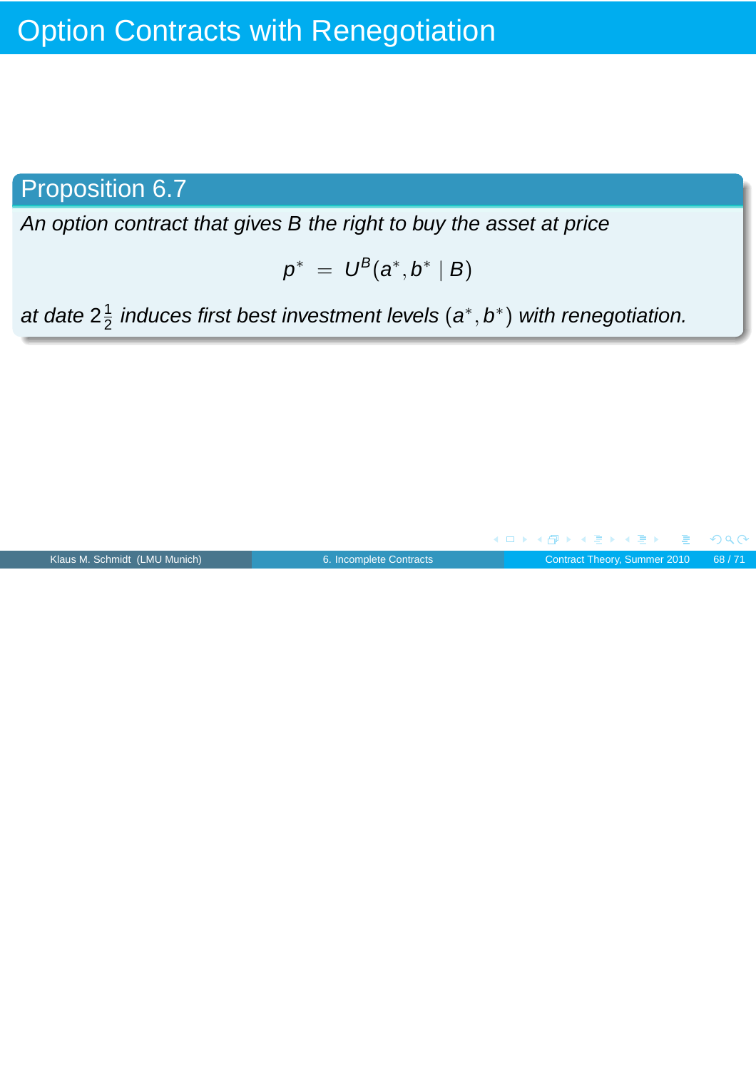### Proposition 6.7

An option contract that gives B the right to buy the asset at price

$$
p^* = U^B(a^*,b^* | B)
$$

at date  $2\frac{1}{2}$  $\frac{1}{2}$  induces first best investment levels  $(\bm{{a}}^*,\bm{{b}}^*)$  with renegotiation.

![](_page_67_Figure_5.jpeg)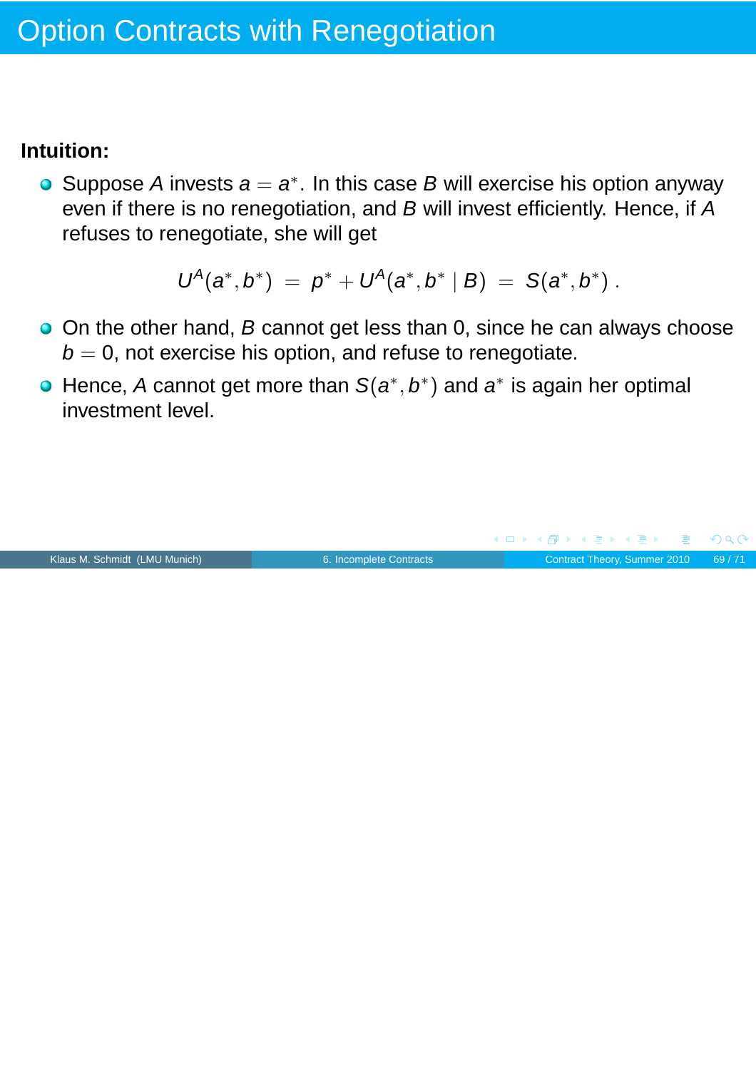### **Intuition:**

Suppose A invests  $a = a^*$ . In this case B will exercise his option anyway even if there is no renegotiation, and B will invest efficiently. Hence, if A refuses to renegotiate, she will get

$$
U^A(a^*,b^*) = p^* + U^A(a^*,b^* | B) = S(a^*,b^*) .
$$

- On the other hand, B cannot get less than 0, since he can always choose  $b = 0$ , not exercise his option, and refuse to renegotiate.
- Hence, A cannot get more than  $S(a^*,b^*)$  and  $a^*$  is again her optimal investment level.

![](_page_68_Figure_6.jpeg)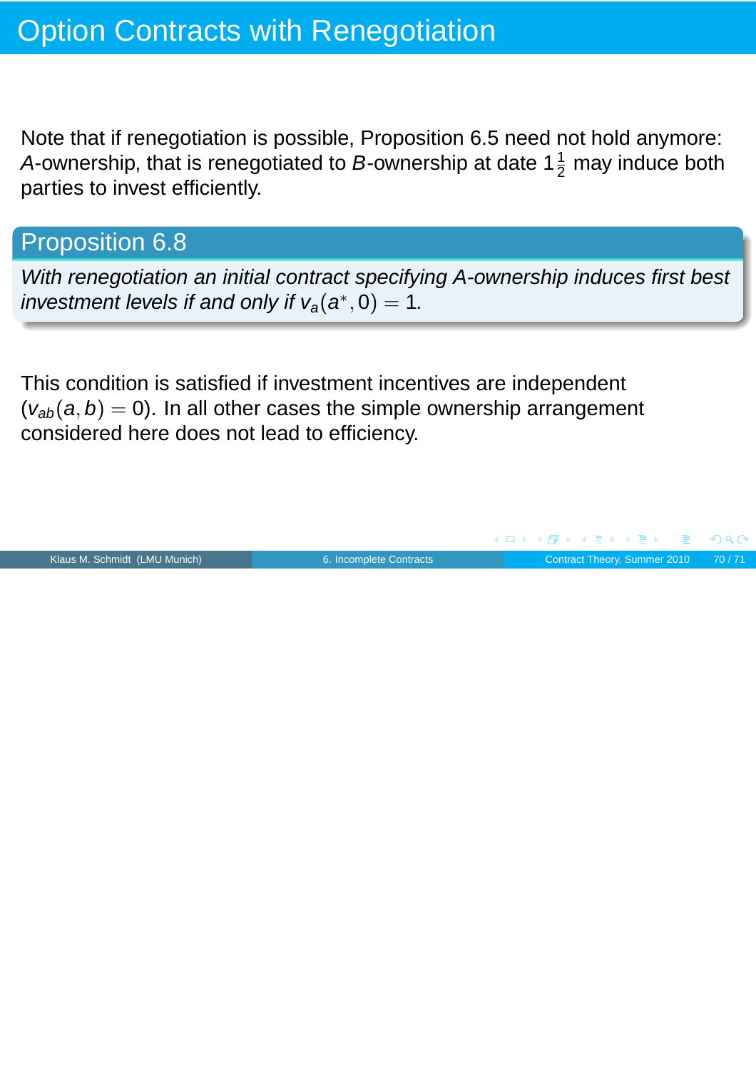Note that if renegotiation is possible, Proposition 6.5 need not hold anymore: A-ownership, that is renegotiated to B-ownership at date 1 $\frac{1}{2}$  may induce both parties to invest efficiently.

### Proposition 6.8

With renegotiation an initial contract specifying A-ownership induces first best investment levels if and only if  $v_a(a^*, 0) = 1$ .

This condition is satisfied if investment incentives are independent  $(v_{ab}(a, b) = 0)$ . In all other cases the simple ownership arrangement considered here does not lead to efficiency.

![](_page_69_Figure_5.jpeg)